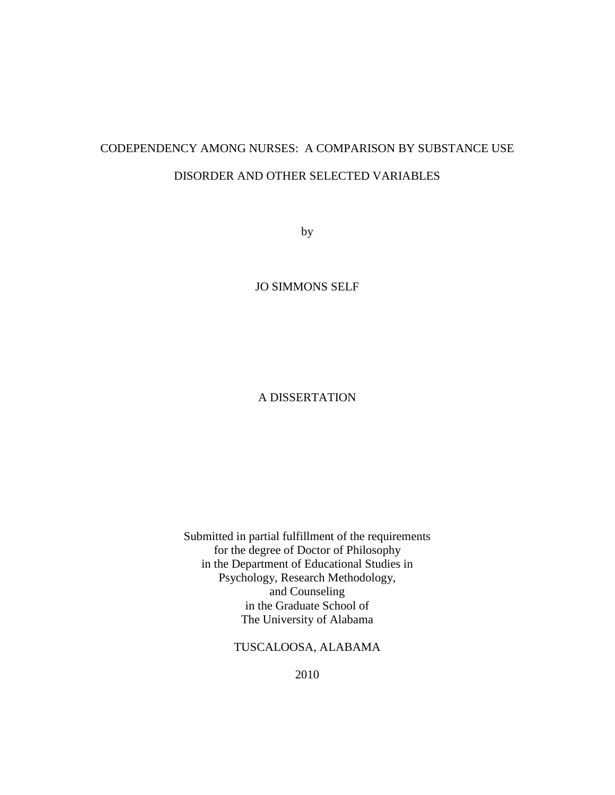# CODEPENDENCY AMONG NURSES: A COMPARISON BY SUBSTANCE USE DISORDER AND OTHER SELECTED VARIABLES

by

JO SIMMONS SELF

# A DISSERTATION

Submitted in partial fulfillment of the requirements for the degree of Doctor of Philosophy in the Department of Educational Studies in Psychology, Research Methodology, and Counseling in the Graduate School of The University of Alabama

TUSCALOOSA, ALABAMA

2010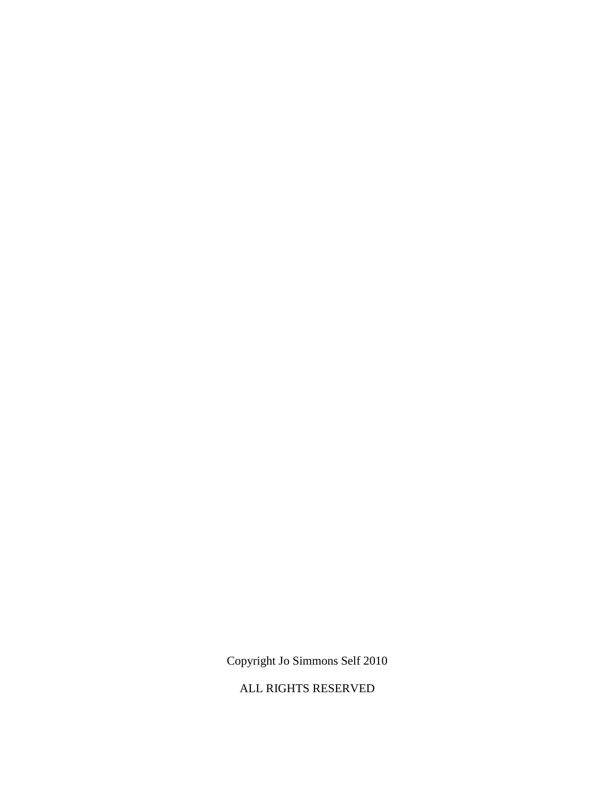Copyright Jo Simmons Self 2010

ALL RIGHTS RESERVED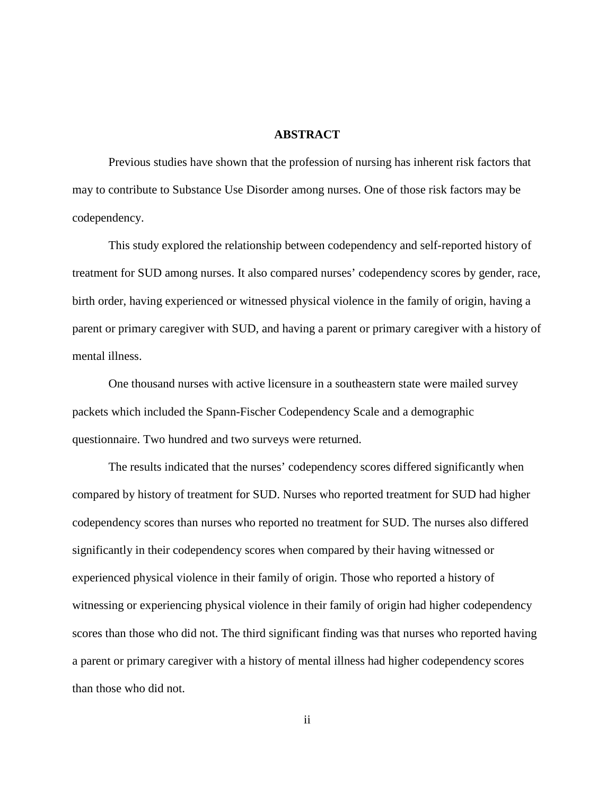#### **ABSTRACT**

Previous studies have shown that the profession of nursing has inherent risk factors that may to contribute to Substance Use Disorder among nurses. One of those risk factors may be codependency.

 This study explored the relationship between codependency and self-reported history of treatment for SUD among nurses. It also compared nurses' codependency scores by gender, race, birth order, having experienced or witnessed physical violence in the family of origin, having a parent or primary caregiver with SUD, and having a parent or primary caregiver with a history of mental illness.

 One thousand nurses with active licensure in a southeastern state were mailed survey packets which included the Spann-Fischer Codependency Scale and a demographic questionnaire. Two hundred and two surveys were returned.

 The results indicated that the nurses' codependency scores differed significantly when compared by history of treatment for SUD. Nurses who reported treatment for SUD had higher codependency scores than nurses who reported no treatment for SUD. The nurses also differed significantly in their codependency scores when compared by their having witnessed or experienced physical violence in their family of origin. Those who reported a history of witnessing or experiencing physical violence in their family of origin had higher codependency scores than those who did not. The third significant finding was that nurses who reported having a parent or primary caregiver with a history of mental illness had higher codependency scores than those who did not.

ii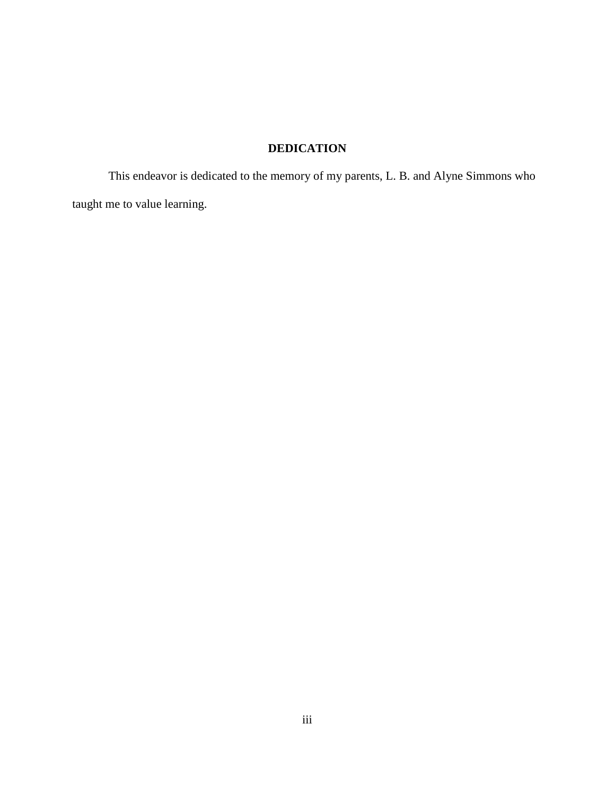# **DEDICATION**

 This endeavor is dedicated to the memory of my parents, L. B. and Alyne Simmons who taught me to value learning.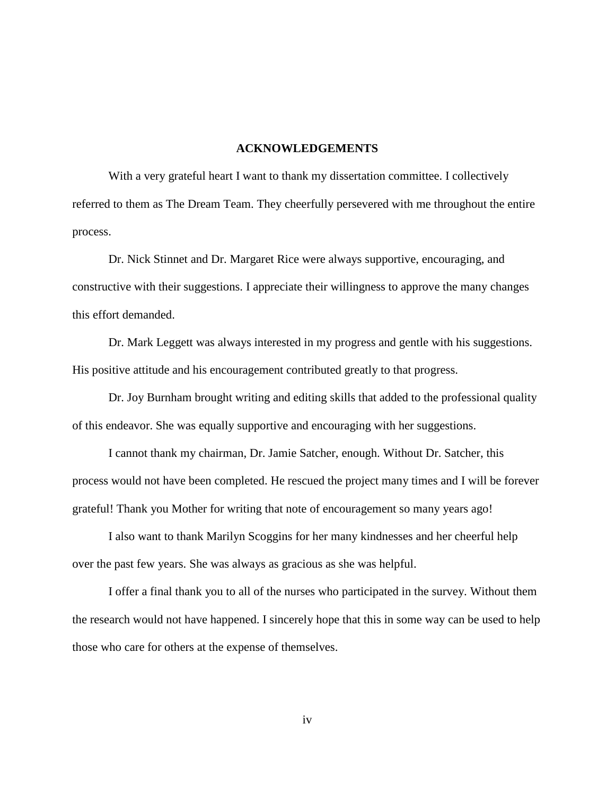#### **ACKNOWLEDGEMENTS**

With a very grateful heart I want to thank my dissertation committee. I collectively referred to them as The Dream Team. They cheerfully persevered with me throughout the entire process.

 Dr. Nick Stinnet and Dr. Margaret Rice were always supportive, encouraging, and constructive with their suggestions. I appreciate their willingness to approve the many changes this effort demanded.

 Dr. Mark Leggett was always interested in my progress and gentle with his suggestions. His positive attitude and his encouragement contributed greatly to that progress.

 Dr. Joy Burnham brought writing and editing skills that added to the professional quality of this endeavor. She was equally supportive and encouraging with her suggestions.

 I cannot thank my chairman, Dr. Jamie Satcher, enough. Without Dr. Satcher, this process would not have been completed. He rescued the project many times and I will be forever grateful! Thank you Mother for writing that note of encouragement so many years ago!

 I also want to thank Marilyn Scoggins for her many kindnesses and her cheerful help over the past few years. She was always as gracious as she was helpful.

 I offer a final thank you to all of the nurses who participated in the survey. Without them the research would not have happened. I sincerely hope that this in some way can be used to help those who care for others at the expense of themselves.

iv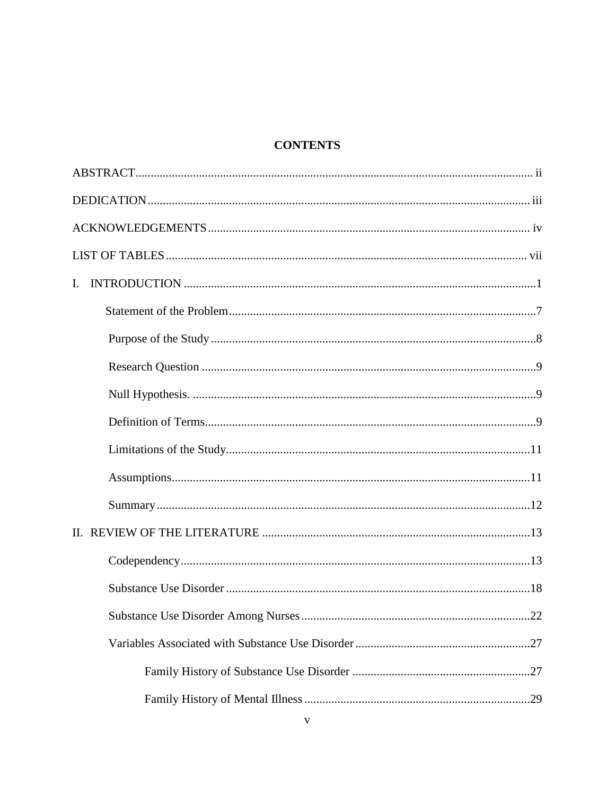# **CONTENTS**

| $\mathbf{L}$ |
|--------------|
|              |
|              |
|              |
|              |
|              |
|              |
|              |
|              |
|              |
|              |
|              |
| .22          |
|              |
|              |
|              |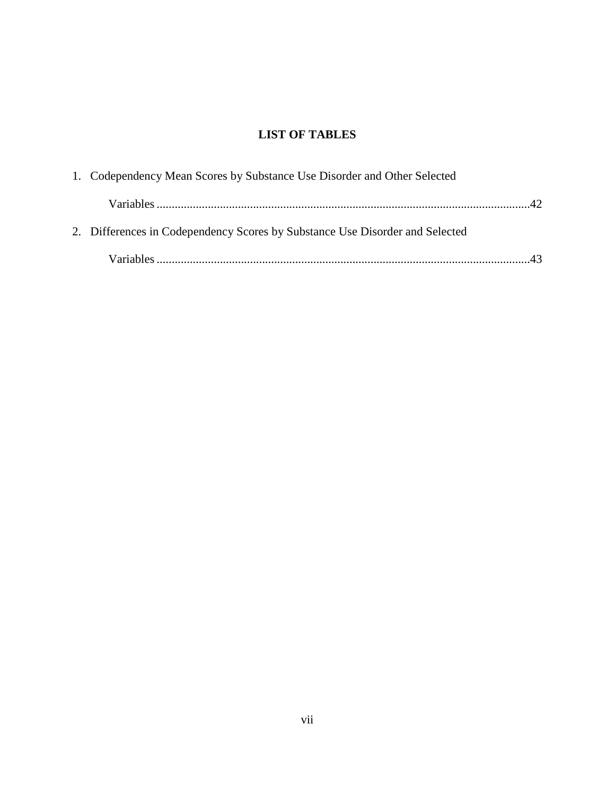# **LIST OF TABLES**

| 1. Codependency Mean Scores by Substance Use Disorder and Other Selected     |  |
|------------------------------------------------------------------------------|--|
|                                                                              |  |
| 2. Differences in Codependency Scores by Substance Use Disorder and Selected |  |
|                                                                              |  |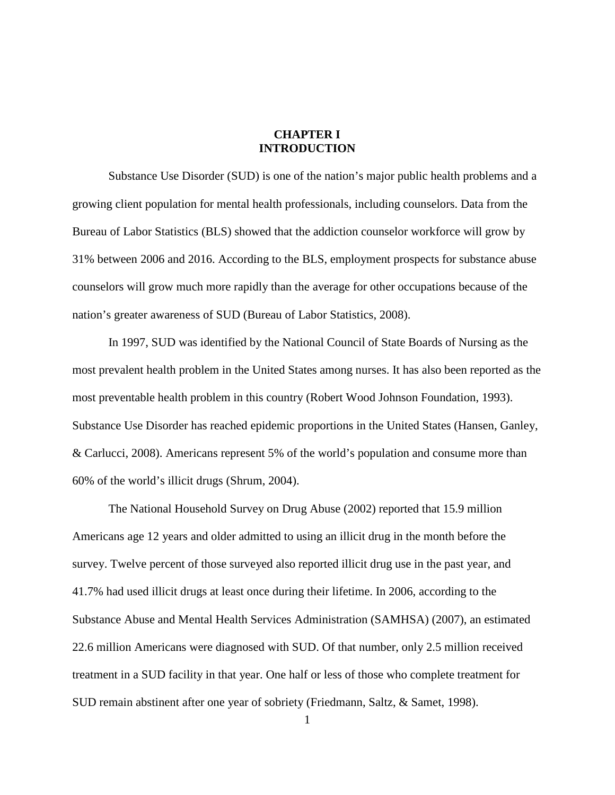## **CHAPTER I INTRODUCTION**

 Substance Use Disorder (SUD) is one of the nation's major public health problems and a growing client population for mental health professionals, including counselors. Data from the Bureau of Labor Statistics (BLS) showed that the addiction counselor workforce will grow by 31% between 2006 and 2016. According to the BLS, employment prospects for substance abuse counselors will grow much more rapidly than the average for other occupations because of the nation's greater awareness of SUD (Bureau of Labor Statistics, 2008).

 In 1997, SUD was identified by the National Council of State Boards of Nursing as the most prevalent health problem in the United States among nurses. It has also been reported as the most preventable health problem in this country (Robert Wood Johnson Foundation, 1993). Substance Use Disorder has reached epidemic proportions in the United States (Hansen, Ganley, & Carlucci, 2008). Americans represent 5% of the world's population and consume more than 60% of the world's illicit drugs (Shrum, 2004).

 The National Household Survey on Drug Abuse (2002) reported that 15.9 million Americans age 12 years and older admitted to using an illicit drug in the month before the survey. Twelve percent of those surveyed also reported illicit drug use in the past year, and 41.7% had used illicit drugs at least once during their lifetime. In 2006, according to the Substance Abuse and Mental Health Services Administration (SAMHSA) (2007), an estimated 22.6 million Americans were diagnosed with SUD. Of that number, only 2.5 million received treatment in a SUD facility in that year. One half or less of those who complete treatment for SUD remain abstinent after one year of sobriety (Friedmann, Saltz, & Samet, 1998).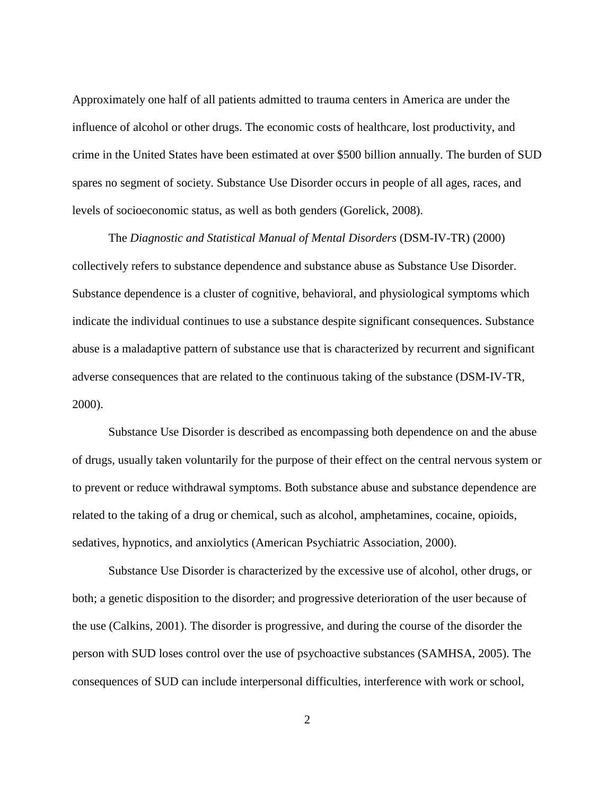Approximately one half of all patients admitted to trauma centers in America are under the influence of alcohol or other drugs. The economic costs of healthcare, lost productivity, and crime in the United States have been estimated at over \$500 billion annually. The burden of SUD spares no segment of society. Substance Use Disorder occurs in people of all ages, races, and levels of socioeconomic status, as well as both genders (Gorelick, 2008).

The *Diagnostic and Statistical Manual of Mental Disorders* (DSM-IV-TR) (2000) collectively refers to substance dependence and substance abuse as Substance Use Disorder. Substance dependence is a cluster of cognitive, behavioral, and physiological symptoms which indicate the individual continues to use a substance despite significant consequences. Substance abuse is a maladaptive pattern of substance use that is characterized by recurrent and significant adverse consequences that are related to the continuous taking of the substance (DSM-IV-TR, 2000).

Substance Use Disorder is described as encompassing both dependence on and the abuse of drugs, usually taken voluntarily for the purpose of their effect on the central nervous system or to prevent or reduce withdrawal symptoms. Both substance abuse and substance dependence are related to the taking of a drug or chemical, such as alcohol, amphetamines, cocaine, opioids, sedatives, hypnotics, and anxiolytics (American Psychiatric Association, 2000).

 Substance Use Disorder is characterized by the excessive use of alcohol, other drugs, or both; a genetic disposition to the disorder; and progressive deterioration of the user because of the use (Calkins, 2001). The disorder is progressive, and during the course of the disorder the person with SUD loses control over the use of psychoactive substances (SAMHSA, 2005). The consequences of SUD can include interpersonal difficulties, interference with work or school,

2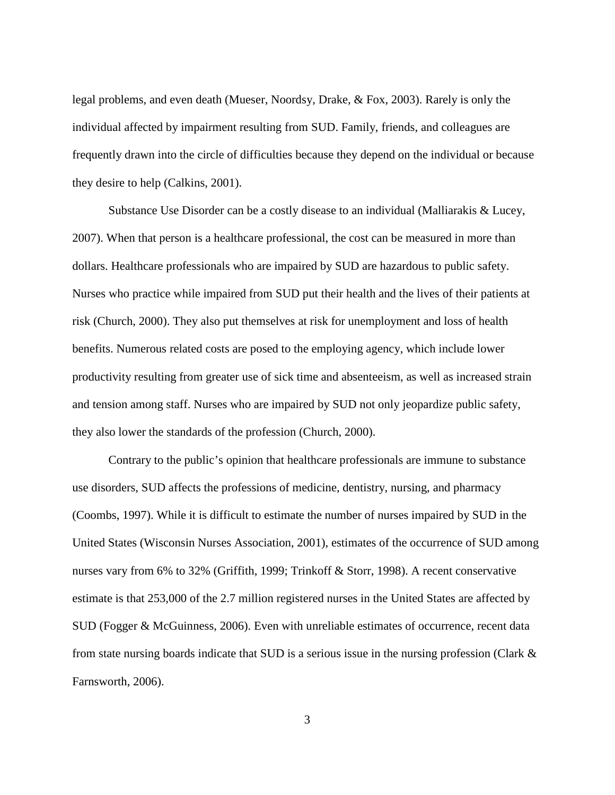legal problems, and even death (Mueser, Noordsy, Drake, & Fox, 2003). Rarely is only the individual affected by impairment resulting from SUD. Family, friends, and colleagues are frequently drawn into the circle of difficulties because they depend on the individual or because they desire to help (Calkins, 2001).

 Substance Use Disorder can be a costly disease to an individual (Malliarakis & Lucey, 2007). When that person is a healthcare professional, the cost can be measured in more than dollars. Healthcare professionals who are impaired by SUD are hazardous to public safety. Nurses who practice while impaired from SUD put their health and the lives of their patients at risk (Church, 2000). They also put themselves at risk for unemployment and loss of health benefits. Numerous related costs are posed to the employing agency, which include lower productivity resulting from greater use of sick time and absenteeism, as well as increased strain and tension among staff. Nurses who are impaired by SUD not only jeopardize public safety, they also lower the standards of the profession (Church, 2000).

 Contrary to the public's opinion that healthcare professionals are immune to substance use disorders, SUD affects the professions of medicine, dentistry, nursing, and pharmacy (Coombs, 1997). While it is difficult to estimate the number of nurses impaired by SUD in the United States (Wisconsin Nurses Association, 2001), estimates of the occurrence of SUD among nurses vary from 6% to 32% (Griffith, 1999; Trinkoff & Storr, 1998). A recent conservative estimate is that 253,000 of the 2.7 million registered nurses in the United States are affected by SUD (Fogger & McGuinness, 2006). Even with unreliable estimates of occurrence, recent data from state nursing boards indicate that SUD is a serious issue in the nursing profession (Clark  $\&$ Farnsworth, 2006).

3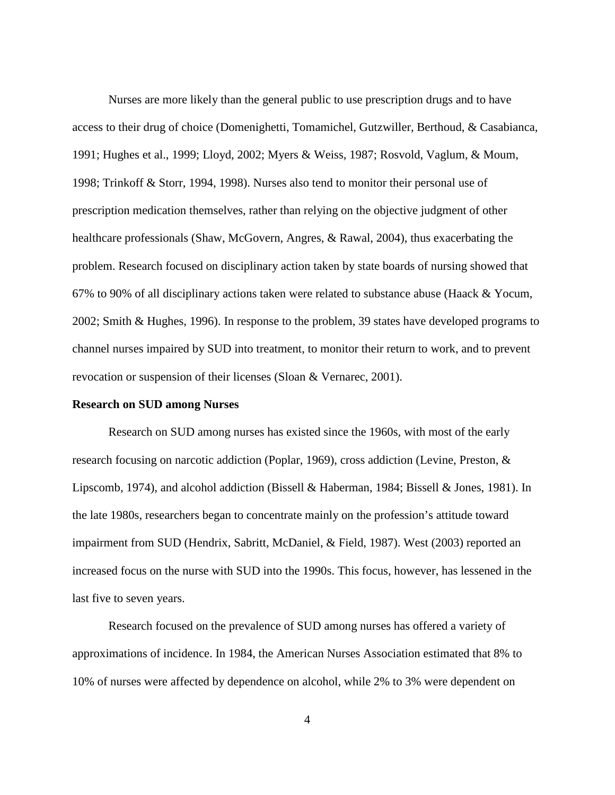Nurses are more likely than the general public to use prescription drugs and to have access to their drug of choice (Domenighetti, Tomamichel, Gutzwiller, Berthoud, & Casabianca, 1991; Hughes et al., 1999; Lloyd, 2002; Myers & Weiss, 1987; Rosvold, Vaglum, & Moum, 1998; Trinkoff & Storr, 1994, 1998). Nurses also tend to monitor their personal use of prescription medication themselves, rather than relying on the objective judgment of other healthcare professionals (Shaw, McGovern, Angres, & Rawal, 2004), thus exacerbating the problem. Research focused on disciplinary action taken by state boards of nursing showed that 67% to 90% of all disciplinary actions taken were related to substance abuse (Haack & Yocum, 2002; Smith & Hughes, 1996). In response to the problem, 39 states have developed programs to channel nurses impaired by SUD into treatment, to monitor their return to work, and to prevent revocation or suspension of their licenses (Sloan & Vernarec, 2001).

#### **Research on SUD among Nurses**

 Research on SUD among nurses has existed since the 1960s, with most of the early research focusing on narcotic addiction (Poplar, 1969), cross addiction (Levine, Preston, & Lipscomb, 1974), and alcohol addiction (Bissell & Haberman, 1984; Bissell & Jones, 1981). In the late 1980s, researchers began to concentrate mainly on the profession's attitude toward impairment from SUD (Hendrix, Sabritt, McDaniel, & Field, 1987). West (2003) reported an increased focus on the nurse with SUD into the 1990s. This focus, however, has lessened in the last five to seven years.

 Research focused on the prevalence of SUD among nurses has offered a variety of approximations of incidence. In 1984, the American Nurses Association estimated that 8% to 10% of nurses were affected by dependence on alcohol, while 2% to 3% were dependent on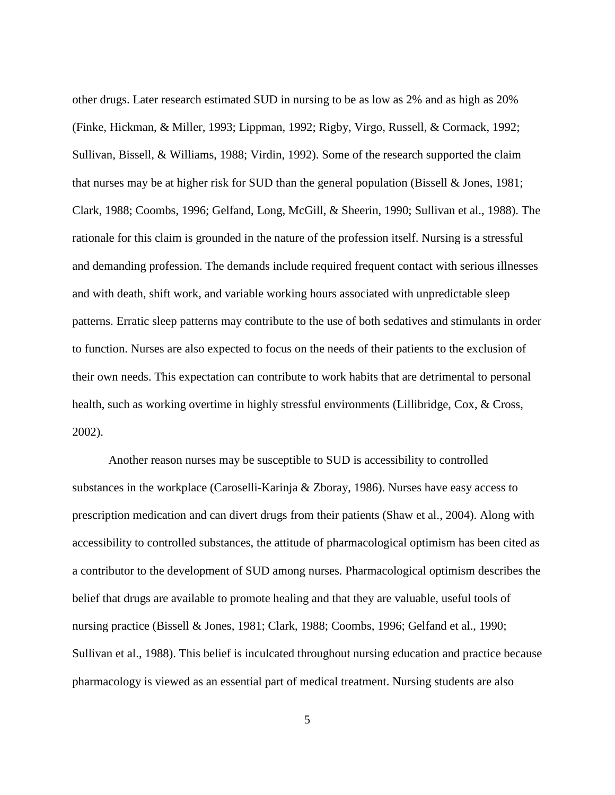other drugs. Later research estimated SUD in nursing to be as low as 2% and as high as 20% (Finke, Hickman, & Miller, 1993; Lippman, 1992; Rigby, Virgo, Russell, & Cormack, 1992; Sullivan, Bissell, & Williams, 1988; Virdin, 1992). Some of the research supported the claim that nurses may be at higher risk for SUD than the general population (Bissell  $\&$  Jones, 1981; Clark, 1988; Coombs, 1996; Gelfand, Long, McGill, & Sheerin, 1990; Sullivan et al., 1988). The rationale for this claim is grounded in the nature of the profession itself. Nursing is a stressful and demanding profession. The demands include required frequent contact with serious illnesses and with death, shift work, and variable working hours associated with unpredictable sleep patterns. Erratic sleep patterns may contribute to the use of both sedatives and stimulants in order to function. Nurses are also expected to focus on the needs of their patients to the exclusion of their own needs. This expectation can contribute to work habits that are detrimental to personal health, such as working overtime in highly stressful environments (Lillibridge, Cox, & Cross, 2002).

 Another reason nurses may be susceptible to SUD is accessibility to controlled substances in the workplace (Caroselli-Karinja & Zboray, 1986). Nurses have easy access to prescription medication and can divert drugs from their patients (Shaw et al., 2004). Along with accessibility to controlled substances, the attitude of pharmacological optimism has been cited as a contributor to the development of SUD among nurses. Pharmacological optimism describes the belief that drugs are available to promote healing and that they are valuable, useful tools of nursing practice (Bissell & Jones, 1981; Clark, 1988; Coombs, 1996; Gelfand et al., 1990; Sullivan et al., 1988). This belief is inculcated throughout nursing education and practice because pharmacology is viewed as an essential part of medical treatment. Nursing students are also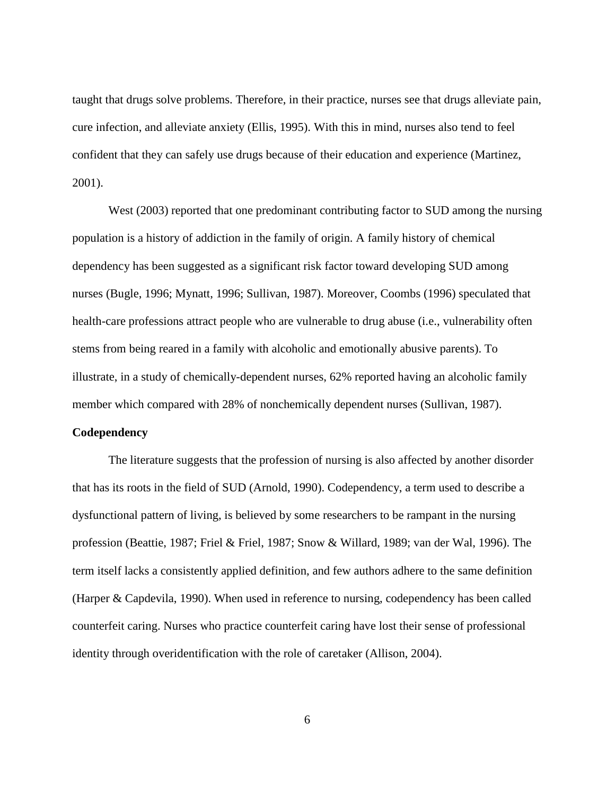taught that drugs solve problems. Therefore, in their practice, nurses see that drugs alleviate pain, cure infection, and alleviate anxiety (Ellis, 1995). With this in mind, nurses also tend to feel confident that they can safely use drugs because of their education and experience (Martinez, 2001).

West (2003) reported that one predominant contributing factor to SUD among the nursing population is a history of addiction in the family of origin. A family history of chemical dependency has been suggested as a significant risk factor toward developing SUD among nurses (Bugle, 1996; Mynatt, 1996; Sullivan, 1987). Moreover, Coombs (1996) speculated that health-care professions attract people who are vulnerable to drug abuse (i.e., vulnerability often stems from being reared in a family with alcoholic and emotionally abusive parents). To illustrate, in a study of chemically-dependent nurses, 62% reported having an alcoholic family member which compared with 28% of nonchemically dependent nurses (Sullivan, 1987).

#### **Codependency**

 The literature suggests that the profession of nursing is also affected by another disorder that has its roots in the field of SUD (Arnold, 1990). Codependency, a term used to describe a dysfunctional pattern of living, is believed by some researchers to be rampant in the nursing profession (Beattie, 1987; Friel & Friel, 1987; Snow & Willard, 1989; van der Wal, 1996). The term itself lacks a consistently applied definition, and few authors adhere to the same definition (Harper & Capdevila, 1990). When used in reference to nursing, codependency has been called counterfeit caring. Nurses who practice counterfeit caring have lost their sense of professional identity through overidentification with the role of caretaker (Allison, 2004).

6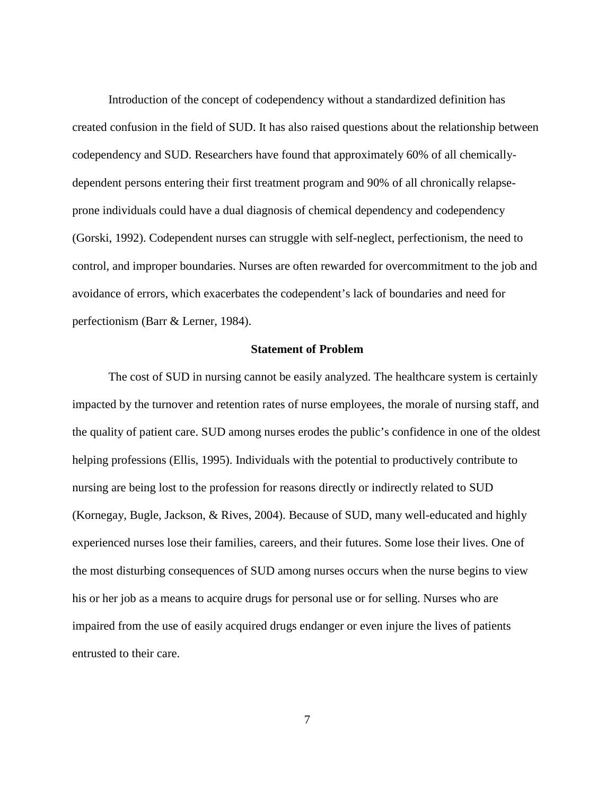Introduction of the concept of codependency without a standardized definition has created confusion in the field of SUD. It has also raised questions about the relationship between codependency and SUD. Researchers have found that approximately 60% of all chemicallydependent persons entering their first treatment program and 90% of all chronically relapseprone individuals could have a dual diagnosis of chemical dependency and codependency (Gorski, 1992). Codependent nurses can struggle with self-neglect, perfectionism, the need to control, and improper boundaries. Nurses are often rewarded for overcommitment to the job and avoidance of errors, which exacerbates the codependent's lack of boundaries and need for perfectionism (Barr & Lerner, 1984).

#### **Statement of Problem**

 The cost of SUD in nursing cannot be easily analyzed. The healthcare system is certainly impacted by the turnover and retention rates of nurse employees, the morale of nursing staff, and the quality of patient care. SUD among nurses erodes the public's confidence in one of the oldest helping professions (Ellis, 1995). Individuals with the potential to productively contribute to nursing are being lost to the profession for reasons directly or indirectly related to SUD (Kornegay, Bugle, Jackson, & Rives, 2004). Because of SUD, many well-educated and highly experienced nurses lose their families, careers, and their futures. Some lose their lives. One of the most disturbing consequences of SUD among nurses occurs when the nurse begins to view his or her job as a means to acquire drugs for personal use or for selling. Nurses who are impaired from the use of easily acquired drugs endanger or even injure the lives of patients entrusted to their care.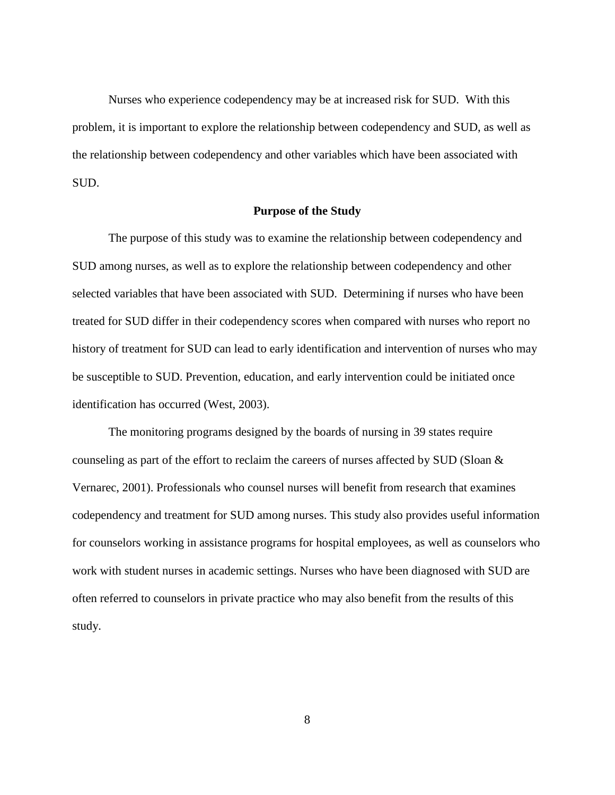Nurses who experience codependency may be at increased risk for SUD. With this problem, it is important to explore the relationship between codependency and SUD, as well as the relationship between codependency and other variables which have been associated with SUD.

#### **Purpose of the Study**

 The purpose of this study was to examine the relationship between codependency and SUD among nurses, as well as to explore the relationship between codependency and other selected variables that have been associated with SUD. Determining if nurses who have been treated for SUD differ in their codependency scores when compared with nurses who report no history of treatment for SUD can lead to early identification and intervention of nurses who may be susceptible to SUD. Prevention, education, and early intervention could be initiated once identification has occurred (West, 2003).

 The monitoring programs designed by the boards of nursing in 39 states require counseling as part of the effort to reclaim the careers of nurses affected by SUD (Sloan & Vernarec, 2001). Professionals who counsel nurses will benefit from research that examines codependency and treatment for SUD among nurses. This study also provides useful information for counselors working in assistance programs for hospital employees, as well as counselors who work with student nurses in academic settings. Nurses who have been diagnosed with SUD are often referred to counselors in private practice who may also benefit from the results of this study.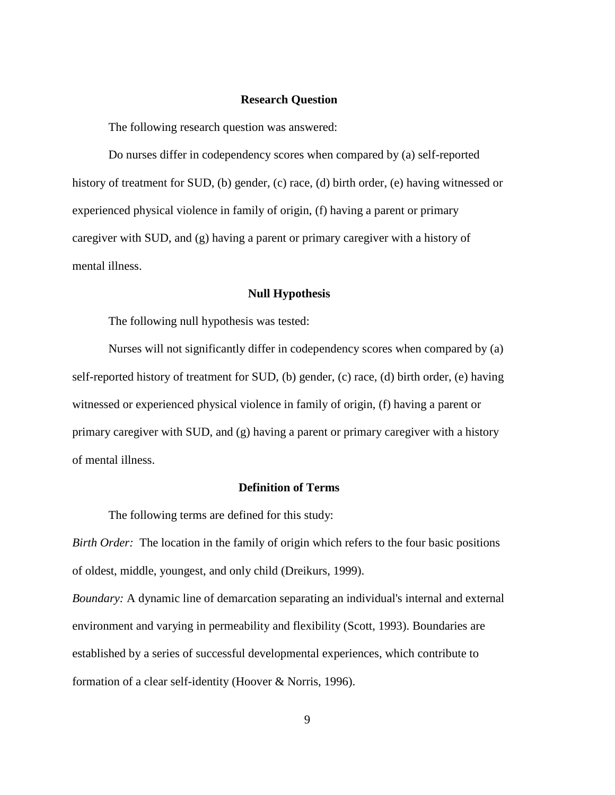#### **Research Question**

The following research question was answered:

 Do nurses differ in codependency scores when compared by (a) self-reported history of treatment for SUD, (b) gender, (c) race, (d) birth order, (e) having witnessed or experienced physical violence in family of origin, (f) having a parent or primary caregiver with SUD, and (g) having a parent or primary caregiver with a history of mental illness.

#### **Null Hypothesis**

The following null hypothesis was tested:

 Nurses will not significantly differ in codependency scores when compared by (a) self-reported history of treatment for SUD, (b) gender, (c) race, (d) birth order, (e) having witnessed or experienced physical violence in family of origin, (f) having a parent or primary caregiver with SUD, and (g) having a parent or primary caregiver with a history of mental illness.

### **Definition of Terms**

The following terms are defined for this study:

*Birth Order:* The location in the family of origin which refers to the four basic positions of oldest, middle, youngest, and only child (Dreikurs, 1999).

*Boundary:* A dynamic line of demarcation separating an individual's internal and external environment and varying in permeability and flexibility (Scott, 1993). Boundaries are established by a series of successful developmental experiences, which contribute to formation of a clear self-identity (Hoover & Norris, 1996).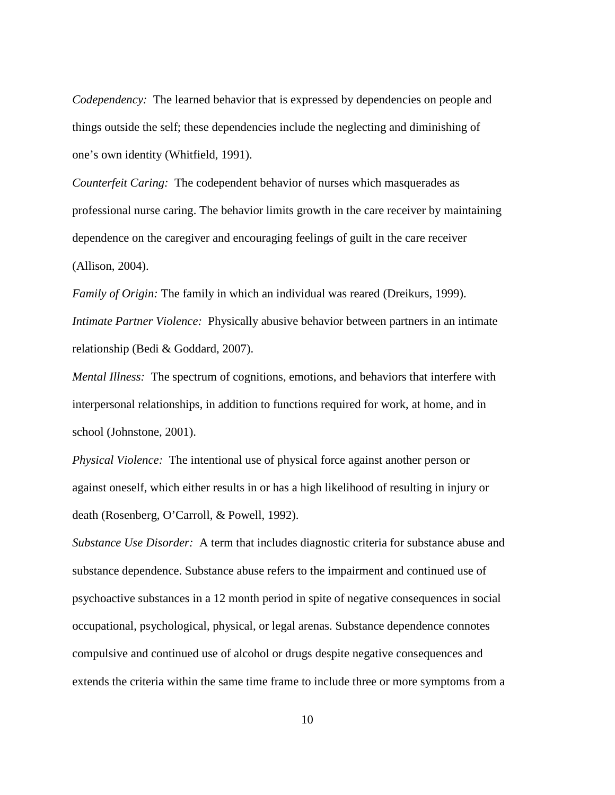*Codependency:* The learned behavior that is expressed by dependencies on people and things outside the self; these dependencies include the neglecting and diminishing of one's own identity (Whitfield, 1991).

*Counterfeit Caring:* The codependent behavior of nurses which masquerades as professional nurse caring. The behavior limits growth in the care receiver by maintaining dependence on the caregiver and encouraging feelings of guilt in the care receiver (Allison, 2004).

*Family of Origin:* The family in which an individual was reared (Dreikurs, 1999). *Intimate Partner Violence:* Physically abusive behavior between partners in an intimate relationship (Bedi & Goddard, 2007).

*Mental Illness:* The spectrum of cognitions, emotions, and behaviors that interfere with interpersonal relationships, in addition to functions required for work, at home, and in school (Johnstone, 2001).

*Physical Violence:* The intentional use of physical force against another person or against oneself, which either results in or has a high likelihood of resulting in injury or death (Rosenberg, O'Carroll, & Powell, 1992).

*Substance Use Disorder:* A term that includes diagnostic criteria for substance abuse and substance dependence. Substance abuse refers to the impairment and continued use of psychoactive substances in a 12 month period in spite of negative consequences in social occupational, psychological, physical, or legal arenas. Substance dependence connotes compulsive and continued use of alcohol or drugs despite negative consequences and extends the criteria within the same time frame to include three or more symptoms from a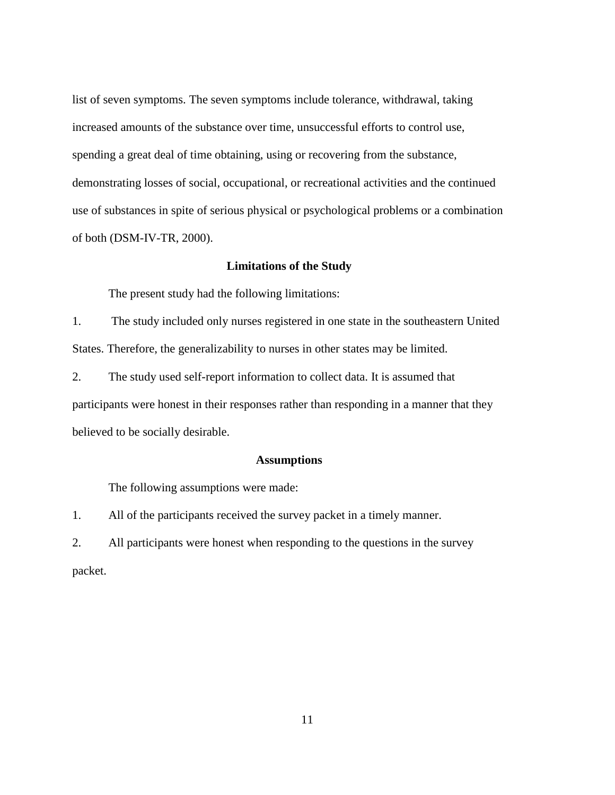list of seven symptoms. The seven symptoms include tolerance, withdrawal, taking increased amounts of the substance over time, unsuccessful efforts to control use, spending a great deal of time obtaining, using or recovering from the substance, demonstrating losses of social, occupational, or recreational activities and the continued use of substances in spite of serious physical or psychological problems or a combination of both (DSM-IV-TR, 2000).

#### **Limitations of the Study**

The present study had the following limitations:

1. The study included only nurses registered in one state in the southeastern United States. Therefore, the generalizability to nurses in other states may be limited.

2. The study used self-report information to collect data. It is assumed that participants were honest in their responses rather than responding in a manner that they believed to be socially desirable.

#### **Assumptions**

The following assumptions were made:

1. All of the participants received the survey packet in a timely manner.

2. All participants were honest when responding to the questions in the survey packet.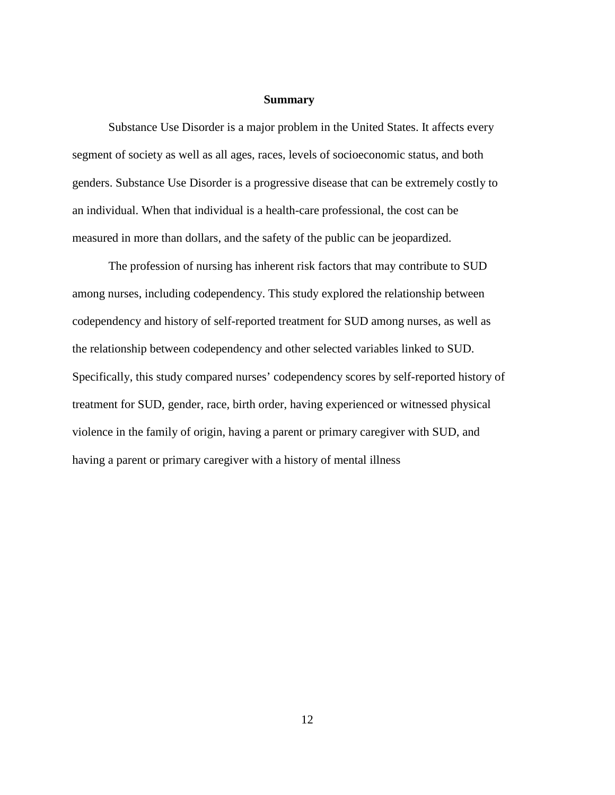#### **Summary**

 Substance Use Disorder is a major problem in the United States. It affects every segment of society as well as all ages, races, levels of socioeconomic status, and both genders. Substance Use Disorder is a progressive disease that can be extremely costly to an individual. When that individual is a health-care professional, the cost can be measured in more than dollars, and the safety of the public can be jeopardized.

 The profession of nursing has inherent risk factors that may contribute to SUD among nurses, including codependency. This study explored the relationship between codependency and history of self-reported treatment for SUD among nurses, as well as the relationship between codependency and other selected variables linked to SUD. Specifically, this study compared nurses' codependency scores by self-reported history of treatment for SUD, gender, race, birth order, having experienced or witnessed physical violence in the family of origin, having a parent or primary caregiver with SUD, and having a parent or primary caregiver with a history of mental illness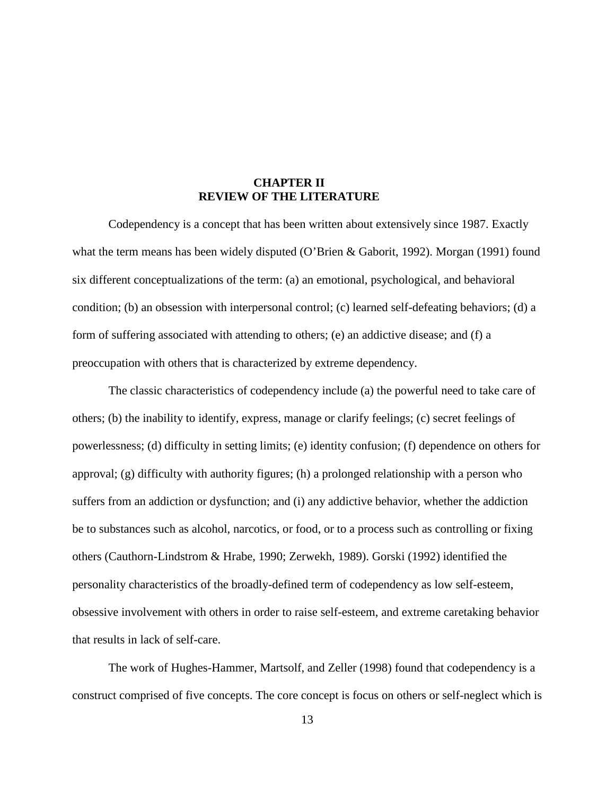### **CHAPTER II REVIEW OF THE LITERATURE**

Codependency is a concept that has been written about extensively since 1987. Exactly what the term means has been widely disputed (O'Brien & Gaborit, 1992). Morgan (1991) found six different conceptualizations of the term: (a) an emotional, psychological, and behavioral condition; (b) an obsession with interpersonal control; (c) learned self-defeating behaviors; (d) a form of suffering associated with attending to others; (e) an addictive disease; and (f) a preoccupation with others that is characterized by extreme dependency.

 The classic characteristics of codependency include (a) the powerful need to take care of others; (b) the inability to identify, express, manage or clarify feelings; (c) secret feelings of powerlessness; (d) difficulty in setting limits; (e) identity confusion; (f) dependence on others for approval; (g) difficulty with authority figures; (h) a prolonged relationship with a person who suffers from an addiction or dysfunction; and (i) any addictive behavior, whether the addiction be to substances such as alcohol, narcotics, or food, or to a process such as controlling or fixing others (Cauthorn-Lindstrom & Hrabe, 1990; Zerwekh, 1989). Gorski (1992) identified the personality characteristics of the broadly-defined term of codependency as low self-esteem, obsessive involvement with others in order to raise self-esteem, and extreme caretaking behavior that results in lack of self-care.

 The work of Hughes-Hammer, Martsolf, and Zeller (1998) found that codependency is a construct comprised of five concepts. The core concept is focus on others or self-neglect which is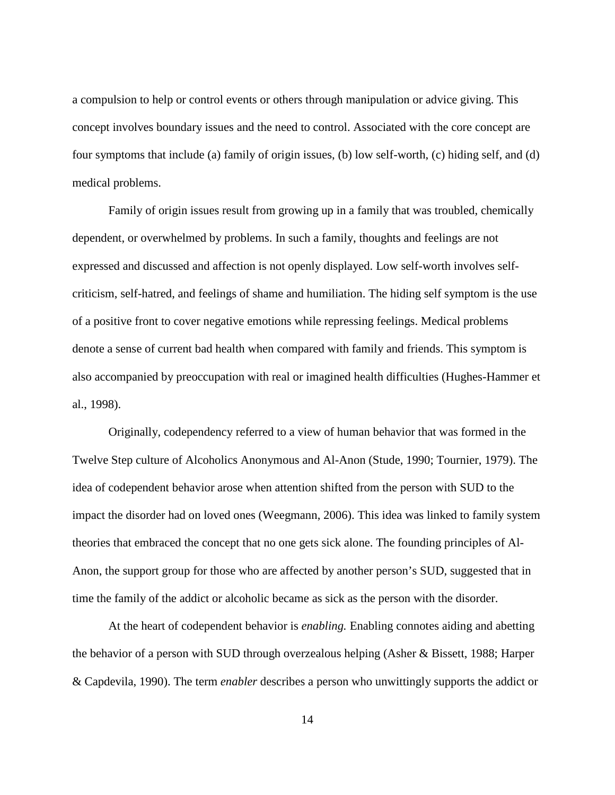a compulsion to help or control events or others through manipulation or advice giving. This concept involves boundary issues and the need to control. Associated with the core concept are four symptoms that include (a) family of origin issues, (b) low self-worth, (c) hiding self, and (d) medical problems.

 Family of origin issues result from growing up in a family that was troubled, chemically dependent, or overwhelmed by problems. In such a family, thoughts and feelings are not expressed and discussed and affection is not openly displayed. Low self-worth involves selfcriticism, self-hatred, and feelings of shame and humiliation. The hiding self symptom is the use of a positive front to cover negative emotions while repressing feelings. Medical problems denote a sense of current bad health when compared with family and friends. This symptom is also accompanied by preoccupation with real or imagined health difficulties (Hughes-Hammer et al., 1998).

 Originally, codependency referred to a view of human behavior that was formed in the Twelve Step culture of Alcoholics Anonymous and Al-Anon (Stude, 1990; Tournier, 1979). The idea of codependent behavior arose when attention shifted from the person with SUD to the impact the disorder had on loved ones (Weegmann, 2006). This idea was linked to family system theories that embraced the concept that no one gets sick alone. The founding principles of Al-Anon, the support group for those who are affected by another person's SUD, suggested that in time the family of the addict or alcoholic became as sick as the person with the disorder.

 At the heart of codependent behavior is *enabling.* Enabling connotes aiding and abetting the behavior of a person with SUD through overzealous helping (Asher & Bissett, 1988; Harper & Capdevila, 1990). The term *enabler* describes a person who unwittingly supports the addict or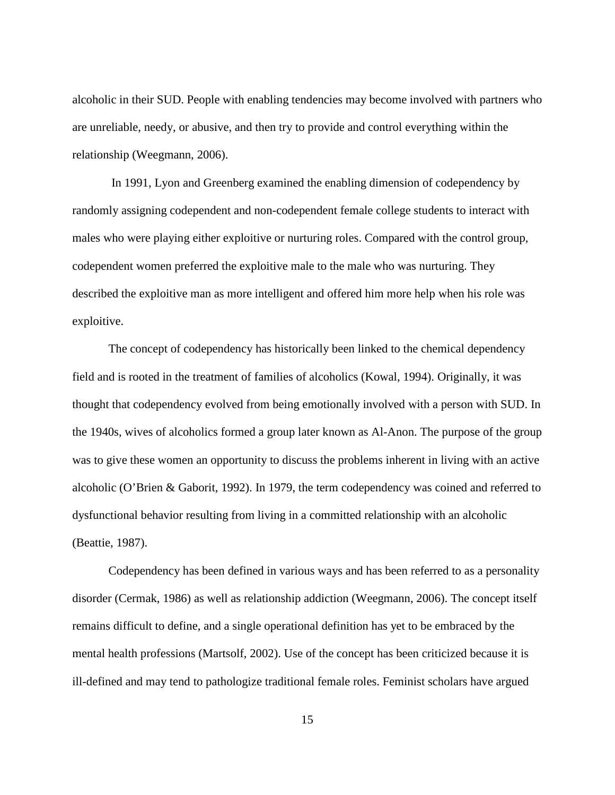alcoholic in their SUD. People with enabling tendencies may become involved with partners who are unreliable, needy, or abusive, and then try to provide and control everything within the relationship (Weegmann, 2006).

 In 1991, Lyon and Greenberg examined the enabling dimension of codependency by randomly assigning codependent and non-codependent female college students to interact with males who were playing either exploitive or nurturing roles. Compared with the control group, codependent women preferred the exploitive male to the male who was nurturing. They described the exploitive man as more intelligent and offered him more help when his role was exploitive.

 The concept of codependency has historically been linked to the chemical dependency field and is rooted in the treatment of families of alcoholics (Kowal, 1994). Originally, it was thought that codependency evolved from being emotionally involved with a person with SUD. In the 1940s, wives of alcoholics formed a group later known as Al-Anon. The purpose of the group was to give these women an opportunity to discuss the problems inherent in living with an active alcoholic (O'Brien & Gaborit, 1992). In 1979, the term codependency was coined and referred to dysfunctional behavior resulting from living in a committed relationship with an alcoholic (Beattie, 1987).

Codependency has been defined in various ways and has been referred to as a personality disorder (Cermak, 1986) as well as relationship addiction (Weegmann, 2006). The concept itself remains difficult to define, and a single operational definition has yet to be embraced by the mental health professions (Martsolf, 2002). Use of the concept has been criticized because it is ill-defined and may tend to pathologize traditional female roles. Feminist scholars have argued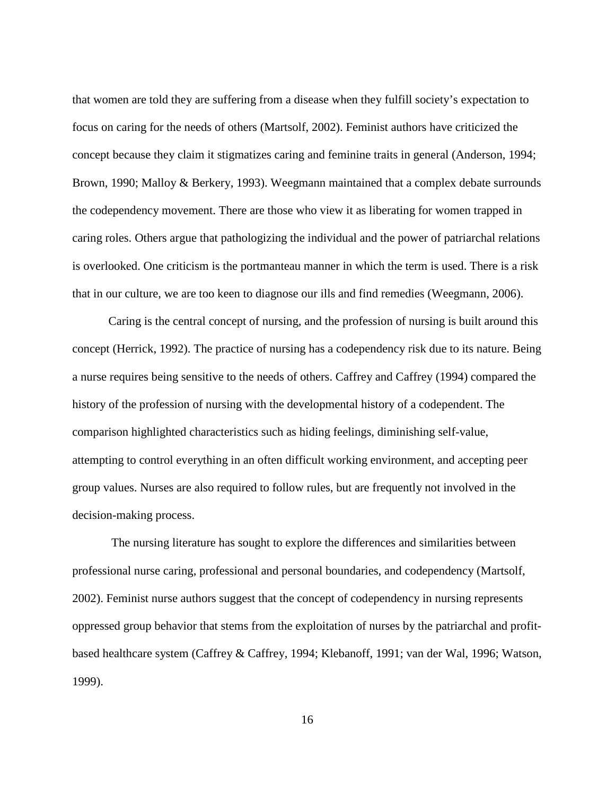that women are told they are suffering from a disease when they fulfill society's expectation to focus on caring for the needs of others (Martsolf, 2002). Feminist authors have criticized the concept because they claim it stigmatizes caring and feminine traits in general (Anderson, 1994; Brown, 1990; Malloy & Berkery, 1993). Weegmann maintained that a complex debate surrounds the codependency movement. There are those who view it as liberating for women trapped in caring roles. Others argue that pathologizing the individual and the power of patriarchal relations is overlooked. One criticism is the portmanteau manner in which the term is used. There is a risk that in our culture, we are too keen to diagnose our ills and find remedies (Weegmann, 2006).

 Caring is the central concept of nursing, and the profession of nursing is built around this concept (Herrick, 1992). The practice of nursing has a codependency risk due to its nature. Being a nurse requires being sensitive to the needs of others. Caffrey and Caffrey (1994) compared the history of the profession of nursing with the developmental history of a codependent. The comparison highlighted characteristics such as hiding feelings, diminishing self-value, attempting to control everything in an often difficult working environment, and accepting peer group values. Nurses are also required to follow rules, but are frequently not involved in the decision-making process.

 The nursing literature has sought to explore the differences and similarities between professional nurse caring, professional and personal boundaries, and codependency (Martsolf, 2002). Feminist nurse authors suggest that the concept of codependency in nursing represents oppressed group behavior that stems from the exploitation of nurses by the patriarchal and profitbased healthcare system (Caffrey & Caffrey, 1994; Klebanoff, 1991; van der Wal, 1996; Watson, 1999).

16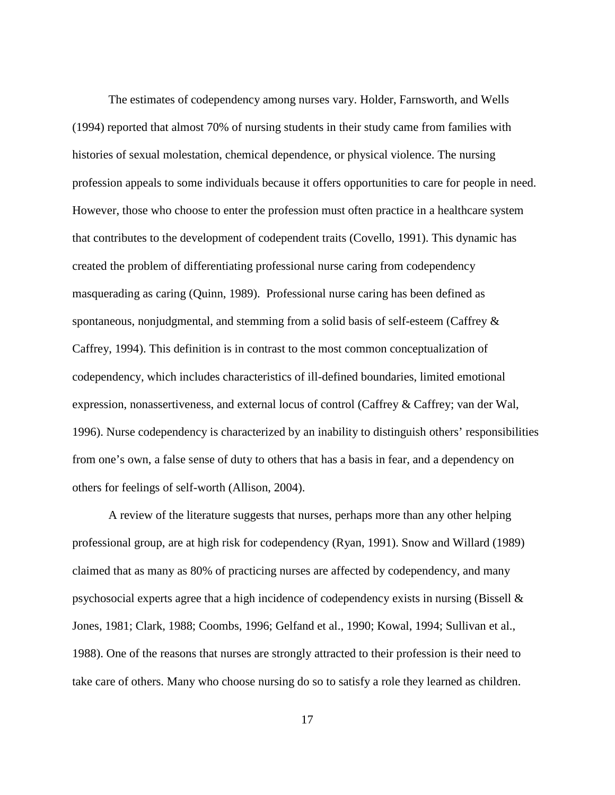The estimates of codependency among nurses vary. Holder, Farnsworth, and Wells (1994) reported that almost 70% of nursing students in their study came from families with histories of sexual molestation, chemical dependence, or physical violence. The nursing profession appeals to some individuals because it offers opportunities to care for people in need. However, those who choose to enter the profession must often practice in a healthcare system that contributes to the development of codependent traits (Covello, 1991). This dynamic has created the problem of differentiating professional nurse caring from codependency masquerading as caring (Quinn, 1989). Professional nurse caring has been defined as spontaneous, nonjudgmental, and stemming from a solid basis of self-esteem (Caffrey & Caffrey, 1994). This definition is in contrast to the most common conceptualization of codependency, which includes characteristics of ill-defined boundaries, limited emotional expression, nonassertiveness, and external locus of control (Caffrey & Caffrey; van der Wal, 1996). Nurse codependency is characterized by an inability to distinguish others' responsibilities from one's own, a false sense of duty to others that has a basis in fear, and a dependency on others for feelings of self-worth (Allison, 2004).

 A review of the literature suggests that nurses, perhaps more than any other helping professional group, are at high risk for codependency (Ryan, 1991). Snow and Willard (1989) claimed that as many as 80% of practicing nurses are affected by codependency, and many psychosocial experts agree that a high incidence of codependency exists in nursing (Bissell & Jones, 1981; Clark, 1988; Coombs, 1996; Gelfand et al., 1990; Kowal, 1994; Sullivan et al., 1988). One of the reasons that nurses are strongly attracted to their profession is their need to take care of others. Many who choose nursing do so to satisfy a role they learned as children.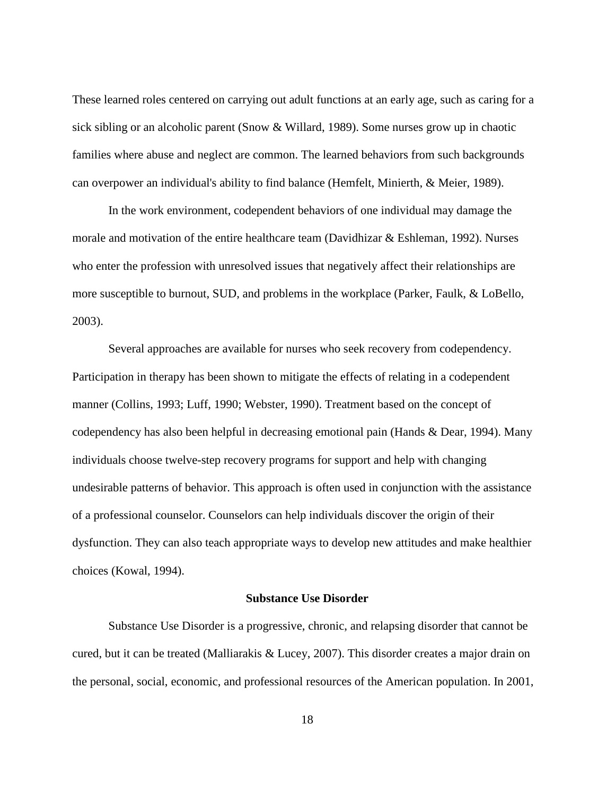These learned roles centered on carrying out adult functions at an early age, such as caring for a sick sibling or an alcoholic parent (Snow & Willard, 1989). Some nurses grow up in chaotic families where abuse and neglect are common. The learned behaviors from such backgrounds can overpower an individual's ability to find balance (Hemfelt, Minierth, & Meier, 1989).

 In the work environment, codependent behaviors of one individual may damage the morale and motivation of the entire healthcare team (Davidhizar & Eshleman, 1992). Nurses who enter the profession with unresolved issues that negatively affect their relationships are more susceptible to burnout, SUD, and problems in the workplace (Parker, Faulk, & LoBello, 2003).

 Several approaches are available for nurses who seek recovery from codependency. Participation in therapy has been shown to mitigate the effects of relating in a codependent manner (Collins, 1993; Luff, 1990; Webster, 1990). Treatment based on the concept of codependency has also been helpful in decreasing emotional pain (Hands & Dear, 1994). Many individuals choose twelve-step recovery programs for support and help with changing undesirable patterns of behavior. This approach is often used in conjunction with the assistance of a professional counselor. Counselors can help individuals discover the origin of their dysfunction. They can also teach appropriate ways to develop new attitudes and make healthier choices (Kowal, 1994).

#### **Substance Use Disorder**

 Substance Use Disorder is a progressive, chronic, and relapsing disorder that cannot be cured, but it can be treated (Malliarakis & Lucey, 2007). This disorder creates a major drain on the personal, social, economic, and professional resources of the American population. In 2001,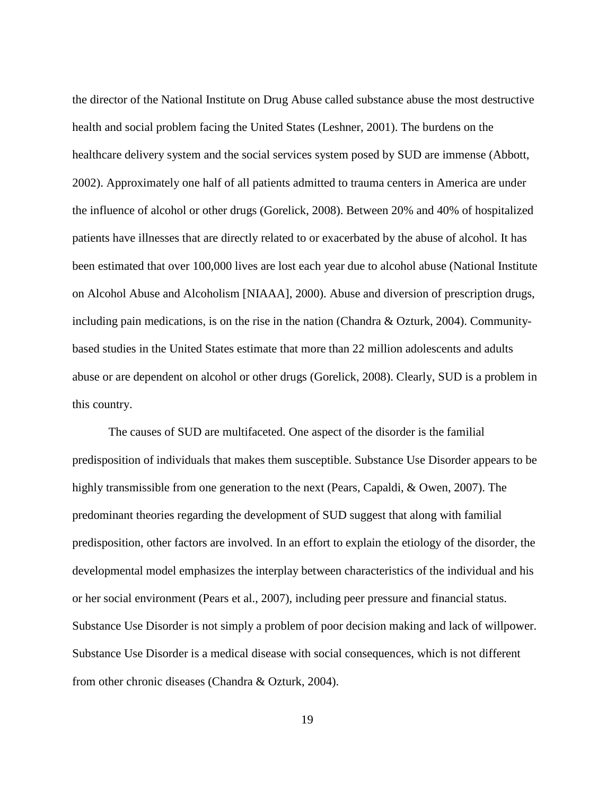the director of the National Institute on Drug Abuse called substance abuse the most destructive health and social problem facing the United States (Leshner, 2001). The burdens on the healthcare delivery system and the social services system posed by SUD are immense (Abbott, 2002). Approximately one half of all patients admitted to trauma centers in America are under the influence of alcohol or other drugs (Gorelick, 2008). Between 20% and 40% of hospitalized patients have illnesses that are directly related to or exacerbated by the abuse of alcohol. It has been estimated that over 100,000 lives are lost each year due to alcohol abuse (National Institute on Alcohol Abuse and Alcoholism [NIAAA], 2000). Abuse and diversion of prescription drugs, including pain medications, is on the rise in the nation (Chandra  $\&$  Ozturk, 2004). Communitybased studies in the United States estimate that more than 22 million adolescents and adults abuse or are dependent on alcohol or other drugs (Gorelick, 2008). Clearly, SUD is a problem in this country.

 The causes of SUD are multifaceted. One aspect of the disorder is the familial predisposition of individuals that makes them susceptible. Substance Use Disorder appears to be highly transmissible from one generation to the next (Pears, Capaldi, & Owen, 2007). The predominant theories regarding the development of SUD suggest that along with familial predisposition, other factors are involved. In an effort to explain the etiology of the disorder, the developmental model emphasizes the interplay between characteristics of the individual and his or her social environment (Pears et al., 2007), including peer pressure and financial status. Substance Use Disorder is not simply a problem of poor decision making and lack of willpower. Substance Use Disorder is a medical disease with social consequences, which is not different from other chronic diseases (Chandra & Ozturk, 2004).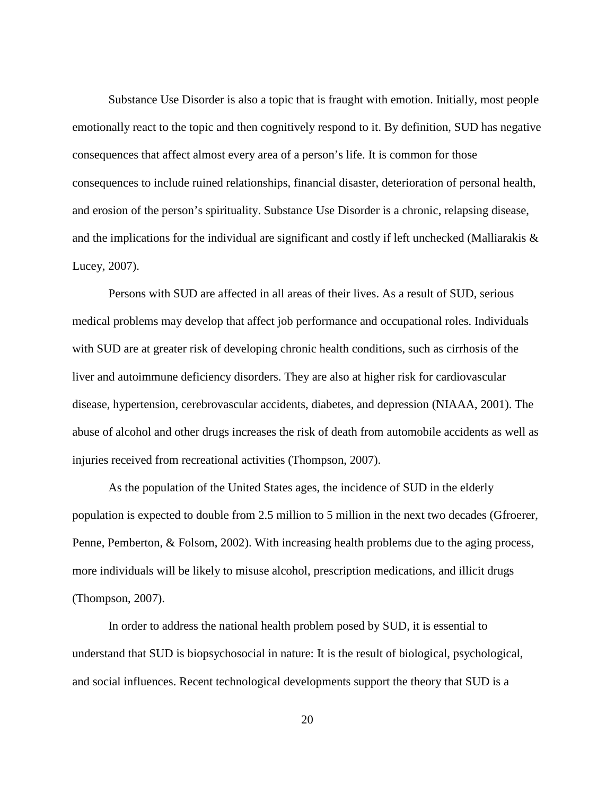Substance Use Disorder is also a topic that is fraught with emotion. Initially, most people emotionally react to the topic and then cognitively respond to it. By definition, SUD has negative consequences that affect almost every area of a person's life. It is common for those consequences to include ruined relationships, financial disaster, deterioration of personal health, and erosion of the person's spirituality. Substance Use Disorder is a chronic, relapsing disease, and the implications for the individual are significant and costly if left unchecked (Malliarakis  $\&$ Lucey, 2007).

 Persons with SUD are affected in all areas of their lives. As a result of SUD, serious medical problems may develop that affect job performance and occupational roles. Individuals with SUD are at greater risk of developing chronic health conditions, such as cirrhosis of the liver and autoimmune deficiency disorders. They are also at higher risk for cardiovascular disease, hypertension, cerebrovascular accidents, diabetes, and depression (NIAAA, 2001). The abuse of alcohol and other drugs increases the risk of death from automobile accidents as well as injuries received from recreational activities (Thompson, 2007).

 As the population of the United States ages, the incidence of SUD in the elderly population is expected to double from 2.5 million to 5 million in the next two decades (Gfroerer, Penne, Pemberton, & Folsom, 2002). With increasing health problems due to the aging process, more individuals will be likely to misuse alcohol, prescription medications, and illicit drugs (Thompson, 2007).

 In order to address the national health problem posed by SUD, it is essential to understand that SUD is biopsychosocial in nature: It is the result of biological, psychological, and social influences. Recent technological developments support the theory that SUD is a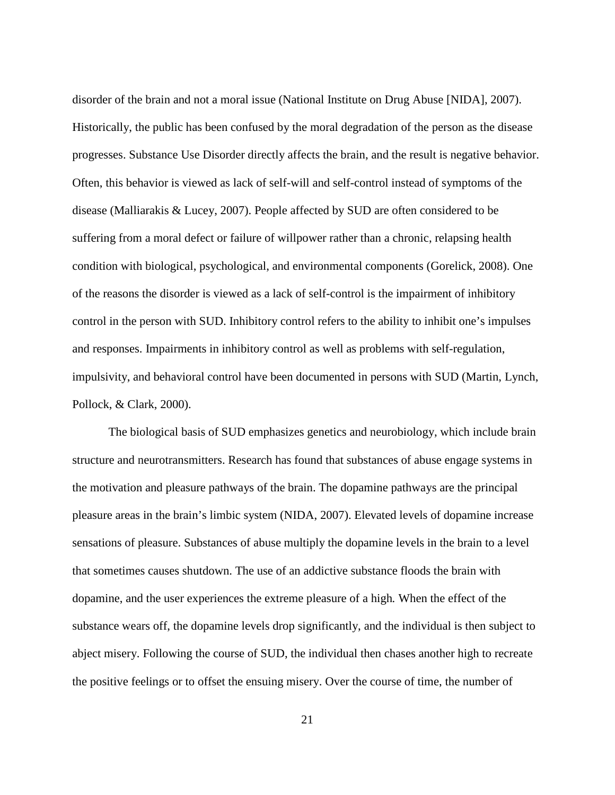disorder of the brain and not a moral issue (National Institute on Drug Abuse [NIDA], 2007). Historically, the public has been confused by the moral degradation of the person as the disease progresses. Substance Use Disorder directly affects the brain, and the result is negative behavior. Often, this behavior is viewed as lack of self-will and self-control instead of symptoms of the disease (Malliarakis & Lucey, 2007). People affected by SUD are often considered to be suffering from a moral defect or failure of willpower rather than a chronic, relapsing health condition with biological, psychological, and environmental components (Gorelick, 2008). One of the reasons the disorder is viewed as a lack of self-control is the impairment of inhibitory control in the person with SUD. Inhibitory control refers to the ability to inhibit one's impulses and responses. Impairments in inhibitory control as well as problems with self-regulation, impulsivity, and behavioral control have been documented in persons with SUD (Martin, Lynch, Pollock, & Clark, 2000).

 The biological basis of SUD emphasizes genetics and neurobiology, which include brain structure and neurotransmitters. Research has found that substances of abuse engage systems in the motivation and pleasure pathways of the brain. The dopamine pathways are the principal pleasure areas in the brain's limbic system (NIDA, 2007). Elevated levels of dopamine increase sensations of pleasure. Substances of abuse multiply the dopamine levels in the brain to a level that sometimes causes shutdown. The use of an addictive substance floods the brain with dopamine, and the user experiences the extreme pleasure of a high*.* When the effect of the substance wears off, the dopamine levels drop significantly, and the individual is then subject to abject misery. Following the course of SUD, the individual then chases another high to recreate the positive feelings or to offset the ensuing misery. Over the course of time, the number of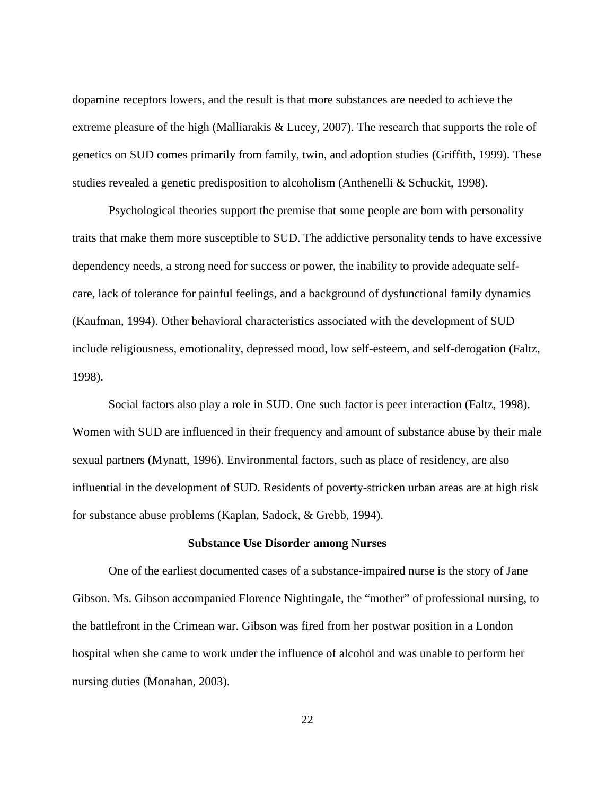dopamine receptors lowers, and the result is that more substances are needed to achieve the extreme pleasure of the high (Malliarakis & Lucey, 2007). The research that supports the role of genetics on SUD comes primarily from family, twin, and adoption studies (Griffith, 1999). These studies revealed a genetic predisposition to alcoholism (Anthenelli & Schuckit, 1998).

 Psychological theories support the premise that some people are born with personality traits that make them more susceptible to SUD. The addictive personality tends to have excessive dependency needs, a strong need for success or power, the inability to provide adequate selfcare, lack of tolerance for painful feelings, and a background of dysfunctional family dynamics (Kaufman, 1994). Other behavioral characteristics associated with the development of SUD include religiousness, emotionality, depressed mood, low self-esteem, and self-derogation (Faltz, 1998).

 Social factors also play a role in SUD. One such factor is peer interaction (Faltz, 1998). Women with SUD are influenced in their frequency and amount of substance abuse by their male sexual partners (Mynatt, 1996). Environmental factors, such as place of residency, are also influential in the development of SUD. Residents of poverty-stricken urban areas are at high risk for substance abuse problems (Kaplan, Sadock, & Grebb, 1994).

#### **Substance Use Disorder among Nurses**

 One of the earliest documented cases of a substance-impaired nurse is the story of Jane Gibson. Ms. Gibson accompanied Florence Nightingale, the "mother" of professional nursing, to the battlefront in the Crimean war. Gibson was fired from her postwar position in a London hospital when she came to work under the influence of alcohol and was unable to perform her nursing duties (Monahan, 2003).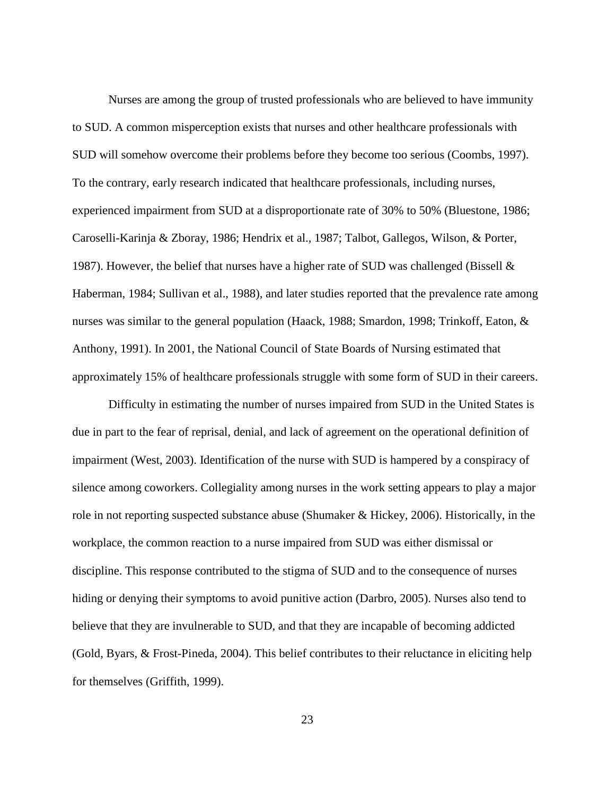Nurses are among the group of trusted professionals who are believed to have immunity to SUD. A common misperception exists that nurses and other healthcare professionals with SUD will somehow overcome their problems before they become too serious (Coombs, 1997). To the contrary, early research indicated that healthcare professionals, including nurses, experienced impairment from SUD at a disproportionate rate of 30% to 50% (Bluestone, 1986; Caroselli-Karinja & Zboray, 1986; Hendrix et al., 1987; Talbot, Gallegos, Wilson, & Porter, 1987). However, the belief that nurses have a higher rate of SUD was challenged (Bissell & Haberman, 1984; Sullivan et al., 1988), and later studies reported that the prevalence rate among nurses was similar to the general population (Haack, 1988; Smardon, 1998; Trinkoff, Eaton, & Anthony, 1991). In 2001, the National Council of State Boards of Nursing estimated that approximately 15% of healthcare professionals struggle with some form of SUD in their careers.

 Difficulty in estimating the number of nurses impaired from SUD in the United States is due in part to the fear of reprisal, denial, and lack of agreement on the operational definition of impairment (West, 2003). Identification of the nurse with SUD is hampered by a conspiracy of silence among coworkers. Collegiality among nurses in the work setting appears to play a major role in not reporting suspected substance abuse (Shumaker & Hickey, 2006). Historically, in the workplace, the common reaction to a nurse impaired from SUD was either dismissal or discipline. This response contributed to the stigma of SUD and to the consequence of nurses hiding or denying their symptoms to avoid punitive action (Darbro, 2005). Nurses also tend to believe that they are invulnerable to SUD, and that they are incapable of becoming addicted (Gold, Byars, & Frost-Pineda, 2004). This belief contributes to their reluctance in eliciting help for themselves (Griffith, 1999).

23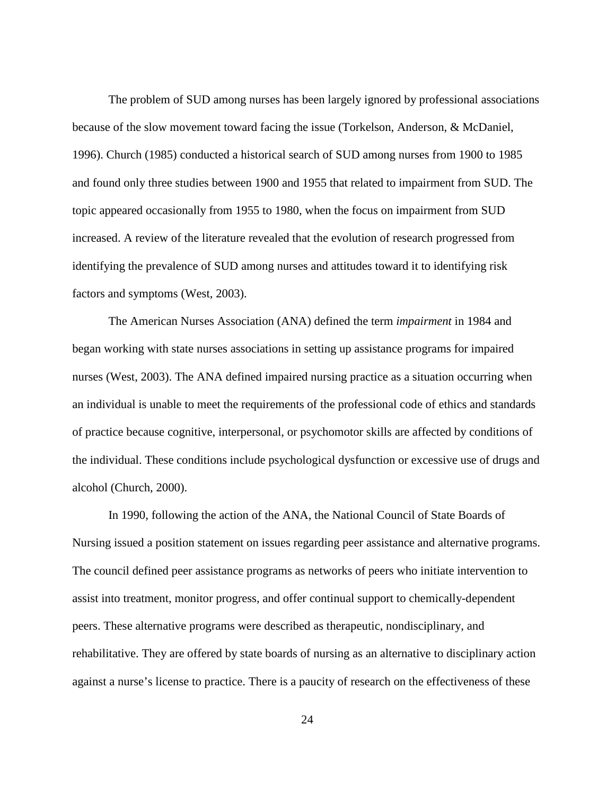The problem of SUD among nurses has been largely ignored by professional associations because of the slow movement toward facing the issue (Torkelson, Anderson, & McDaniel, 1996). Church (1985) conducted a historical search of SUD among nurses from 1900 to 1985 and found only three studies between 1900 and 1955 that related to impairment from SUD. The topic appeared occasionally from 1955 to 1980, when the focus on impairment from SUD increased. A review of the literature revealed that the evolution of research progressed from identifying the prevalence of SUD among nurses and attitudes toward it to identifying risk factors and symptoms (West, 2003).

 The American Nurses Association (ANA) defined the term *impairment* in 1984 and began working with state nurses associations in setting up assistance programs for impaired nurses (West, 2003). The ANA defined impaired nursing practice as a situation occurring when an individual is unable to meet the requirements of the professional code of ethics and standards of practice because cognitive, interpersonal, or psychomotor skills are affected by conditions of the individual. These conditions include psychological dysfunction or excessive use of drugs and alcohol (Church, 2000).

 In 1990, following the action of the ANA, the National Council of State Boards of Nursing issued a position statement on issues regarding peer assistance and alternative programs. The council defined peer assistance programs as networks of peers who initiate intervention to assist into treatment, monitor progress, and offer continual support to chemically-dependent peers. These alternative programs were described as therapeutic, nondisciplinary, and rehabilitative. They are offered by state boards of nursing as an alternative to disciplinary action against a nurse's license to practice. There is a paucity of research on the effectiveness of these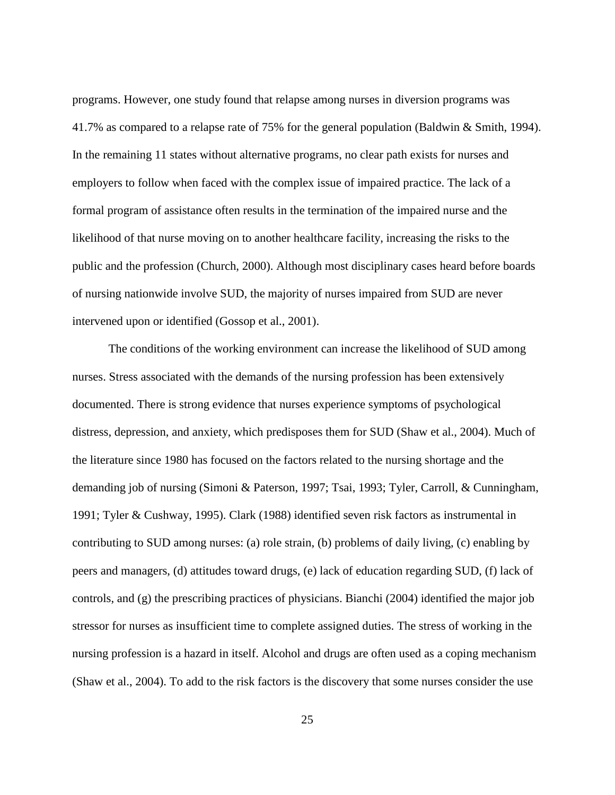programs. However, one study found that relapse among nurses in diversion programs was 41.7% as compared to a relapse rate of 75% for the general population (Baldwin & Smith, 1994). In the remaining 11 states without alternative programs, no clear path exists for nurses and employers to follow when faced with the complex issue of impaired practice. The lack of a formal program of assistance often results in the termination of the impaired nurse and the likelihood of that nurse moving on to another healthcare facility, increasing the risks to the public and the profession (Church, 2000). Although most disciplinary cases heard before boards of nursing nationwide involve SUD, the majority of nurses impaired from SUD are never intervened upon or identified (Gossop et al., 2001).

 The conditions of the working environment can increase the likelihood of SUD among nurses. Stress associated with the demands of the nursing profession has been extensively documented. There is strong evidence that nurses experience symptoms of psychological distress, depression, and anxiety, which predisposes them for SUD (Shaw et al., 2004). Much of the literature since 1980 has focused on the factors related to the nursing shortage and the demanding job of nursing (Simoni & Paterson, 1997; Tsai, 1993; Tyler, Carroll, & Cunningham, 1991; Tyler & Cushway, 1995). Clark (1988) identified seven risk factors as instrumental in contributing to SUD among nurses: (a) role strain, (b) problems of daily living, (c) enabling by peers and managers, (d) attitudes toward drugs, (e) lack of education regarding SUD, (f) lack of controls, and (g) the prescribing practices of physicians. Bianchi (2004) identified the major job stressor for nurses as insufficient time to complete assigned duties. The stress of working in the nursing profession is a hazard in itself. Alcohol and drugs are often used as a coping mechanism (Shaw et al., 2004). To add to the risk factors is the discovery that some nurses consider the use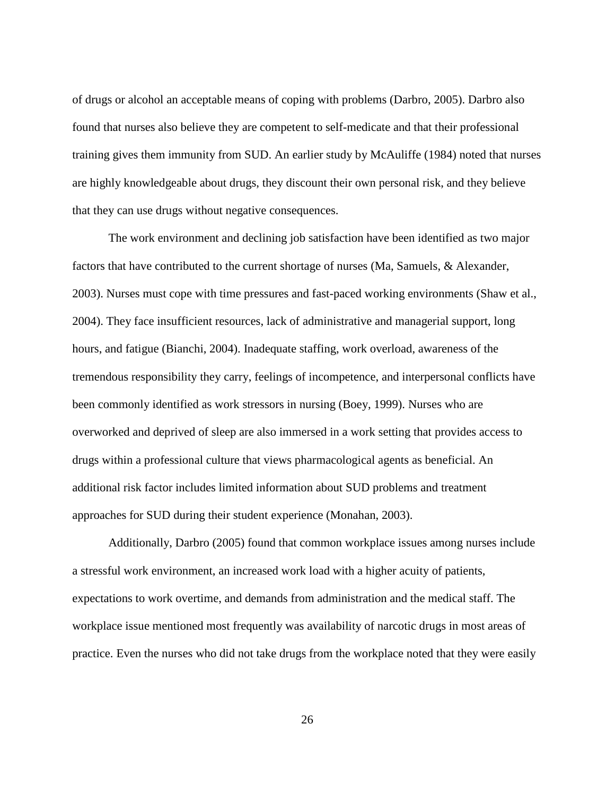of drugs or alcohol an acceptable means of coping with problems (Darbro, 2005). Darbro also found that nurses also believe they are competent to self-medicate and that their professional training gives them immunity from SUD. An earlier study by McAuliffe (1984) noted that nurses are highly knowledgeable about drugs, they discount their own personal risk, and they believe that they can use drugs without negative consequences.

 The work environment and declining job satisfaction have been identified as two major factors that have contributed to the current shortage of nurses (Ma, Samuels, & Alexander, 2003). Nurses must cope with time pressures and fast-paced working environments (Shaw et al., 2004). They face insufficient resources, lack of administrative and managerial support, long hours, and fatigue (Bianchi, 2004). Inadequate staffing, work overload, awareness of the tremendous responsibility they carry, feelings of incompetence, and interpersonal conflicts have been commonly identified as work stressors in nursing (Boey, 1999). Nurses who are overworked and deprived of sleep are also immersed in a work setting that provides access to drugs within a professional culture that views pharmacological agents as beneficial. An additional risk factor includes limited information about SUD problems and treatment approaches for SUD during their student experience (Monahan, 2003).

 Additionally, Darbro (2005) found that common workplace issues among nurses include a stressful work environment, an increased work load with a higher acuity of patients, expectations to work overtime, and demands from administration and the medical staff. The workplace issue mentioned most frequently was availability of narcotic drugs in most areas of practice. Even the nurses who did not take drugs from the workplace noted that they were easily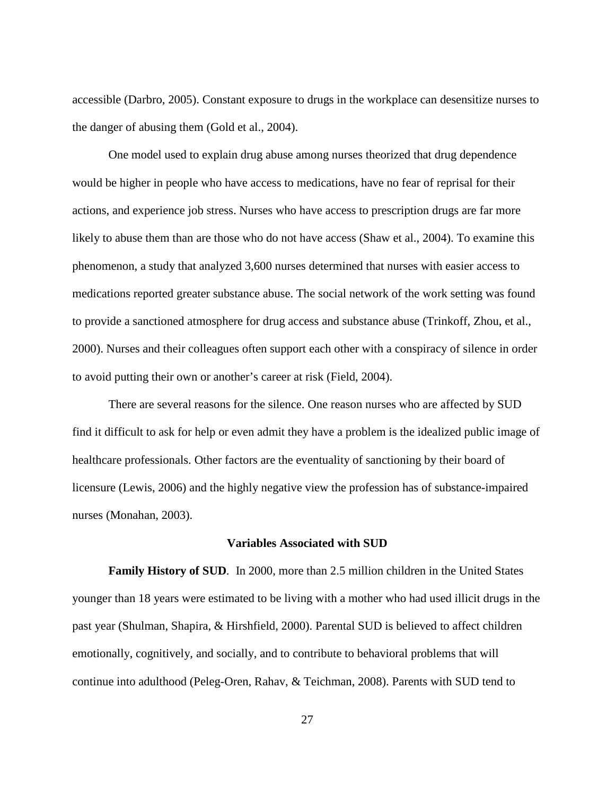accessible (Darbro, 2005). Constant exposure to drugs in the workplace can desensitize nurses to the danger of abusing them (Gold et al., 2004).

 One model used to explain drug abuse among nurses theorized that drug dependence would be higher in people who have access to medications, have no fear of reprisal for their actions, and experience job stress. Nurses who have access to prescription drugs are far more likely to abuse them than are those who do not have access (Shaw et al., 2004). To examine this phenomenon, a study that analyzed 3,600 nurses determined that nurses with easier access to medications reported greater substance abuse. The social network of the work setting was found to provide a sanctioned atmosphere for drug access and substance abuse (Trinkoff, Zhou, et al., 2000). Nurses and their colleagues often support each other with a conspiracy of silence in order to avoid putting their own or another's career at risk (Field, 2004).

 There are several reasons for the silence. One reason nurses who are affected by SUD find it difficult to ask for help or even admit they have a problem is the idealized public image of healthcare professionals. Other factors are the eventuality of sanctioning by their board of licensure (Lewis, 2006) and the highly negative view the profession has of substance-impaired nurses (Monahan, 2003).

#### **Variables Associated with SUD**

**Family History of SUD***.* In 2000, more than 2.5 million children in the United States younger than 18 years were estimated to be living with a mother who had used illicit drugs in the past year (Shulman, Shapira, & Hirshfield, 2000). Parental SUD is believed to affect children emotionally, cognitively, and socially, and to contribute to behavioral problems that will continue into adulthood (Peleg-Oren, Rahav, & Teichman, 2008). Parents with SUD tend to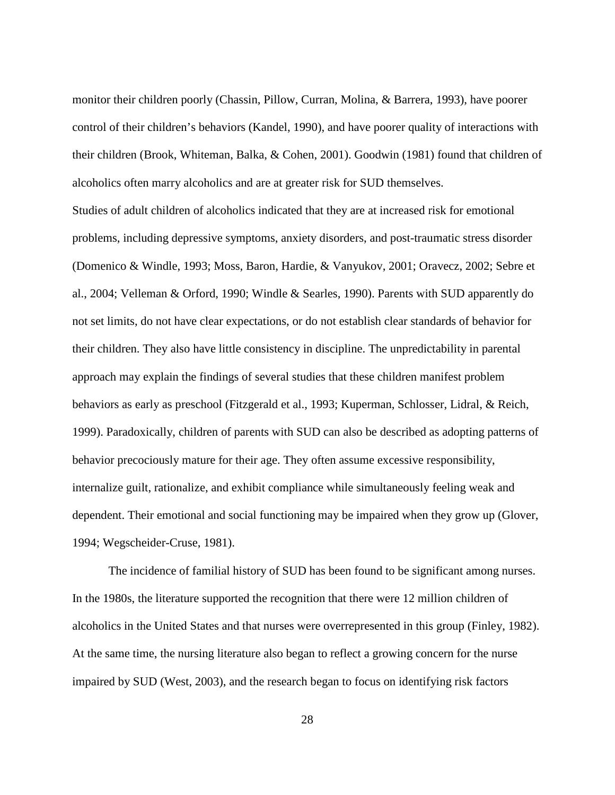monitor their children poorly (Chassin, Pillow, Curran, Molina, & Barrera, 1993), have poorer control of their children's behaviors (Kandel, 1990), and have poorer quality of interactions with their children (Brook, Whiteman, Balka, & Cohen, 2001). Goodwin (1981) found that children of alcoholics often marry alcoholics and are at greater risk for SUD themselves.

Studies of adult children of alcoholics indicated that they are at increased risk for emotional problems, including depressive symptoms, anxiety disorders, and post-traumatic stress disorder (Domenico & Windle, 1993; Moss, Baron, Hardie, & Vanyukov, 2001; Oravecz, 2002; Sebre et al., 2004; Velleman & Orford, 1990; Windle & Searles, 1990). Parents with SUD apparently do not set limits, do not have clear expectations, or do not establish clear standards of behavior for their children. They also have little consistency in discipline. The unpredictability in parental approach may explain the findings of several studies that these children manifest problem behaviors as early as preschool (Fitzgerald et al., 1993; Kuperman, Schlosser, Lidral, & Reich, 1999). Paradoxically, children of parents with SUD can also be described as adopting patterns of behavior precociously mature for their age. They often assume excessive responsibility, internalize guilt, rationalize, and exhibit compliance while simultaneously feeling weak and dependent. Their emotional and social functioning may be impaired when they grow up (Glover, 1994; Wegscheider-Cruse, 1981).

 The incidence of familial history of SUD has been found to be significant among nurses. In the 1980s, the literature supported the recognition that there were 12 million children of alcoholics in the United States and that nurses were overrepresented in this group (Finley, 1982). At the same time, the nursing literature also began to reflect a growing concern for the nurse impaired by SUD (West, 2003), and the research began to focus on identifying risk factors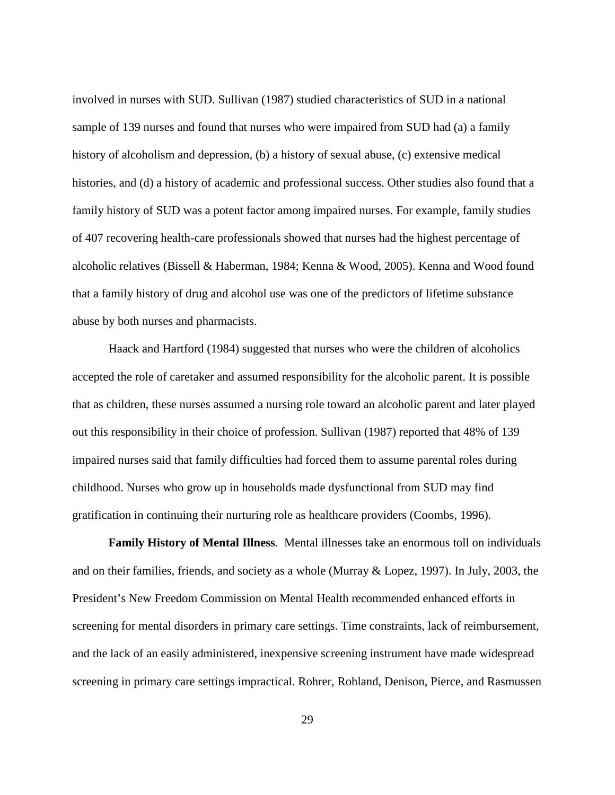involved in nurses with SUD. Sullivan (1987) studied characteristics of SUD in a national sample of 139 nurses and found that nurses who were impaired from SUD had (a) a family history of alcoholism and depression, (b) a history of sexual abuse, (c) extensive medical histories, and (d) a history of academic and professional success. Other studies also found that a family history of SUD was a potent factor among impaired nurses. For example, family studies of 407 recovering health-care professionals showed that nurses had the highest percentage of alcoholic relatives (Bissell & Haberman, 1984; Kenna & Wood, 2005). Kenna and Wood found that a family history of drug and alcohol use was one of the predictors of lifetime substance abuse by both nurses and pharmacists.

 Haack and Hartford (1984) suggested that nurses who were the children of alcoholics accepted the role of caretaker and assumed responsibility for the alcoholic parent. It is possible that as children, these nurses assumed a nursing role toward an alcoholic parent and later played out this responsibility in their choice of profession. Sullivan (1987) reported that 48% of 139 impaired nurses said that family difficulties had forced them to assume parental roles during childhood. Nurses who grow up in households made dysfunctional from SUD may find gratification in continuing their nurturing role as healthcare providers (Coombs, 1996).

**Family History of Mental Illness***.* Mental illnesses take an enormous toll on individuals and on their families, friends, and society as a whole (Murray & Lopez, 1997). In July, 2003, the President's New Freedom Commission on Mental Health recommended enhanced efforts in screening for mental disorders in primary care settings. Time constraints, lack of reimbursement, and the lack of an easily administered, inexpensive screening instrument have made widespread screening in primary care settings impractical. Rohrer, Rohland, Denison, Pierce, and Rasmussen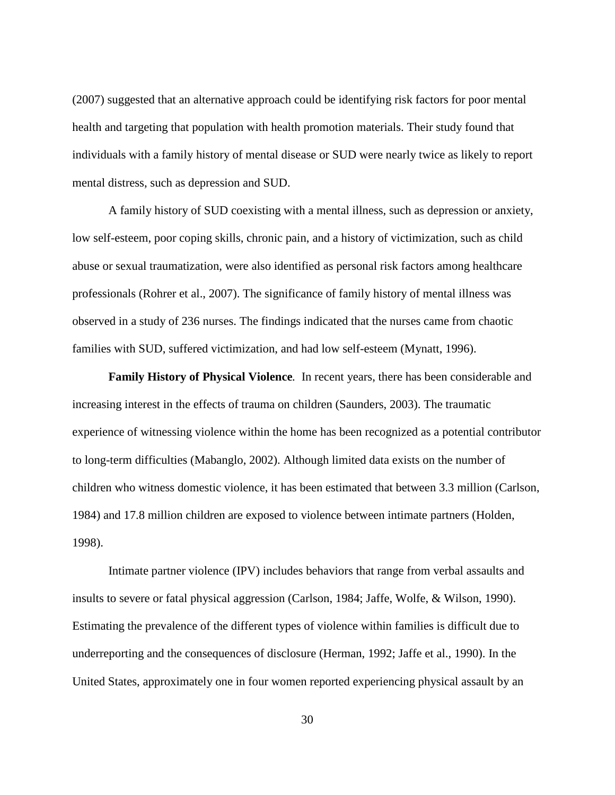(2007) suggested that an alternative approach could be identifying risk factors for poor mental health and targeting that population with health promotion materials. Their study found that individuals with a family history of mental disease or SUD were nearly twice as likely to report mental distress, such as depression and SUD.

 A family history of SUD coexisting with a mental illness, such as depression or anxiety, low self-esteem, poor coping skills, chronic pain, and a history of victimization, such as child abuse or sexual traumatization, were also identified as personal risk factors among healthcare professionals (Rohrer et al., 2007). The significance of family history of mental illness was observed in a study of 236 nurses. The findings indicated that the nurses came from chaotic families with SUD, suffered victimization, and had low self-esteem (Mynatt, 1996).

**Family History of Physical Violence***.* In recent years, there has been considerable and increasing interest in the effects of trauma on children (Saunders, 2003). The traumatic experience of witnessing violence within the home has been recognized as a potential contributor to long-term difficulties (Mabanglo, 2002). Although limited data exists on the number of children who witness domestic violence, it has been estimated that between 3.3 million (Carlson, 1984) and 17.8 million children are exposed to violence between intimate partners (Holden, 1998).

 Intimate partner violence (IPV) includes behaviors that range from verbal assaults and insults to severe or fatal physical aggression (Carlson, 1984; Jaffe, Wolfe, & Wilson, 1990). Estimating the prevalence of the different types of violence within families is difficult due to underreporting and the consequences of disclosure (Herman, 1992; Jaffe et al., 1990). In the United States, approximately one in four women reported experiencing physical assault by an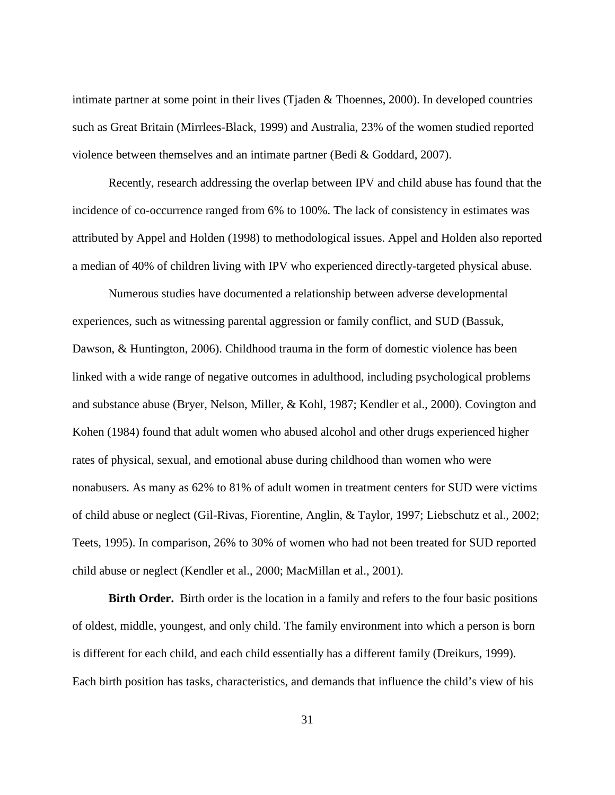intimate partner at some point in their lives (Tjaden & Thoennes, 2000). In developed countries such as Great Britain (Mirrlees-Black, 1999) and Australia, 23% of the women studied reported violence between themselves and an intimate partner (Bedi & Goddard, 2007).

 Recently, research addressing the overlap between IPV and child abuse has found that the incidence of co-occurrence ranged from 6% to 100%. The lack of consistency in estimates was attributed by Appel and Holden (1998) to methodological issues. Appel and Holden also reported a median of 40% of children living with IPV who experienced directly-targeted physical abuse.

 Numerous studies have documented a relationship between adverse developmental experiences, such as witnessing parental aggression or family conflict, and SUD (Bassuk, Dawson, & Huntington, 2006). Childhood trauma in the form of domestic violence has been linked with a wide range of negative outcomes in adulthood, including psychological problems and substance abuse (Bryer, Nelson, Miller, & Kohl, 1987; Kendler et al., 2000). Covington and Kohen (1984) found that adult women who abused alcohol and other drugs experienced higher rates of physical, sexual, and emotional abuse during childhood than women who were nonabusers. As many as 62% to 81% of adult women in treatment centers for SUD were victims of child abuse or neglect (Gil-Rivas, Fiorentine, Anglin, & Taylor, 1997; Liebschutz et al., 2002; Teets, 1995). In comparison, 26% to 30% of women who had not been treated for SUD reported child abuse or neglect (Kendler et al., 2000; MacMillan et al., 2001).

**Birth Order.** Birth order is the location in a family and refers to the four basic positions of oldest, middle, youngest, and only child. The family environment into which a person is born is different for each child, and each child essentially has a different family (Dreikurs, 1999). Each birth position has tasks, characteristics, and demands that influence the child's view of his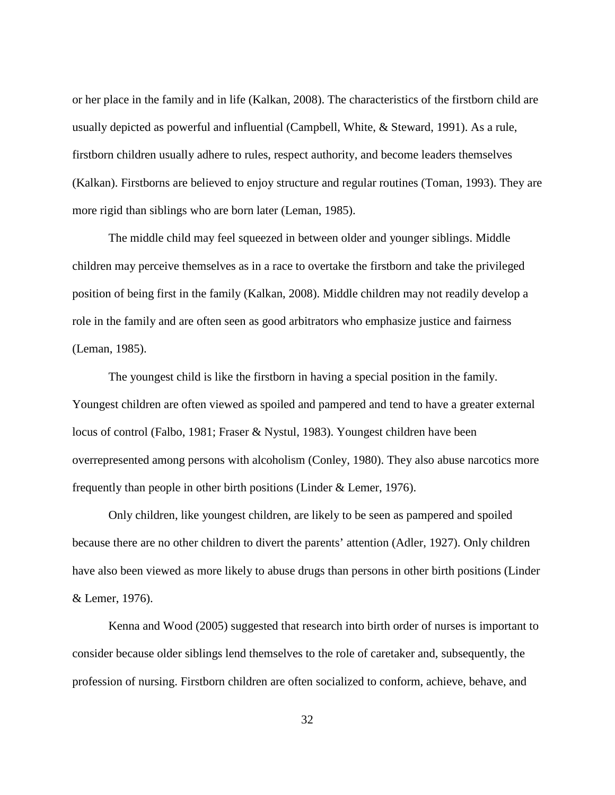or her place in the family and in life (Kalkan, 2008). The characteristics of the firstborn child are usually depicted as powerful and influential (Campbell, White, & Steward, 1991). As a rule, firstborn children usually adhere to rules, respect authority, and become leaders themselves (Kalkan). Firstborns are believed to enjoy structure and regular routines (Toman, 1993). They are more rigid than siblings who are born later (Leman, 1985).

 The middle child may feel squeezed in between older and younger siblings. Middle children may perceive themselves as in a race to overtake the firstborn and take the privileged position of being first in the family (Kalkan, 2008). Middle children may not readily develop a role in the family and are often seen as good arbitrators who emphasize justice and fairness (Leman, 1985).

 The youngest child is like the firstborn in having a special position in the family. Youngest children are often viewed as spoiled and pampered and tend to have a greater external locus of control (Falbo, 1981; Fraser & Nystul, 1983). Youngest children have been overrepresented among persons with alcoholism (Conley, 1980). They also abuse narcotics more frequently than people in other birth positions (Linder & Lemer, 1976).

 Only children, like youngest children, are likely to be seen as pampered and spoiled because there are no other children to divert the parents' attention (Adler, 1927). Only children have also been viewed as more likely to abuse drugs than persons in other birth positions (Linder & Lemer, 1976).

 Kenna and Wood (2005) suggested that research into birth order of nurses is important to consider because older siblings lend themselves to the role of caretaker and, subsequently, the profession of nursing. Firstborn children are often socialized to conform, achieve, behave, and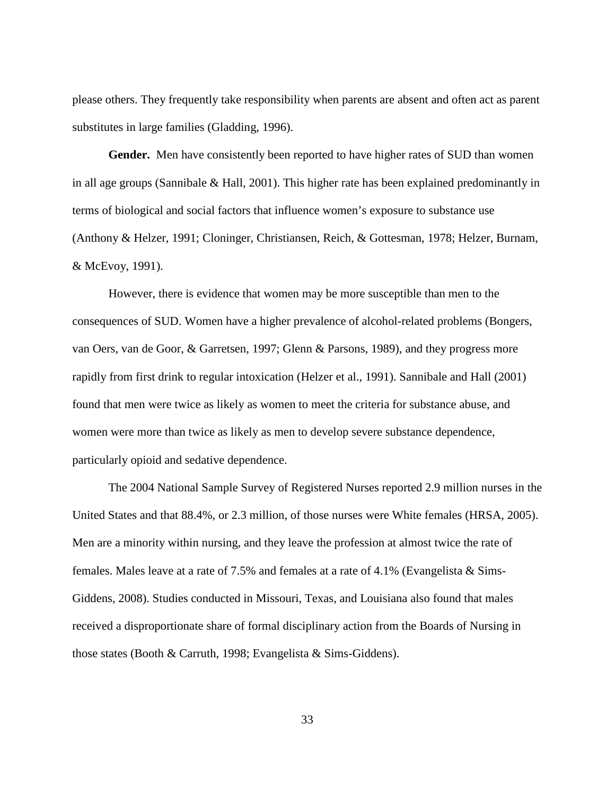please others. They frequently take responsibility when parents are absent and often act as parent substitutes in large families (Gladding, 1996).

**Gender.** Men have consistently been reported to have higher rates of SUD than women in all age groups (Sannibale  $\&$  Hall, 2001). This higher rate has been explained predominantly in terms of biological and social factors that influence women's exposure to substance use (Anthony & Helzer, 1991; Cloninger, Christiansen, Reich, & Gottesman, 1978; Helzer, Burnam, & McEvoy, 1991).

 However, there is evidence that women may be more susceptible than men to the consequences of SUD. Women have a higher prevalence of alcohol-related problems (Bongers, van Oers, van de Goor, & Garretsen, 1997; Glenn & Parsons, 1989), and they progress more rapidly from first drink to regular intoxication (Helzer et al., 1991). Sannibale and Hall (2001) found that men were twice as likely as women to meet the criteria for substance abuse, and women were more than twice as likely as men to develop severe substance dependence, particularly opioid and sedative dependence.

 The 2004 National Sample Survey of Registered Nurses reported 2.9 million nurses in the United States and that 88.4%, or 2.3 million, of those nurses were White females (HRSA, 2005). Men are a minority within nursing, and they leave the profession at almost twice the rate of females. Males leave at a rate of 7.5% and females at a rate of 4.1% (Evangelista & Sims-Giddens, 2008). Studies conducted in Missouri, Texas, and Louisiana also found that males received a disproportionate share of formal disciplinary action from the Boards of Nursing in those states (Booth & Carruth, 1998; Evangelista & Sims-Giddens).

33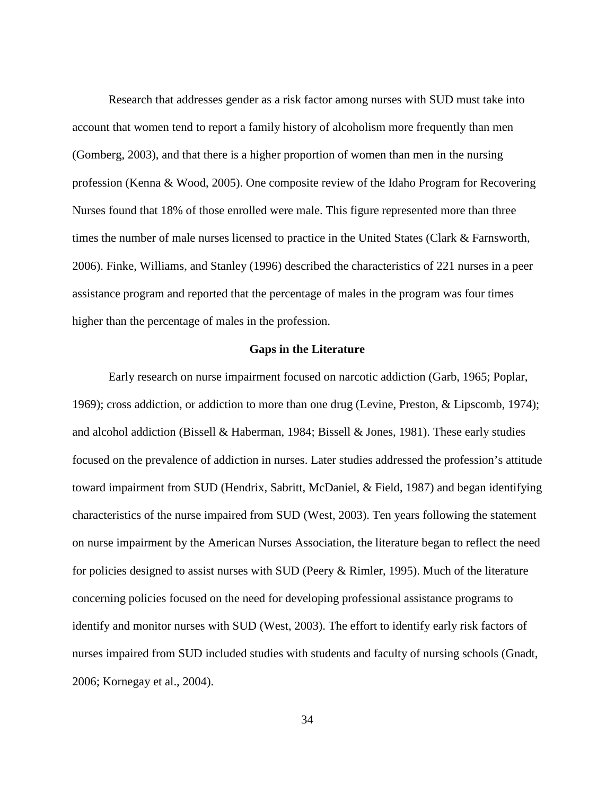Research that addresses gender as a risk factor among nurses with SUD must take into account that women tend to report a family history of alcoholism more frequently than men (Gomberg, 2003), and that there is a higher proportion of women than men in the nursing profession (Kenna & Wood, 2005). One composite review of the Idaho Program for Recovering Nurses found that 18% of those enrolled were male. This figure represented more than three times the number of male nurses licensed to practice in the United States (Clark & Farnsworth, 2006). Finke, Williams, and Stanley (1996) described the characteristics of 221 nurses in a peer assistance program and reported that the percentage of males in the program was four times higher than the percentage of males in the profession.

### **Gaps in the Literature**

 Early research on nurse impairment focused on narcotic addiction (Garb, 1965; Poplar, 1969); cross addiction, or addiction to more than one drug (Levine, Preston, & Lipscomb, 1974); and alcohol addiction (Bissell & Haberman, 1984; Bissell & Jones, 1981). These early studies focused on the prevalence of addiction in nurses. Later studies addressed the profession's attitude toward impairment from SUD (Hendrix, Sabritt, McDaniel, & Field, 1987) and began identifying characteristics of the nurse impaired from SUD (West, 2003). Ten years following the statement on nurse impairment by the American Nurses Association, the literature began to reflect the need for policies designed to assist nurses with SUD (Peery & Rimler, 1995). Much of the literature concerning policies focused on the need for developing professional assistance programs to identify and monitor nurses with SUD (West, 2003). The effort to identify early risk factors of nurses impaired from SUD included studies with students and faculty of nursing schools (Gnadt, 2006; Kornegay et al., 2004).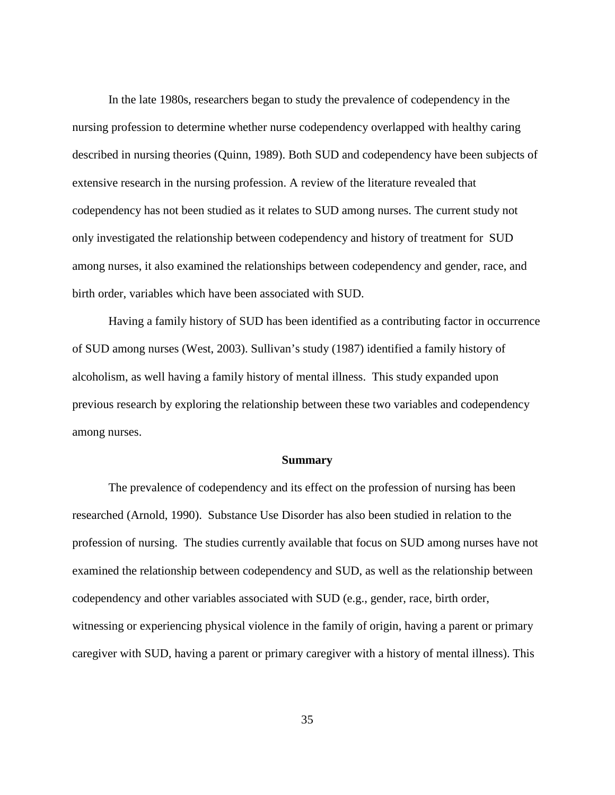In the late 1980s, researchers began to study the prevalence of codependency in the nursing profession to determine whether nurse codependency overlapped with healthy caring described in nursing theories (Quinn, 1989). Both SUD and codependency have been subjects of extensive research in the nursing profession. A review of the literature revealed that codependency has not been studied as it relates to SUD among nurses. The current study not only investigated the relationship between codependency and history of treatment for SUD among nurses, it also examined the relationships between codependency and gender, race, and birth order, variables which have been associated with SUD.

 Having a family history of SUD has been identified as a contributing factor in occurrence of SUD among nurses (West, 2003). Sullivan's study (1987) identified a family history of alcoholism, as well having a family history of mental illness. This study expanded upon previous research by exploring the relationship between these two variables and codependency among nurses.

#### **Summary**

 The prevalence of codependency and its effect on the profession of nursing has been researched (Arnold, 1990). Substance Use Disorder has also been studied in relation to the profession of nursing. The studies currently available that focus on SUD among nurses have not examined the relationship between codependency and SUD, as well as the relationship between codependency and other variables associated with SUD (e.g., gender, race, birth order, witnessing or experiencing physical violence in the family of origin, having a parent or primary caregiver with SUD, having a parent or primary caregiver with a history of mental illness). This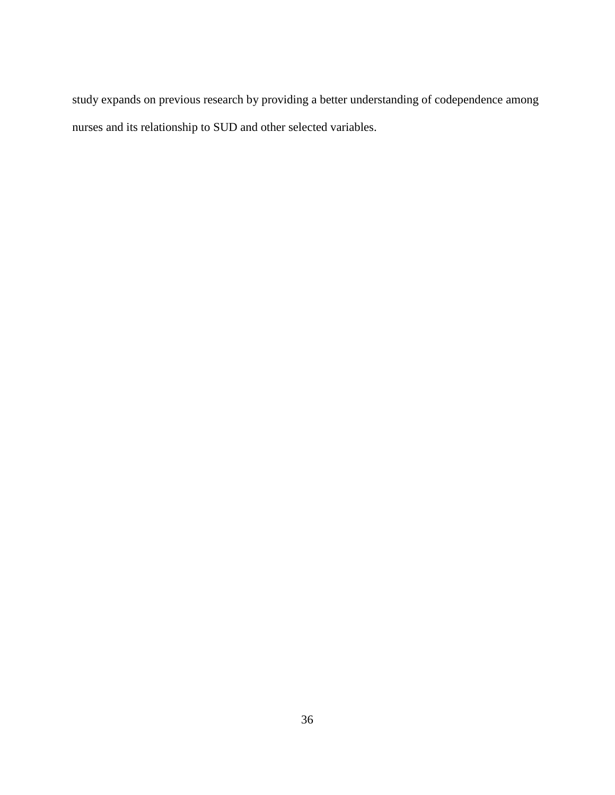study expands on previous research by providing a better understanding of codependence among nurses and its relationship to SUD and other selected variables.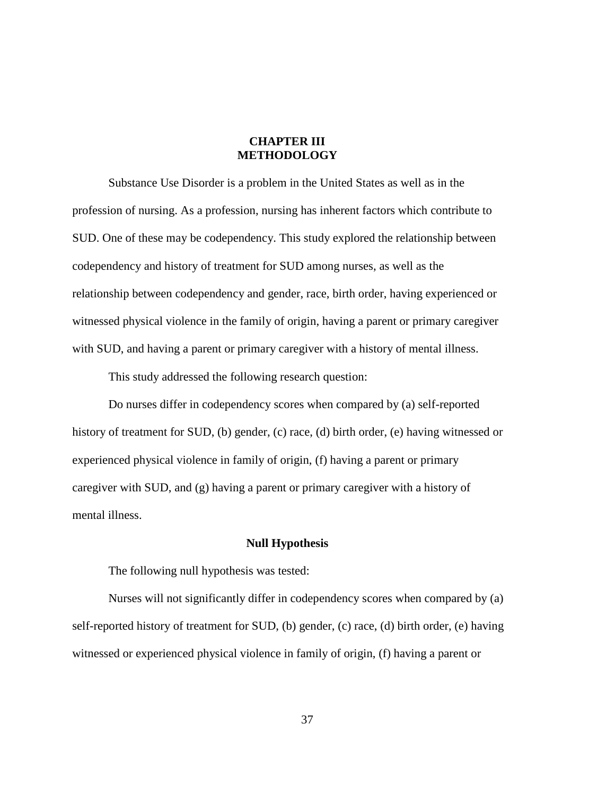# **CHAPTER III METHODOLOGY**

Substance Use Disorder is a problem in the United States as well as in the profession of nursing. As a profession, nursing has inherent factors which contribute to SUD. One of these may be codependency. This study explored the relationship between codependency and history of treatment for SUD among nurses, as well as the relationship between codependency and gender, race, birth order, having experienced or witnessed physical violence in the family of origin, having a parent or primary caregiver with SUD, and having a parent or primary caregiver with a history of mental illness.

This study addressed the following research question:

 Do nurses differ in codependency scores when compared by (a) self-reported history of treatment for SUD, (b) gender, (c) race, (d) birth order, (e) having witnessed or experienced physical violence in family of origin, (f) having a parent or primary caregiver with SUD, and (g) having a parent or primary caregiver with a history of mental illness.

## **Null Hypothesis**

The following null hypothesis was tested:

 Nurses will not significantly differ in codependency scores when compared by (a) self-reported history of treatment for SUD, (b) gender, (c) race, (d) birth order, (e) having witnessed or experienced physical violence in family of origin, (f) having a parent or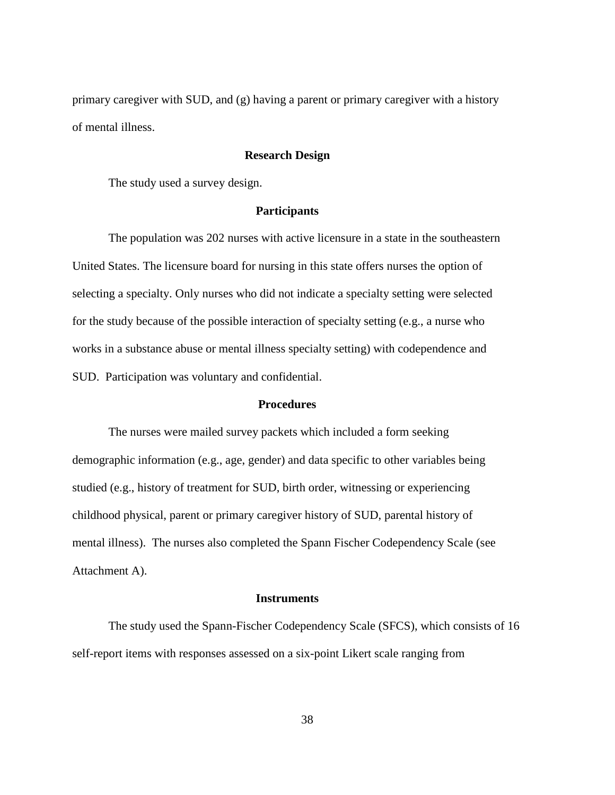primary caregiver with SUD, and (g) having a parent or primary caregiver with a history of mental illness.

## **Research Design**

The study used a survey design.

#### **Participants**

 The population was 202 nurses with active licensure in a state in the southeastern United States. The licensure board for nursing in this state offers nurses the option of selecting a specialty. Only nurses who did not indicate a specialty setting were selected for the study because of the possible interaction of specialty setting (e.g., a nurse who works in a substance abuse or mental illness specialty setting) with codependence and SUD. Participation was voluntary and confidential.

## **Procedures**

 The nurses were mailed survey packets which included a form seeking demographic information (e.g., age, gender) and data specific to other variables being studied (e.g., history of treatment for SUD, birth order, witnessing or experiencing childhood physical, parent or primary caregiver history of SUD, parental history of mental illness). The nurses also completed the Spann Fischer Codependency Scale (see Attachment A).

#### **Instruments**

 The study used the Spann-Fischer Codependency Scale (SFCS), which consists of 16 self-report items with responses assessed on a six-point Likert scale ranging from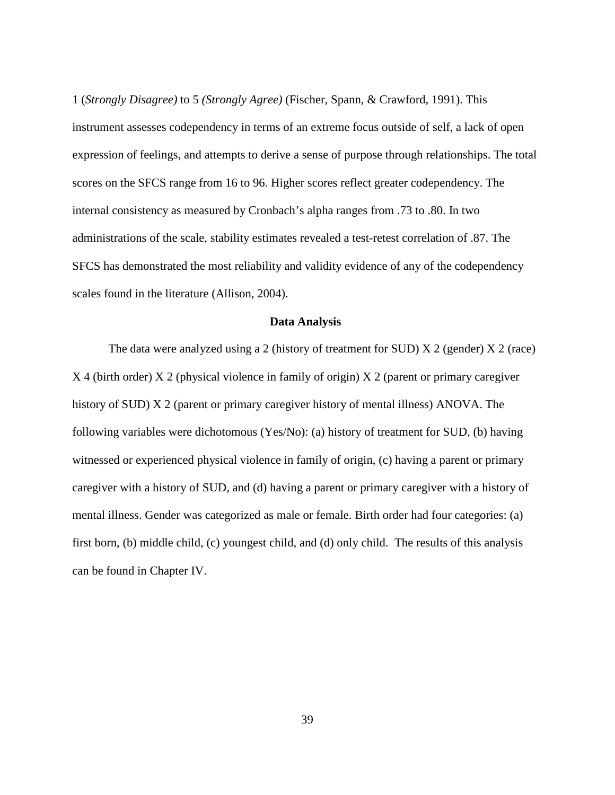1 (*Strongly Disagree)* to 5 *(Strongly Agree)* (Fischer, Spann, & Crawford, 1991). This instrument assesses codependency in terms of an extreme focus outside of self, a lack of open expression of feelings, and attempts to derive a sense of purpose through relationships. The total scores on the SFCS range from 16 to 96. Higher scores reflect greater codependency. The internal consistency as measured by Cronbach's alpha ranges from .73 to .80. In two administrations of the scale, stability estimates revealed a test-retest correlation of .87. The SFCS has demonstrated the most reliability and validity evidence of any of the codependency scales found in the literature (Allison, 2004).

#### **Data Analysis**

The data were analyzed using a 2 (history of treatment for SUD)  $X$  2 (gender)  $X$  2 (race) X 4 (birth order) X 2 (physical violence in family of origin) X 2 (parent or primary caregiver history of SUD) X 2 (parent or primary caregiver history of mental illness) ANOVA. The following variables were dichotomous (Yes/No): (a) history of treatment for SUD, (b) having witnessed or experienced physical violence in family of origin, (c) having a parent or primary caregiver with a history of SUD, and (d) having a parent or primary caregiver with a history of mental illness. Gender was categorized as male or female. Birth order had four categories: (a) first born, (b) middle child, (c) youngest child, and (d) only child. The results of this analysis can be found in Chapter IV.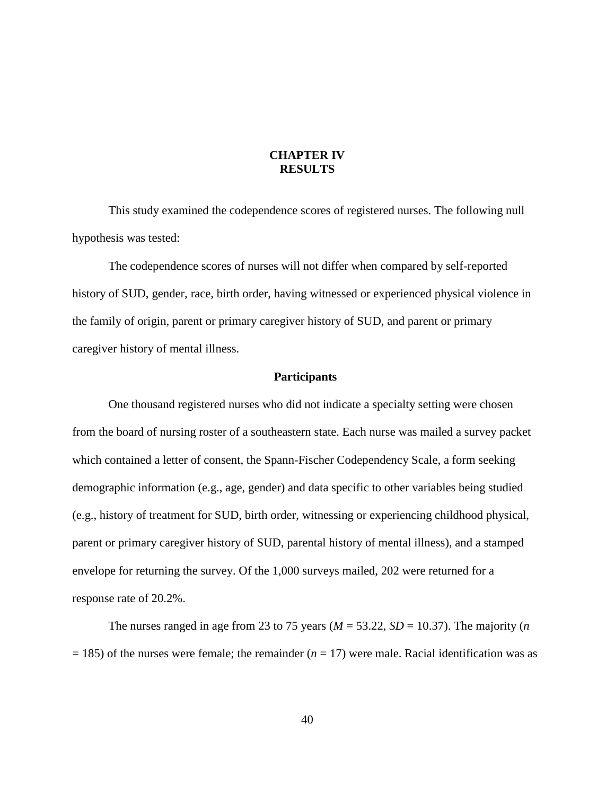# **CHAPTER IV RESULTS**

 This study examined the codependence scores of registered nurses. The following null hypothesis was tested:

 The codependence scores of nurses will not differ when compared by self-reported history of SUD, gender, race, birth order, having witnessed or experienced physical violence in the family of origin, parent or primary caregiver history of SUD, and parent or primary caregiver history of mental illness.

#### **Participants**

 One thousand registered nurses who did not indicate a specialty setting were chosen from the board of nursing roster of a southeastern state. Each nurse was mailed a survey packet which contained a letter of consent, the Spann-Fischer Codependency Scale, a form seeking demographic information (e.g., age, gender) and data specific to other variables being studied (e.g., history of treatment for SUD, birth order, witnessing or experiencing childhood physical, parent or primary caregiver history of SUD, parental history of mental illness), and a stamped envelope for returning the survey. Of the 1,000 surveys mailed, 202 were returned for a response rate of 20.2%.

The nurses ranged in age from 23 to 75 years ( $M = 53.22$ ,  $SD = 10.37$ ). The majority (*n*  $= 185$ ) of the nurses were female; the remainder ( $n = 17$ ) were male. Racial identification was as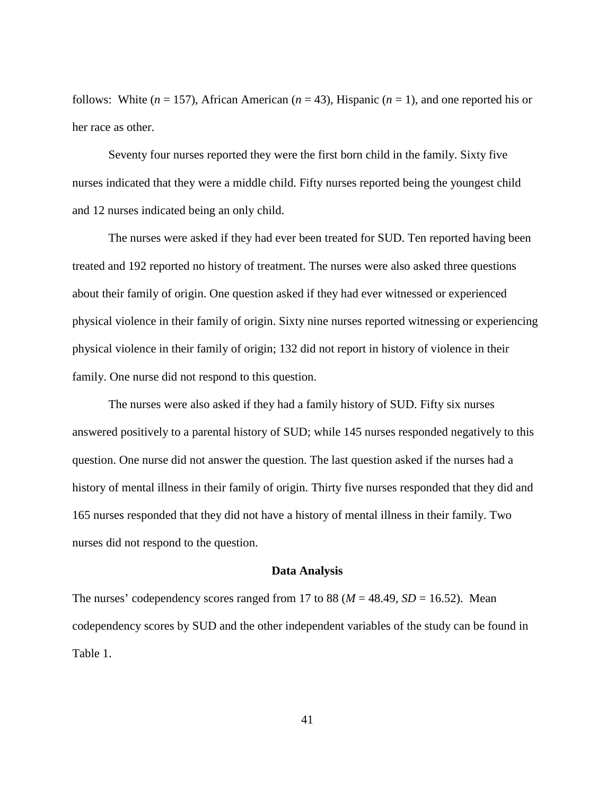follows: White  $(n = 157)$ , African American  $(n = 43)$ , Hispanic  $(n = 1)$ , and one reported his or her race as other.

 Seventy four nurses reported they were the first born child in the family. Sixty five nurses indicated that they were a middle child. Fifty nurses reported being the youngest child and 12 nurses indicated being an only child.

 The nurses were asked if they had ever been treated for SUD. Ten reported having been treated and 192 reported no history of treatment. The nurses were also asked three questions about their family of origin. One question asked if they had ever witnessed or experienced physical violence in their family of origin. Sixty nine nurses reported witnessing or experiencing physical violence in their family of origin; 132 did not report in history of violence in their family. One nurse did not respond to this question.

 The nurses were also asked if they had a family history of SUD. Fifty six nurses answered positively to a parental history of SUD; while 145 nurses responded negatively to this question. One nurse did not answer the question. The last question asked if the nurses had a history of mental illness in their family of origin. Thirty five nurses responded that they did and 165 nurses responded that they did not have a history of mental illness in their family. Two nurses did not respond to the question.

#### **Data Analysis**

The nurses' codependency scores ranged from 17 to 88 ( $M = 48.49$ ,  $SD = 16.52$ ). Mean codependency scores by SUD and the other independent variables of the study can be found in Table 1.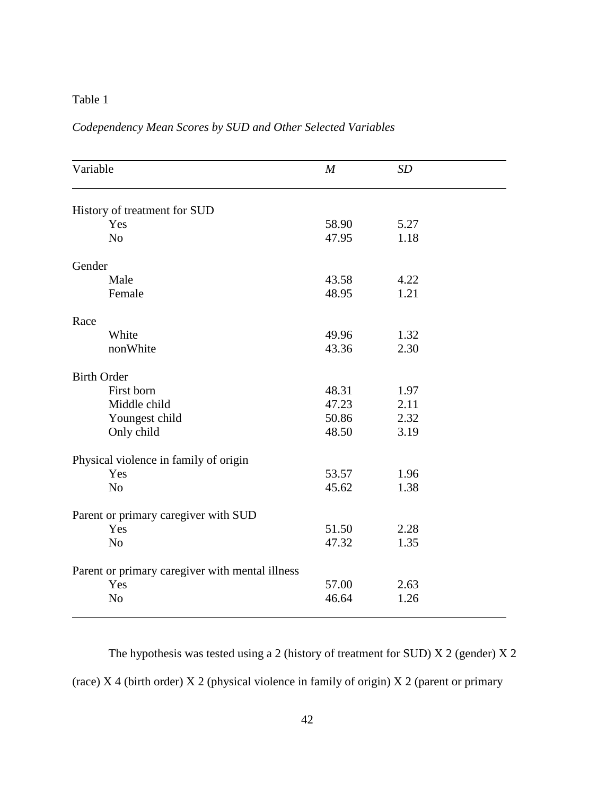# Table 1

|                                                 |       | SD   |  |
|-------------------------------------------------|-------|------|--|
| History of treatment for SUD                    |       |      |  |
| Yes                                             | 58.90 | 5.27 |  |
| N <sub>o</sub>                                  | 47.95 | 1.18 |  |
| Gender                                          |       |      |  |
| Male                                            | 43.58 | 4.22 |  |
| Female                                          | 48.95 | 1.21 |  |
| Race                                            |       |      |  |
| White                                           | 49.96 | 1.32 |  |
| nonWhite                                        | 43.36 | 2.30 |  |
| <b>Birth Order</b>                              |       |      |  |
| First born                                      | 48.31 | 1.97 |  |
| Middle child                                    | 47.23 | 2.11 |  |
| Youngest child                                  | 50.86 | 2.32 |  |
| Only child                                      | 48.50 | 3.19 |  |
| Physical violence in family of origin           |       |      |  |
| Yes                                             | 53.57 | 1.96 |  |
| N <sub>o</sub>                                  | 45.62 | 1.38 |  |
| Parent or primary caregiver with SUD            |       |      |  |
| Yes                                             | 51.50 | 2.28 |  |
| N <sub>o</sub>                                  | 47.32 | 1.35 |  |
| Parent or primary caregiver with mental illness |       |      |  |
| Yes                                             | 57.00 | 2.63 |  |
| N <sub>o</sub>                                  | 46.64 | 1.26 |  |

# *Codependency Mean Scores by SUD and Other Selected Variables*

 The hypothesis was tested using a 2 (history of treatment for SUD) X 2 (gender) X 2 (race)  $X$  4 (birth order)  $X$  2 (physical violence in family of origin)  $X$  2 (parent or primary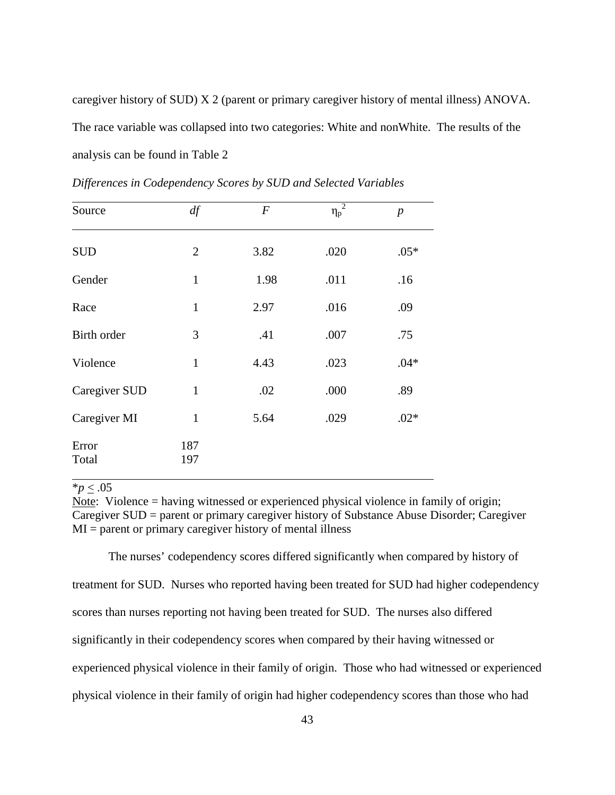caregiver history of SUD) X 2 (parent or primary caregiver history of mental illness) ANOVA. The race variable was collapsed into two categories: White and nonWhite. The results of the analysis can be found in Table 2

| Source         | df             | $\boldsymbol{F}$ | $\eta_p^2$ | $\boldsymbol{p}$ |
|----------------|----------------|------------------|------------|------------------|
| <b>SUD</b>     | $\overline{2}$ | 3.82             | .020       | $.05*$           |
| Gender         | $\mathbf{1}$   | 1.98             | .011       | .16              |
| Race           | $\mathbf{1}$   | 2.97             | .016       | .09              |
| Birth order    | 3              | .41              | .007       | .75              |
| Violence       | $\mathbf{1}$   | 4.43             | .023       | $.04*$           |
| Caregiver SUD  | $\mathbf{1}$   | .02              | .000       | .89              |
| Caregiver MI   | $\mathbf{1}$   | 5.64             | .029       | $.02*$           |
| Error<br>Total | 187<br>197     |                  |            |                  |

*Differences in Codependency Scores by SUD and Selected Variables* 

 $*_{p}$  < .05

Note: Violence = having witnessed or experienced physical violence in family of origin; Caregiver SUD = parent or primary caregiver history of Substance Abuse Disorder; Caregiver  $MI =$  parent or primary caregiver history of mental illness

 The nurses' codependency scores differed significantly when compared by history of treatment for SUD. Nurses who reported having been treated for SUD had higher codependency scores than nurses reporting not having been treated for SUD. The nurses also differed significantly in their codependency scores when compared by their having witnessed or experienced physical violence in their family of origin. Those who had witnessed or experienced physical violence in their family of origin had higher codependency scores than those who had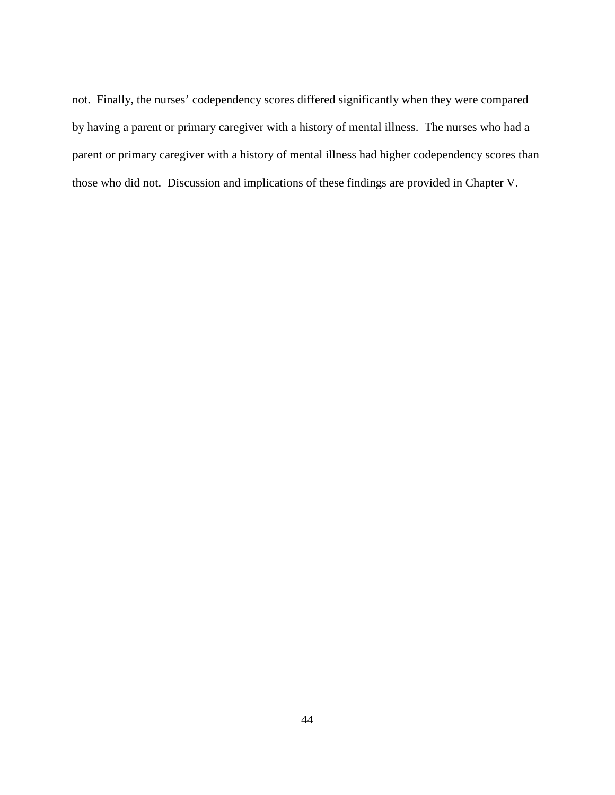not. Finally, the nurses' codependency scores differed significantly when they were compared by having a parent or primary caregiver with a history of mental illness. The nurses who had a parent or primary caregiver with a history of mental illness had higher codependency scores than those who did not. Discussion and implications of these findings are provided in Chapter V.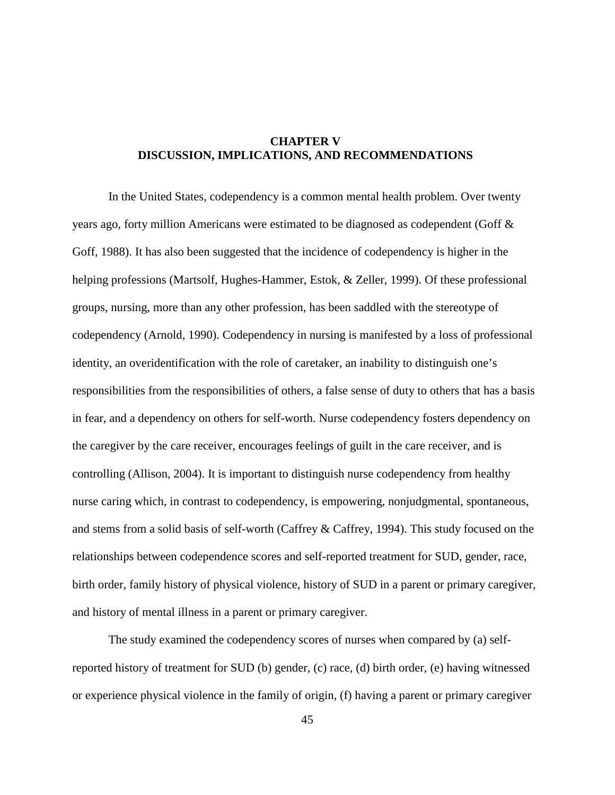# **CHAPTER V DISCUSSION, IMPLICATIONS, AND RECOMMENDATIONS**

 In the United States, codependency is a common mental health problem. Over twenty years ago, forty million Americans were estimated to be diagnosed as codependent (Goff & Goff, 1988). It has also been suggested that the incidence of codependency is higher in the helping professions (Martsolf, Hughes-Hammer, Estok, & Zeller, 1999). Of these professional groups, nursing, more than any other profession, has been saddled with the stereotype of codependency (Arnold, 1990). Codependency in nursing is manifested by a loss of professional identity, an overidentification with the role of caretaker, an inability to distinguish one's responsibilities from the responsibilities of others, a false sense of duty to others that has a basis in fear, and a dependency on others for self-worth. Nurse codependency fosters dependency on the caregiver by the care receiver, encourages feelings of guilt in the care receiver, and is controlling (Allison, 2004). It is important to distinguish nurse codependency from healthy nurse caring which, in contrast to codependency, is empowering, nonjudgmental, spontaneous, and stems from a solid basis of self-worth (Caffrey & Caffrey, 1994). This study focused on the relationships between codependence scores and self-reported treatment for SUD, gender, race, birth order, family history of physical violence, history of SUD in a parent or primary caregiver, and history of mental illness in a parent or primary caregiver.

 The study examined the codependency scores of nurses when compared by (a) selfreported history of treatment for SUD (b) gender, (c) race, (d) birth order, (e) having witnessed or experience physical violence in the family of origin, (f) having a parent or primary caregiver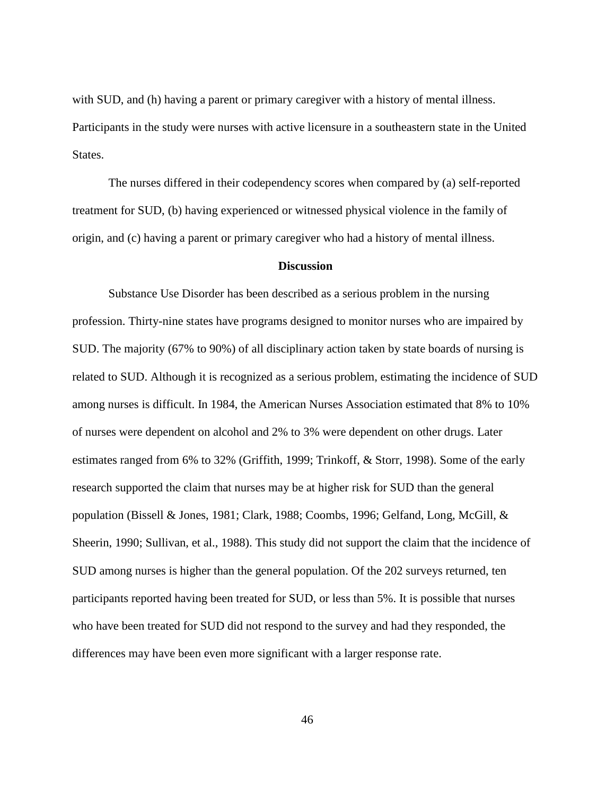with SUD, and (h) having a parent or primary caregiver with a history of mental illness. Participants in the study were nurses with active licensure in a southeastern state in the United States.

 The nurses differed in their codependency scores when compared by (a) self-reported treatment for SUD, (b) having experienced or witnessed physical violence in the family of origin, and (c) having a parent or primary caregiver who had a history of mental illness.

## **Discussion**

 Substance Use Disorder has been described as a serious problem in the nursing profession. Thirty-nine states have programs designed to monitor nurses who are impaired by SUD. The majority (67% to 90%) of all disciplinary action taken by state boards of nursing is related to SUD. Although it is recognized as a serious problem, estimating the incidence of SUD among nurses is difficult. In 1984, the American Nurses Association estimated that 8% to 10% of nurses were dependent on alcohol and 2% to 3% were dependent on other drugs. Later estimates ranged from 6% to 32% (Griffith, 1999; Trinkoff, & Storr, 1998). Some of the early research supported the claim that nurses may be at higher risk for SUD than the general population (Bissell & Jones, 1981; Clark, 1988; Coombs, 1996; Gelfand, Long, McGill, & Sheerin, 1990; Sullivan, et al., 1988). This study did not support the claim that the incidence of SUD among nurses is higher than the general population. Of the 202 surveys returned, ten participants reported having been treated for SUD, or less than 5%. It is possible that nurses who have been treated for SUD did not respond to the survey and had they responded, the differences may have been even more significant with a larger response rate.

46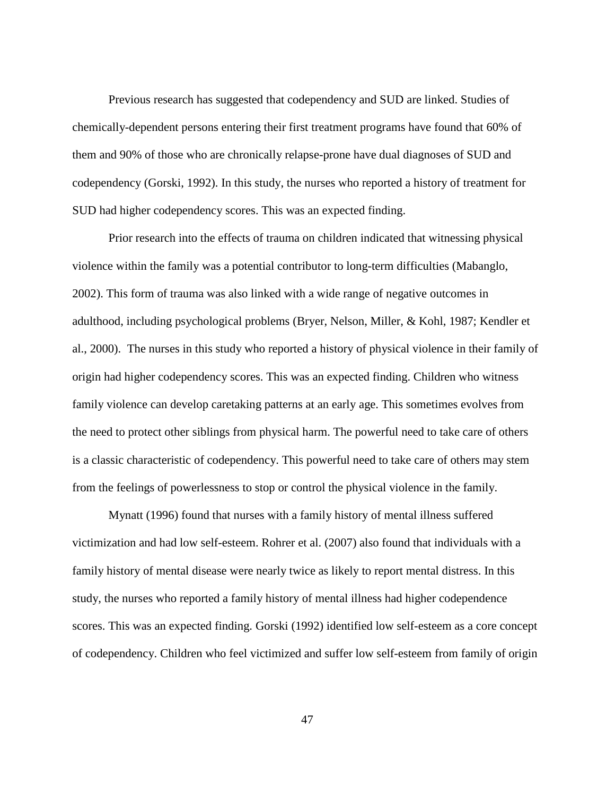Previous research has suggested that codependency and SUD are linked. Studies of chemically-dependent persons entering their first treatment programs have found that 60% of them and 90% of those who are chronically relapse-prone have dual diagnoses of SUD and codependency (Gorski, 1992). In this study, the nurses who reported a history of treatment for SUD had higher codependency scores. This was an expected finding.

 Prior research into the effects of trauma on children indicated that witnessing physical violence within the family was a potential contributor to long-term difficulties (Mabanglo, 2002). This form of trauma was also linked with a wide range of negative outcomes in adulthood, including psychological problems (Bryer, Nelson, Miller, & Kohl, 1987; Kendler et al., 2000). The nurses in this study who reported a history of physical violence in their family of origin had higher codependency scores. This was an expected finding. Children who witness family violence can develop caretaking patterns at an early age. This sometimes evolves from the need to protect other siblings from physical harm. The powerful need to take care of others is a classic characteristic of codependency. This powerful need to take care of others may stem from the feelings of powerlessness to stop or control the physical violence in the family.

 Mynatt (1996) found that nurses with a family history of mental illness suffered victimization and had low self-esteem. Rohrer et al. (2007) also found that individuals with a family history of mental disease were nearly twice as likely to report mental distress. In this study, the nurses who reported a family history of mental illness had higher codependence scores. This was an expected finding. Gorski (1992) identified low self-esteem as a core concept of codependency. Children who feel victimized and suffer low self-esteem from family of origin

47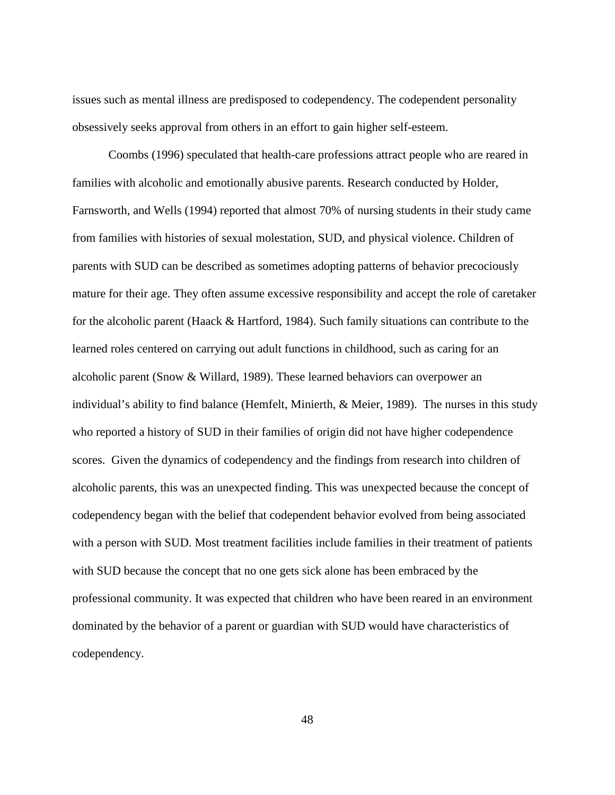issues such as mental illness are predisposed to codependency. The codependent personality obsessively seeks approval from others in an effort to gain higher self-esteem.

 Coombs (1996) speculated that health-care professions attract people who are reared in families with alcoholic and emotionally abusive parents. Research conducted by Holder, Farnsworth, and Wells (1994) reported that almost 70% of nursing students in their study came from families with histories of sexual molestation, SUD, and physical violence. Children of parents with SUD can be described as sometimes adopting patterns of behavior precociously mature for their age. They often assume excessive responsibility and accept the role of caretaker for the alcoholic parent (Haack & Hartford, 1984). Such family situations can contribute to the learned roles centered on carrying out adult functions in childhood, such as caring for an alcoholic parent (Snow & Willard, 1989). These learned behaviors can overpower an individual's ability to find balance (Hemfelt, Minierth, & Meier, 1989). The nurses in this study who reported a history of SUD in their families of origin did not have higher codependence scores. Given the dynamics of codependency and the findings from research into children of alcoholic parents, this was an unexpected finding. This was unexpected because the concept of codependency began with the belief that codependent behavior evolved from being associated with a person with SUD. Most treatment facilities include families in their treatment of patients with SUD because the concept that no one gets sick alone has been embraced by the professional community. It was expected that children who have been reared in an environment dominated by the behavior of a parent or guardian with SUD would have characteristics of codependency.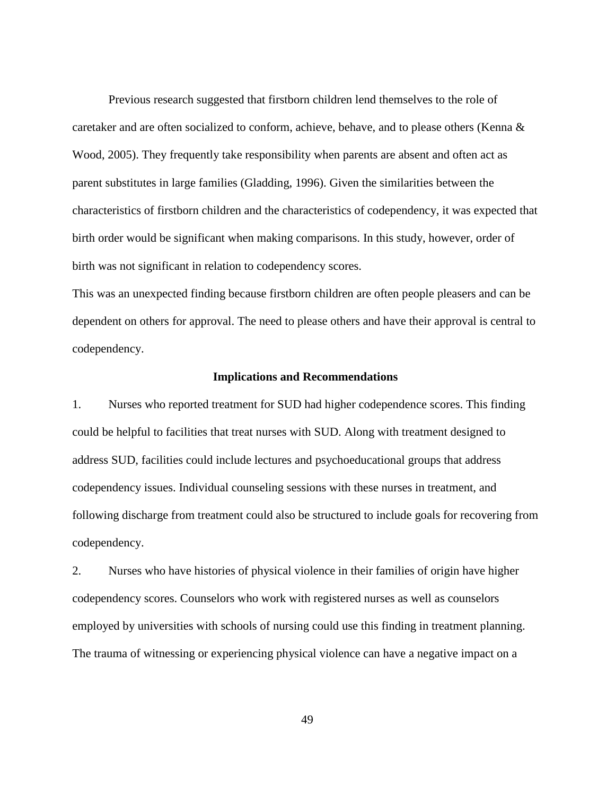Previous research suggested that firstborn children lend themselves to the role of caretaker and are often socialized to conform, achieve, behave, and to please others (Kenna & Wood, 2005). They frequently take responsibility when parents are absent and often act as parent substitutes in large families (Gladding, 1996). Given the similarities between the characteristics of firstborn children and the characteristics of codependency, it was expected that birth order would be significant when making comparisons. In this study, however, order of birth was not significant in relation to codependency scores.

This was an unexpected finding because firstborn children are often people pleasers and can be dependent on others for approval. The need to please others and have their approval is central to codependency.

#### **Implications and Recommendations**

1. Nurses who reported treatment for SUD had higher codependence scores. This finding could be helpful to facilities that treat nurses with SUD. Along with treatment designed to address SUD, facilities could include lectures and psychoeducational groups that address codependency issues. Individual counseling sessions with these nurses in treatment, and following discharge from treatment could also be structured to include goals for recovering from codependency.

2. Nurses who have histories of physical violence in their families of origin have higher codependency scores. Counselors who work with registered nurses as well as counselors employed by universities with schools of nursing could use this finding in treatment planning. The trauma of witnessing or experiencing physical violence can have a negative impact on a

49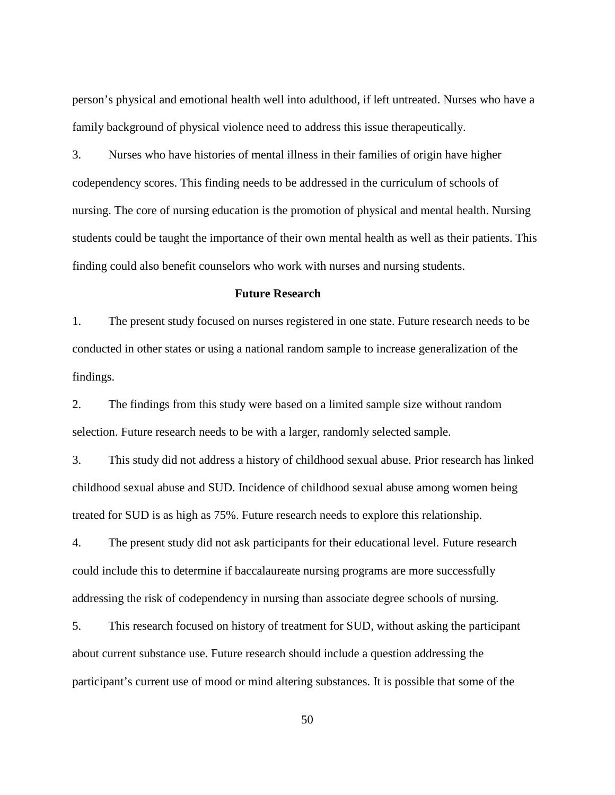person's physical and emotional health well into adulthood, if left untreated. Nurses who have a family background of physical violence need to address this issue therapeutically.

3. Nurses who have histories of mental illness in their families of origin have higher codependency scores. This finding needs to be addressed in the curriculum of schools of nursing. The core of nursing education is the promotion of physical and mental health. Nursing students could be taught the importance of their own mental health as well as their patients. This finding could also benefit counselors who work with nurses and nursing students.

#### **Future Research**

1. The present study focused on nurses registered in one state. Future research needs to be conducted in other states or using a national random sample to increase generalization of the findings.

2. The findings from this study were based on a limited sample size without random selection. Future research needs to be with a larger, randomly selected sample.

3. This study did not address a history of childhood sexual abuse. Prior research has linked childhood sexual abuse and SUD. Incidence of childhood sexual abuse among women being treated for SUD is as high as 75%. Future research needs to explore this relationship.

4. The present study did not ask participants for their educational level. Future research could include this to determine if baccalaureate nursing programs are more successfully addressing the risk of codependency in nursing than associate degree schools of nursing.

5. This research focused on history of treatment for SUD, without asking the participant about current substance use. Future research should include a question addressing the participant's current use of mood or mind altering substances. It is possible that some of the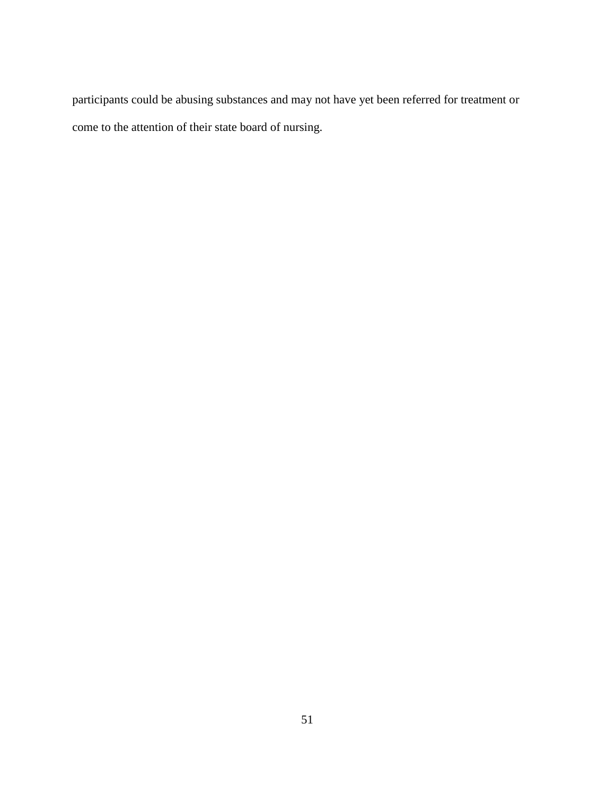participants could be abusing substances and may not have yet been referred for treatment or come to the attention of their state board of nursing.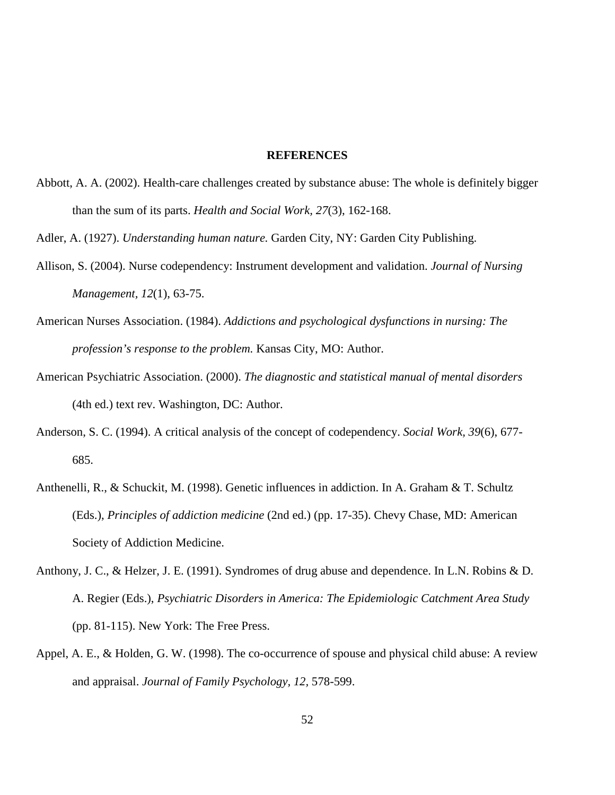# **REFERENCES**

- Abbott, A. A. (2002). Health-care challenges created by substance abuse: The whole is definitely bigger than the sum of its parts. *Health and Social Work, 27*(3), 162-168.
- Adler, A. (1927). *Understanding human nature.* Garden City, NY: Garden City Publishing.
- Allison, S. (2004). Nurse codependency: Instrument development and validation. *Journal of Nursing Management, 12*(1), 63-75.
- American Nurses Association. (1984). *Addictions and psychological dysfunctions in nursing: The profession's response to the problem.* Kansas City, MO: Author.
- American Psychiatric Association. (2000). *The diagnostic and statistical manual of mental disorders*  (4th ed.) text rev. Washington, DC: Author.
- Anderson, S. C. (1994). A critical analysis of the concept of codependency. *Social Work, 39*(6), 677- 685.
- Anthenelli, R., & Schuckit, M. (1998). Genetic influences in addiction. In A. Graham & T. Schultz (Eds.), *Principles of addiction medicine* (2nd ed.) (pp. 17-35). Chevy Chase, MD: American Society of Addiction Medicine.
- Anthony, J. C., & Helzer, J. E. (1991). Syndromes of drug abuse and dependence. In L.N. Robins & D. A. Regier (Eds.), *Psychiatric Disorders in America: The Epidemiologic Catchment Area Study*  (pp. 81-115). New York: The Free Press.
- Appel, A. E., & Holden, G. W. (1998). The co-occurrence of spouse and physical child abuse: A review and appraisal. *Journal of Family Psychology, 12,* 578-599.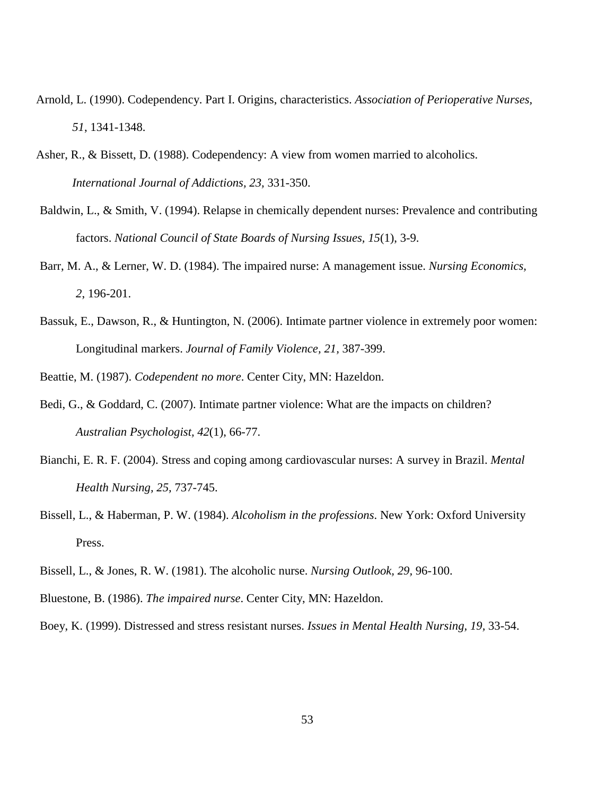- Arnold, L. (1990). Codependency. Part I. Origins, characteristics. *Association of Perioperative Nurses, 51*, 1341-1348.
- Asher, R., & Bissett, D. (1988). Codependency: A view from women married to alcoholics. *International Journal of Addictions, 23,* 331-350.
- Baldwin, L., & Smith, V. (1994). Relapse in chemically dependent nurses: Prevalence and contributing factors. *National Council of State Boards of Nursing Issues, 15*(1), 3-9.
- Barr, M. A., & Lerner, W. D. (1984). The impaired nurse: A management issue. *Nursing Economics, 2*, 196-201.
- Bassuk, E., Dawson, R., & Huntington, N. (2006). Intimate partner violence in extremely poor women: Longitudinal markers. *Journal of Family Violence, 21,* 387-399.
- Beattie, M. (1987). *Codependent no more*. Center City, MN: Hazeldon.
- Bedi, G., & Goddard, C. (2007). Intimate partner violence: What are the impacts on children? *Australian Psychologist, 42*(1), 66-77.
- Bianchi, E. R. F. (2004). Stress and coping among cardiovascular nurses: A survey in Brazil. *Mental Health Nursing, 25,* 737-745.
- Bissell, L., & Haberman, P. W. (1984). *Alcoholism in the professions*. New York: Oxford University Press.
- Bissell, L., & Jones, R. W. (1981). The alcoholic nurse. *Nursing Outlook, 29,* 96-100.
- Bluestone, B. (1986). *The impaired nurse*. Center City, MN: Hazeldon.
- Boey, K. (1999). Distressed and stress resistant nurses. *Issues in Mental Health Nursing, 19,* 33-54.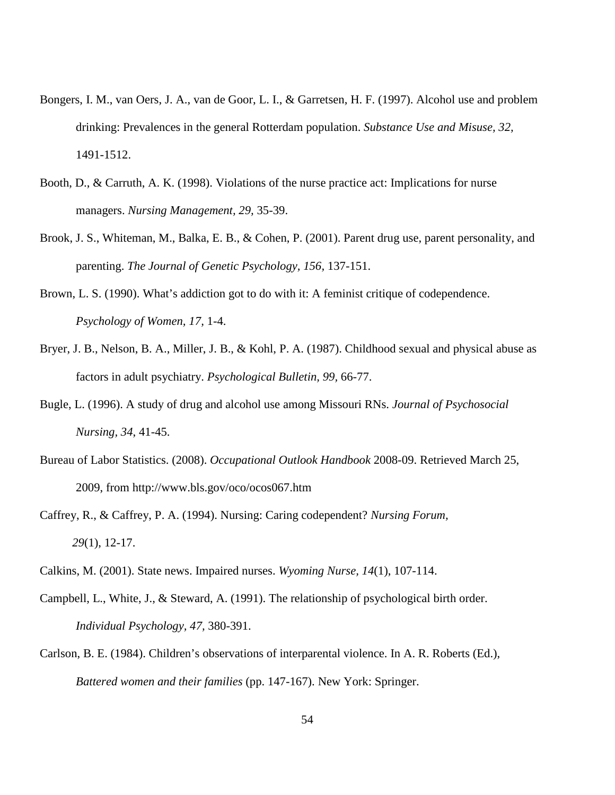- Bongers, I. M., van Oers, J. A., van de Goor, L. I., & Garretsen, H. F. (1997). Alcohol use and problem drinking: Prevalences in the general Rotterdam population. *Substance Use and Misuse, 32,*  1491-1512.
- Booth, D., & Carruth, A. K. (1998). Violations of the nurse practice act: Implications for nurse managers. *Nursing Management, 29,* 35-39.
- Brook, J. S., Whiteman, M., Balka, E. B., & Cohen, P. (2001). Parent drug use, parent personality, and parenting. *The Journal of Genetic Psychology, 156,* 137-151.
- Brown, L. S. (1990). What's addiction got to do with it: A feminist critique of codependence. *Psychology of Women, 17,* 1-4.
- Bryer, J. B., Nelson, B. A., Miller, J. B., & Kohl, P. A. (1987). Childhood sexual and physical abuse as factors in adult psychiatry. *Psychological Bulletin, 99,* 66-77.
- Bugle, L. (1996). A study of drug and alcohol use among Missouri RNs. *Journal of Psychosocial Nursing, 34*, 41-45.
- Bureau of Labor Statistics. (2008). *Occupational Outlook Handbook* 2008-09. Retrieved March 25, 2009, from http://www.bls.gov/oco/ocos067.htm
- Caffrey, R., & Caffrey, P. A. (1994). Nursing: Caring codependent? *Nursing Forum, 29*(1), 12-17.
- Calkins, M. (2001). State news. Impaired nurses. *Wyoming Nurse, 14*(1), 107-114.
- Campbell, L., White, J., & Steward, A. (1991). The relationship of psychological birth order. *Individual Psychology, 47,* 380-391.
- Carlson, B. E. (1984). Children's observations of interparental violence. In A. R. Roberts (Ed.), *Battered women and their families* (pp. 147-167). New York: Springer.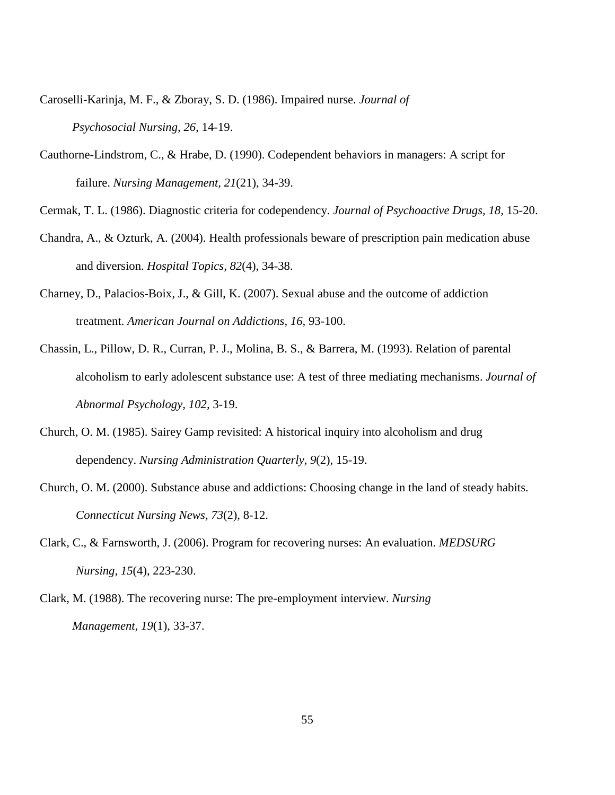- Caroselli-Karinja, M. F., & Zboray, S. D. (1986). Impaired nurse. *Journal of Psychosocial Nursing, 26*, 14-19.
- Cauthorne-Lindstrom, C., & Hrabe, D. (1990). Codependent behaviors in managers: A script for failure. *Nursing Management, 21*(21), 34-39.

Cermak, T. L. (1986). Diagnostic criteria for codependency. *Journal of Psychoactive Drugs, 18,* 15-20.

- Chandra, A., & Ozturk, A. (2004). Health professionals beware of prescription pain medication abuse and diversion. *Hospital Topics, 82*(4), 34-38.
- Charney, D., Palacios-Boix, J., & Gill, K. (2007). Sexual abuse and the outcome of addiction treatment. *American Journal on Addictions, 16,* 93-100.
- Chassin, L., Pillow, D. R., Curran, P. J., Molina, B. S., & Barrera, M. (1993). Relation of parental alcoholism to early adolescent substance use: A test of three mediating mechanisms. *Journal of Abnormal Psychology, 102,* 3-19.
- Church, O. M. (1985). Sairey Gamp revisited: A historical inquiry into alcoholism and drug dependency. *Nursing Administration Quarterly, 9*(2), 15-19.
- Church, O. M. (2000). Substance abuse and addictions: Choosing change in the land of steady habits. *Connecticut Nursing News, 73*(2), 8-12.
- Clark, C., & Farnsworth, J. (2006). Program for recovering nurses: An evaluation. *MEDSURG Nursing, 15*(4), 223-230.
- Clark, M. (1988). The recovering nurse: The pre-employment interview. *Nursing Management, 19*(1), 33-37.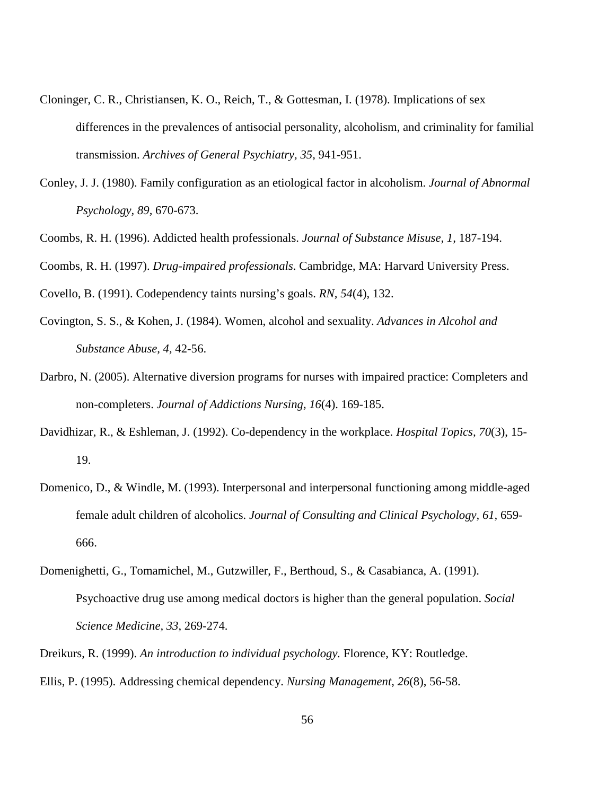- Cloninger, C. R., Christiansen, K. O., Reich, T., & Gottesman, I. (1978). Implications of sex differences in the prevalences of antisocial personality, alcoholism, and criminality for familial transmission. *Archives of General Psychiatry, 35,* 941-951.
- Conley, J. J. (1980). Family configuration as an etiological factor in alcoholism. *Journal of Abnormal Psychology, 89,* 670-673.
- Coombs, R. H. (1996). Addicted health professionals. *Journal of Substance Misuse, 1,* 187-194.

Coombs, R. H. (1997). *Drug-impaired professionals*. Cambridge, MA: Harvard University Press.

Covello, B. (1991). Codependency taints nursing's goals. *RN, 54*(4), 132.

- Covington, S. S., & Kohen, J. (1984). Women, alcohol and sexuality. *Advances in Alcohol and Substance Abuse, 4,* 42-56.
- Darbro, N. (2005). Alternative diversion programs for nurses with impaired practice: Completers and non-completers. *Journal of Addictions Nursing, 16*(4). 169-185.
- Davidhizar, R., & Eshleman, J. (1992). Co-dependency in the workplace. *Hospital Topics, 70*(3), 15- 19.
- Domenico, D., & Windle, M. (1993). Interpersonal and interpersonal functioning among middle-aged female adult children of alcoholics. *Journal of Consulting and Clinical Psychology, 61,* 659- 666.
- Domenighetti, G., Tomamichel, M., Gutzwiller, F., Berthoud, S., & Casabianca, A. (1991). Psychoactive drug use among medical doctors is higher than the general population. *Social Science Medicine, 33*, 269-274.
- Dreikurs, R. (1999). *An introduction to individual psychology.* Florence, KY: Routledge. Ellis, P. (1995). Addressing chemical dependency. *Nursing Management, 26*(8), 56-58.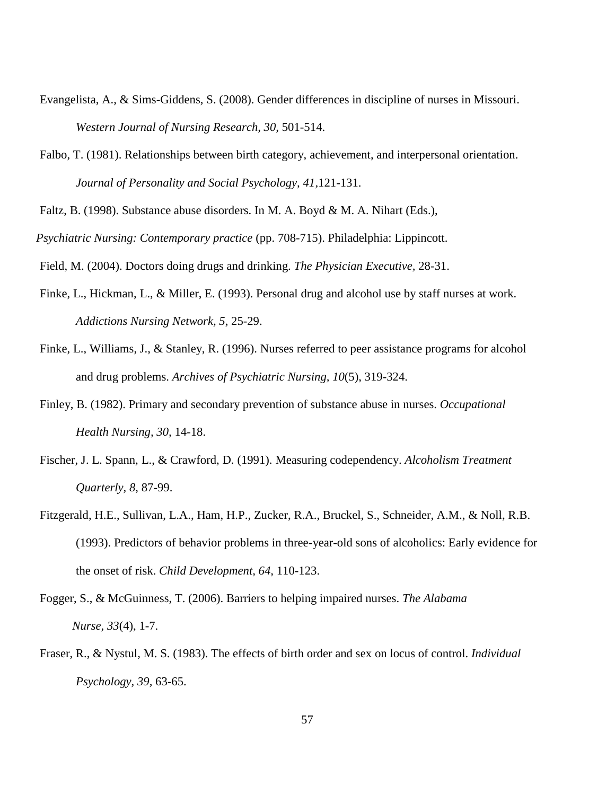- Evangelista, A., & Sims-Giddens, S. (2008). Gender differences in discipline of nurses in Missouri. *Western Journal of Nursing Research, 30,* 501-514.
- Falbo, T. (1981). Relationships between birth category, achievement, and interpersonal orientation. *Journal of Personality and Social Psychology, 41,*121-131.
- Faltz, B. (1998). Substance abuse disorders. In M. A. Boyd & M. A. Nihart (Eds.),
- *Psychiatric Nursing: Contemporary practice* (pp. 708-715). Philadelphia: Lippincott.
- Field, M. (2004). Doctors doing drugs and drinking. *The Physician Executive,* 28-31.
- Finke, L., Hickman, L., & Miller, E. (1993). Personal drug and alcohol use by staff nurses at work. *Addictions Nursing Network, 5*, 25-29.
- Finke, L., Williams, J., & Stanley, R. (1996). Nurses referred to peer assistance programs for alcohol and drug problems. *Archives of Psychiatric Nursing, 10*(5), 319-324.
- Finley, B. (1982). Primary and secondary prevention of substance abuse in nurses. *Occupational Health Nursing, 30,* 14-18.
- Fischer, J. L. Spann, L., & Crawford, D. (1991). Measuring codependency. *Alcoholism Treatment Quarterly, 8*, 87-99.
- Fitzgerald, H.E., Sullivan, L.A., Ham, H.P., Zucker, R.A., Bruckel, S., Schneider, A.M., & Noll, R.B. (1993). Predictors of behavior problems in three-year-old sons of alcoholics: Early evidence for the onset of risk. *Child Development, 64,* 110-123.
- Fogger, S., & McGuinness, T. (2006). Barriers to helping impaired nurses. *The Alabama Nurse, 33*(4), 1-7.
- Fraser, R., & Nystul, M. S. (1983). The effects of birth order and sex on locus of control. *Individual Psychology, 39,* 63-65.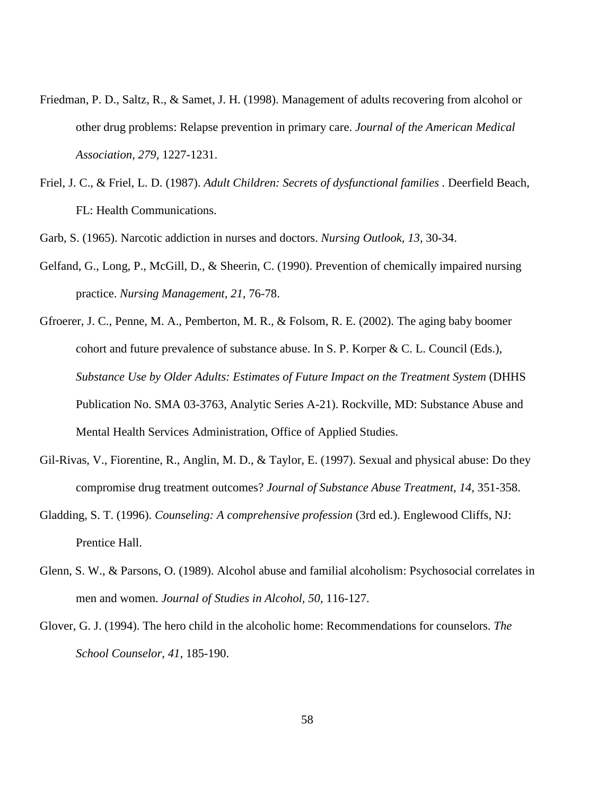- Friedman, P. D., Saltz, R., & Samet, J. H. (1998). Management of adults recovering from alcohol or other drug problems: Relapse prevention in primary care. *Journal of the American Medical Association, 279,* 1227-1231.
- Friel, J. C., & Friel, L. D. (1987). *Adult Children: Secrets of dysfunctional families .* Deerfield Beach, FL: Health Communications.

Garb, S. (1965). Narcotic addiction in nurses and doctors. *Nursing Outlook, 13,* 30-34.

- Gelfand, G., Long, P., McGill, D., & Sheerin, C. (1990). Prevention of chemically impaired nursing practice. *Nursing Management, 21,* 76-78.
- Gfroerer, J. C., Penne, M. A., Pemberton, M. R., & Folsom, R. E. (2002). The aging baby boomer cohort and future prevalence of substance abuse. In S. P. Korper & C. L. Council (Eds.), *Substance Use by Older Adults: Estimates of Future Impact on the Treatment System* (DHHS Publication No. SMA 03-3763, Analytic Series A-21). Rockville, MD: Substance Abuse and Mental Health Services Administration, Office of Applied Studies.
- Gil-Rivas, V., Fiorentine, R., Anglin, M. D., & Taylor, E. (1997). Sexual and physical abuse: Do they compromise drug treatment outcomes? *Journal of Substance Abuse Treatment, 14,* 351-358.
- Gladding, S. T. (1996). *Counseling: A comprehensive profession* (3rd ed.). Englewood Cliffs, NJ: Prentice Hall.
- Glenn, S. W., & Parsons, O. (1989). Alcohol abuse and familial alcoholism: Psychosocial correlates in men and women. *Journal of Studies in Alcohol, 50,* 116-127.
- Glover, G. J. (1994). The hero child in the alcoholic home: Recommendations for counselors. *The School Counselor, 41,* 185-190.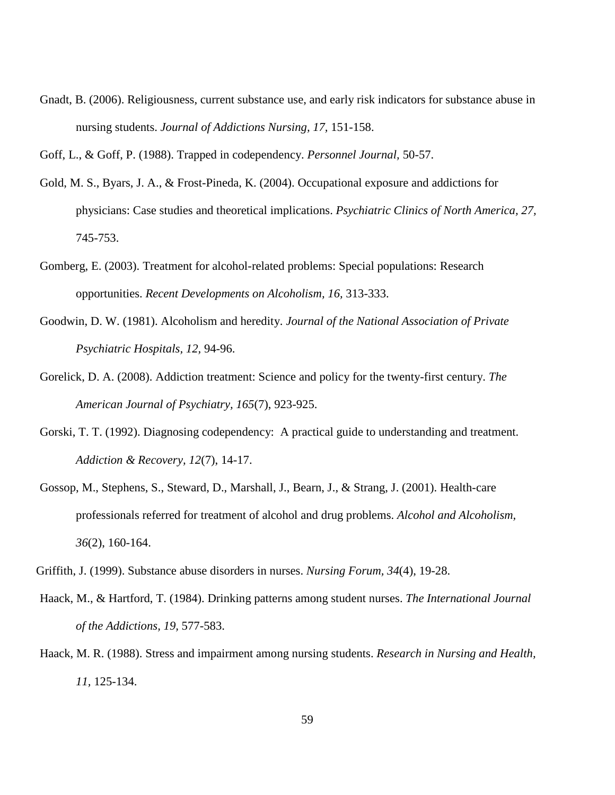Gnadt, B. (2006). Religiousness, current substance use, and early risk indicators for substance abuse in nursing students. *Journal of Addictions Nursing, 17,* 151-158.

Goff, L., & Goff, P. (1988). Trapped in codependency. *Personnel Journal,* 50-57.

- Gold, M. S., Byars, J. A., & Frost-Pineda, K. (2004). Occupational exposure and addictions for physicians: Case studies and theoretical implications. *Psychiatric Clinics of North America, 27,*  745-753.
- Gomberg, E. (2003). Treatment for alcohol-related problems: Special populations: Research opportunities. *Recent Developments on Alcoholism, 16,* 313-333.
- Goodwin, D. W. (1981). Alcoholism and heredity. *Journal of the National Association of Private Psychiatric Hospitals, 12,* 94-96.
- Gorelick, D. A. (2008). Addiction treatment: Science and policy for the twenty-first century. *The American Journal of Psychiatry, 165*(7), 923-925.
- Gorski, T. T. (1992). Diagnosing codependency: A practical guide to understanding and treatment. *Addiction & Recovery, 12*(7), 14-17.
- Gossop, M., Stephens, S., Steward, D., Marshall, J., Bearn, J., & Strang, J. (2001). Health-care professionals referred for treatment of alcohol and drug problems. *Alcohol and Alcoholism, 36*(2), 160-164.

Griffith, J. (1999). Substance abuse disorders in nurses. *Nursing Forum, 34*(4), 19-28.

- Haack, M., & Hartford, T. (1984). Drinking patterns among student nurses. *The International Journal of the Addictions, 19,* 577-583.
- Haack, M. R. (1988). Stress and impairment among nursing students. *Research in Nursing and Health, 11,* 125-134.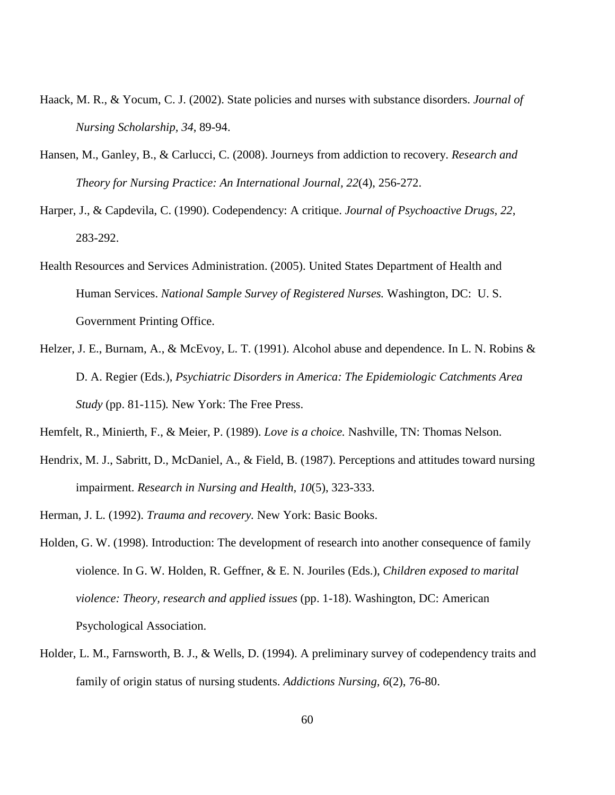- Haack, M. R., & Yocum, C. J. (2002). State policies and nurses with substance disorders. *Journal of Nursing Scholarship, 34*, 89-94.
- Hansen, M., Ganley, B., & Carlucci, C. (2008). Journeys from addiction to recovery. *Research and Theory for Nursing Practice: An International Journal, 22*(4), 256-272.
- Harper, J., & Capdevila, C. (1990). Codependency: A critique. *Journal of Psychoactive Drugs, 22*, 283-292.
- Health Resources and Services Administration. (2005). United States Department of Health and Human Services. *National Sample Survey of Registered Nurses.* Washington, DC: U. S. Government Printing Office.
- Helzer, J. E., Burnam, A., & McEvoy, L. T. (1991). Alcohol abuse and dependence. In L. N. Robins & D. A. Regier (Eds.), *Psychiatric Disorders in America: The Epidemiologic Catchments Area Study* (pp. 81-115)*.* New York: The Free Press.
- Hemfelt, R., Minierth, F., & Meier, P. (1989). *Love is a choice.* Nashville, TN: Thomas Nelson.
- Hendrix, M. J., Sabritt, D., McDaniel, A., & Field, B. (1987). Perceptions and attitudes toward nursing impairment. *Research in Nursing and Health, 10*(5), 323-333.
- Herman, J. L. (1992). *Trauma and recovery.* New York: Basic Books.
- Holden, G. W. (1998). Introduction: The development of research into another consequence of family violence. In G. W. Holden, R. Geffner, & E. N. Jouriles (Eds.), *Children exposed to marital violence: Theory, research and applied issues* (pp. 1-18). Washington, DC: American Psychological Association.
- Holder, L. M., Farnsworth, B. J., & Wells, D. (1994). A preliminary survey of codependency traits and family of origin status of nursing students. *Addictions Nursing, 6*(2), 76-80.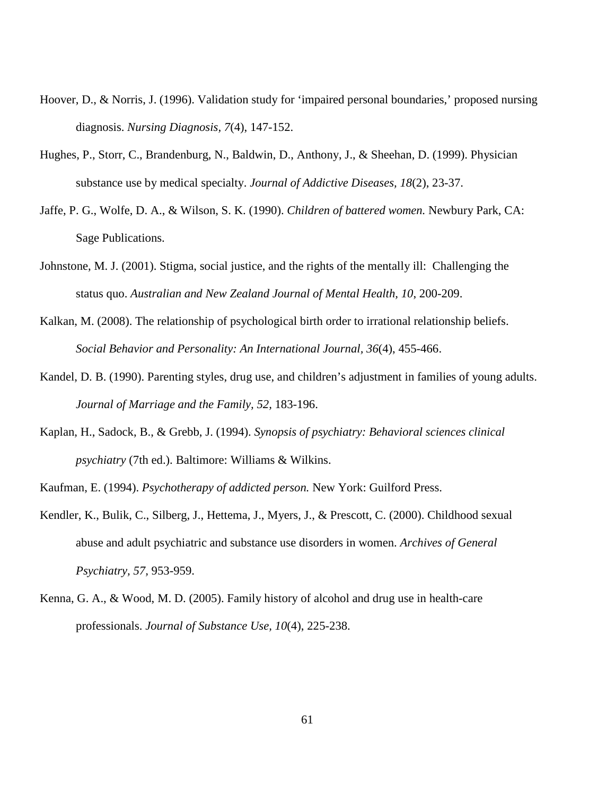- Hoover, D., & Norris, J. (1996). Validation study for 'impaired personal boundaries,' proposed nursing diagnosis. *Nursing Diagnosis, 7*(4), 147-152.
- Hughes, P., Storr, C., Brandenburg, N., Baldwin, D., Anthony, J., & Sheehan, D. (1999). Physician substance use by medical specialty. *Journal of Addictive Diseases, 18*(2), 23-37.
- Jaffe, P. G., Wolfe, D. A., & Wilson, S. K. (1990). *Children of battered women.* Newbury Park, CA: Sage Publications.
- Johnstone, M. J. (2001). Stigma, social justice, and the rights of the mentally ill: Challenging the status quo. *Australian and New Zealand Journal of Mental Health, 10*, 200-209.
- Kalkan, M. (2008). The relationship of psychological birth order to irrational relationship beliefs. *Social Behavior and Personality: An International Journal, 36*(4), 455-466.
- Kandel, D. B. (1990). Parenting styles, drug use, and children's adjustment in families of young adults. *Journal of Marriage and the Family, 52,* 183-196.
- Kaplan, H., Sadock, B., & Grebb, J. (1994). *Synopsis of psychiatry: Behavioral sciences clinical psychiatry* (7th ed.). Baltimore: Williams & Wilkins.
- Kaufman, E. (1994). *Psychotherapy of addicted person.* New York: Guilford Press.
- Kendler, K., Bulik, C., Silberg, J., Hettema, J., Myers, J., & Prescott, C. (2000). Childhood sexual abuse and adult psychiatric and substance use disorders in women. *Archives of General Psychiatry, 57,* 953-959.
- Kenna, G. A., & Wood, M. D. (2005). Family history of alcohol and drug use in health-care professionals. *Journal of Substance Use, 10*(4), 225-238.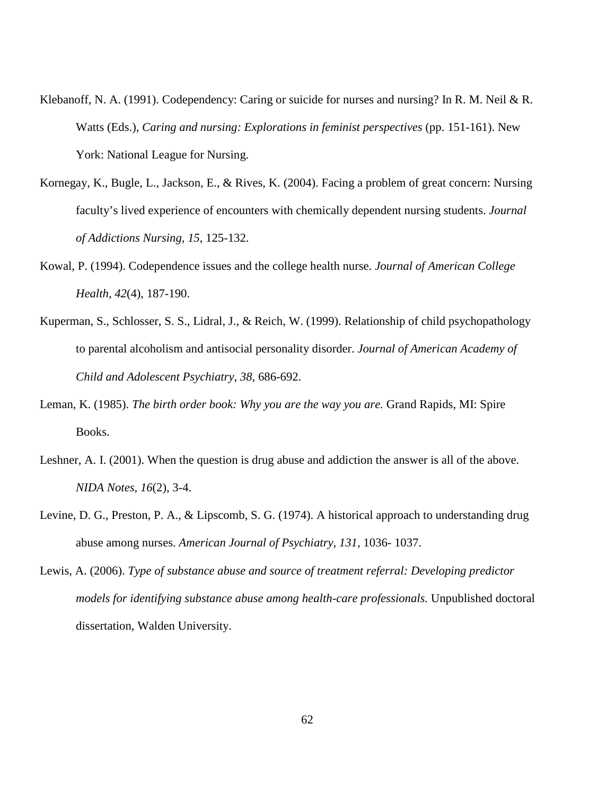- Klebanoff, N. A. (1991). Codependency: Caring or suicide for nurses and nursing? In R. M. Neil & R. Watts (Eds.), *Caring and nursing: Explorations in feminist perspectives* (pp. 151-161). New York: National League for Nursing.
- Kornegay, K., Bugle, L., Jackson, E., & Rives, K. (2004). Facing a problem of great concern: Nursing faculty's lived experience of encounters with chemically dependent nursing students. *Journal of Addictions Nursing, 15*, 125-132.
- Kowal, P. (1994). Codependence issues and the college health nurse. *Journal of American College Health, 42*(4), 187-190.
- Kuperman, S., Schlosser, S. S., Lidral, J., & Reich, W. (1999). Relationship of child psychopathology to parental alcoholism and antisocial personality disorder. *Journal of American Academy of Child and Adolescent Psychiatry, 38,* 686-692.
- Leman, K. (1985). *The birth order book: Why you are the way you are.* Grand Rapids, MI: Spire Books.
- Leshner, A. I. (2001). When the question is drug abuse and addiction the answer is all of the above. *NIDA Notes, 16*(2), 3-4.
- Levine, D. G., Preston, P. A., & Lipscomb, S. G. (1974). A historical approach to understanding drug abuse among nurses. *American Journal of Psychiatry, 131,* 1036- 1037.
- Lewis, A. (2006). *Type of substance abuse and source of treatment referral: Developing predictor models for identifying substance abuse among health-care professionals.* Unpublished doctoral dissertation, Walden University.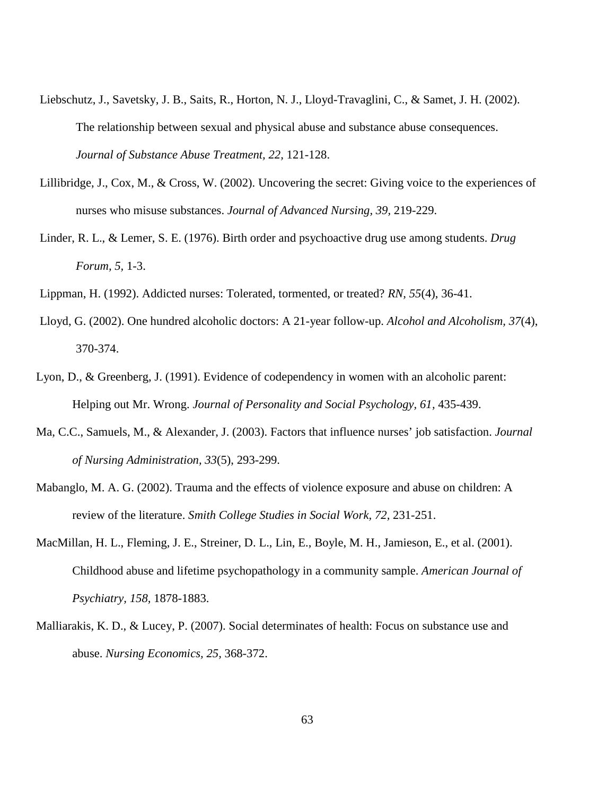- Liebschutz, J., Savetsky, J. B., Saits, R., Horton, N. J., Lloyd-Travaglini, C., & Samet, J. H. (2002). The relationship between sexual and physical abuse and substance abuse consequences. *Journal of Substance Abuse Treatment, 22,* 121-128.
- Lillibridge, J., Cox, M., & Cross, W. (2002). Uncovering the secret: Giving voice to the experiences of nurses who misuse substances. *Journal of Advanced Nursing, 39,* 219-229.
- Linder, R. L., & Lemer, S. E. (1976). Birth order and psychoactive drug use among students. *Drug Forum, 5,* 1-3.
- Lippman, H. (1992). Addicted nurses: Tolerated, tormented, or treated? *RN, 55*(4), 36-41.
- Lloyd, G. (2002). One hundred alcoholic doctors: A 21-year follow-up. *Alcohol and Alcoholism, 37*(4), 370-374.
- Lyon, D., & Greenberg, J. (1991). Evidence of codependency in women with an alcoholic parent: Helping out Mr. Wrong. *Journal of Personality and Social Psychology, 61,* 435-439.
- Ma, C.C., Samuels, M., & Alexander, J. (2003). Factors that influence nurses' job satisfaction. *Journal of Nursing Administration, 33*(5), 293-299.
- Mabanglo, M. A. G. (2002). Trauma and the effects of violence exposure and abuse on children: A review of the literature. *Smith College Studies in Social Work, 72,* 231-251.
- MacMillan, H. L., Fleming, J. E., Streiner, D. L., Lin, E., Boyle, M. H., Jamieson, E., et al. (2001). Childhood abuse and lifetime psychopathology in a community sample. *American Journal of Psychiatry, 158,* 1878-1883.
- Malliarakis, K. D., & Lucey, P. (2007). Social determinates of health: Focus on substance use and abuse. *Nursing Economics, 25,* 368-372.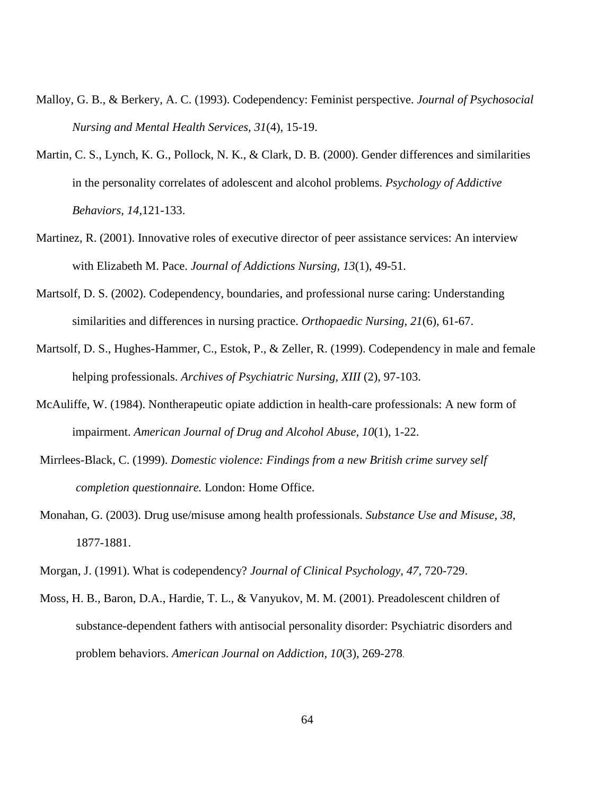- Malloy, G. B., & Berkery, A. C. (1993). Codependency: Feminist perspective. *Journal of Psychosocial Nursing and Mental Health Services, 31*(4), 15-19.
- Martin, C. S., Lynch, K. G., Pollock, N. K., & Clark, D. B. (2000). Gender differences and similarities in the personality correlates of adolescent and alcohol problems. *Psychology of Addictive Behaviors, 14,*121-133.
- Martinez, R. (2001). Innovative roles of executive director of peer assistance services: An interview with Elizabeth M. Pace. *Journal of Addictions Nursing, 13*(1), 49-51.
- Martsolf, D. S. (2002). Codependency, boundaries, and professional nurse caring: Understanding similarities and differences in nursing practice. *Orthopaedic Nursing, 21*(6), 61-67.
- Martsolf, D. S., Hughes-Hammer, C., Estok, P., & Zeller, R. (1999). Codependency in male and female helping professionals. *Archives of Psychiatric Nursing, XIII* (2), 97-103.
- McAuliffe, W. (1984). Nontherapeutic opiate addiction in health-care professionals: A new form of impairment. *American Journal of Drug and Alcohol Abuse, 10*(1), 1-22.
- Mirrlees-Black, C. (1999). *Domestic violence: Findings from a new British crime survey self completion questionnaire.* London: Home Office.
- Monahan, G. (2003). Drug use/misuse among health professionals. *Substance Use and Misuse, 38,*  1877-1881.
- Morgan, J. (1991). What is codependency? *Journal of Clinical Psychology, 47,* 720-729.
- Moss, H. B., Baron, D.A., Hardie, T. L., & Vanyukov, M. M. (2001). Preadolescent children of substance-dependent fathers with antisocial personality disorder: Psychiatric disorders and problem behaviors. *American Journal on Addiction, 10*(3), 269-278.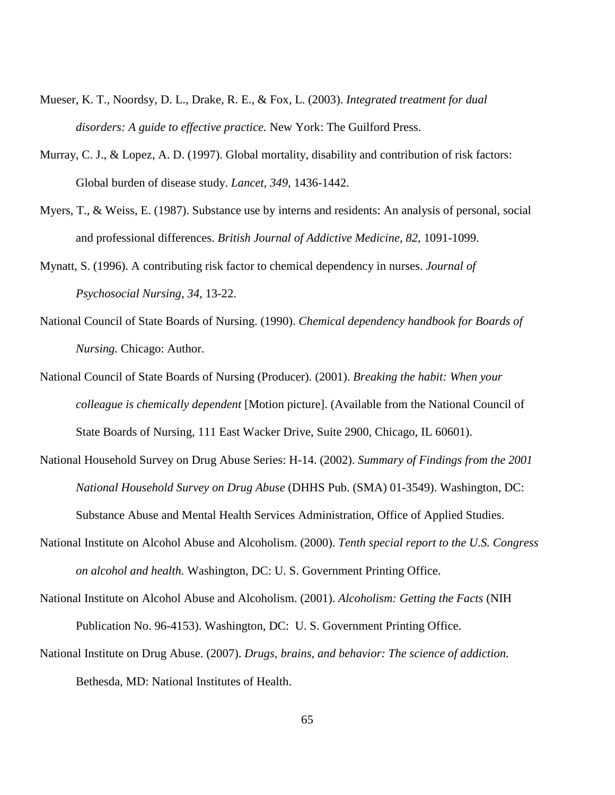- Mueser, K. T., Noordsy, D. L., Drake, R. E., & Fox, L. (2003). *Integrated treatment for dual disorders: A guide to effective practice.* New York: The Guilford Press.
- Murray, C. J., & Lopez, A. D. (1997). Global mortality, disability and contribution of risk factors: Global burden of disease study. *Lancet, 349,* 1436-1442.
- Myers, T., & Weiss, E. (1987). Substance use by interns and residents: An analysis of personal, social and professional differences. *British Journal of Addictive Medicine, 82*, 1091-1099.
- Mynatt, S. (1996). A contributing risk factor to chemical dependency in nurses. *Journal of Psychosocial Nursing, 34,* 13-22.
- National Council of State Boards of Nursing. (1990). *Chemical dependency handbook for Boards of Nursing.* Chicago: Author.
- National Council of State Boards of Nursing (Producer). (2001). *Breaking the habit: When your colleague is chemically dependent* [Motion picture]. (Available from the National Council of State Boards of Nursing, 111 East Wacker Drive, Suite 2900, Chicago, IL 60601).
- National Household Survey on Drug Abuse Series: H-14. (2002). *Summary of Findings from the 2001 National Household Survey on Drug Abuse* (DHHS Pub. (SMA) 01-3549). Washington, DC: Substance Abuse and Mental Health Services Administration, Office of Applied Studies.
- National Institute on Alcohol Abuse and Alcoholism. (2000). *Tenth special report to the U.S. Congress on alcohol and health.* Washington, DC: U. S. Government Printing Office.
- National Institute on Alcohol Abuse and Alcoholism. (2001). *Alcoholism: Getting the Facts* (NIH Publication No. 96-4153). Washington, DC: U. S. Government Printing Office.
- National Institute on Drug Abuse. (2007). *Drugs, brains, and behavior: The science of addiction.* Bethesda, MD: National Institutes of Health.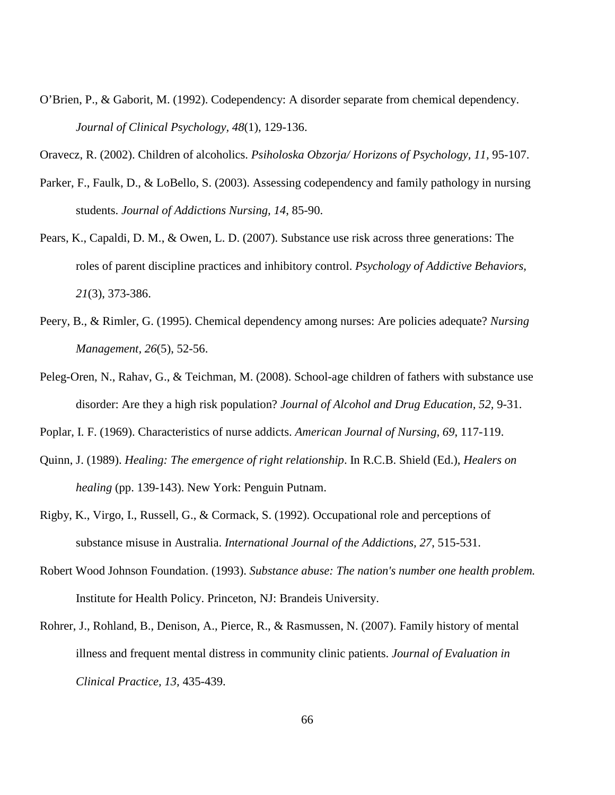O'Brien, P., & Gaborit, M. (1992). Codependency: A disorder separate from chemical dependency. *Journal of Clinical Psychology, 48*(1), 129-136.

Oravecz, R. (2002). Children of alcoholics. *Psiholoska Obzorja/ Horizons of Psychology, 11,* 95-107.

- Parker, F., Faulk, D., & LoBello, S. (2003). Assessing codependency and family pathology in nursing students. *Journal of Addictions Nursing, 14*, 85-90.
- Pears, K., Capaldi, D. M., & Owen, L. D. (2007). Substance use risk across three generations: The roles of parent discipline practices and inhibitory control. *Psychology of Addictive Behaviors, 21*(3), 373-386.
- Peery, B., & Rimler, G. (1995). Chemical dependency among nurses: Are policies adequate? *Nursing Management, 26*(5), 52-56.
- Peleg-Oren, N., Rahav, G., & Teichman, M. (2008). School-age children of fathers with substance use disorder: Are they a high risk population? *Journal of Alcohol and Drug Education, 52,* 9-31.

Poplar, I. F. (1969). Characteristics of nurse addicts. *American Journal of Nursing, 69*, 117-119.

- Quinn, J. (1989). *Healing: The emergence of right relationship*. In R.C.B. Shield (Ed.), *Healers on healing* (pp. 139-143). New York: Penguin Putnam.
- Rigby, K., Virgo, I., Russell, G., & Cormack, S. (1992). Occupational role and perceptions of substance misuse in Australia. *International Journal of the Addictions, 27*, 515-531.
- Robert Wood Johnson Foundation. (1993). *Substance abuse: The nation's number one health problem.*  Institute for Health Policy. Princeton, NJ: Brandeis University.
- Rohrer, J., Rohland, B., Denison, A., Pierce, R., & Rasmussen, N. (2007). Family history of mental illness and frequent mental distress in community clinic patients. *Journal of Evaluation in Clinical Practice, 13,* 435-439.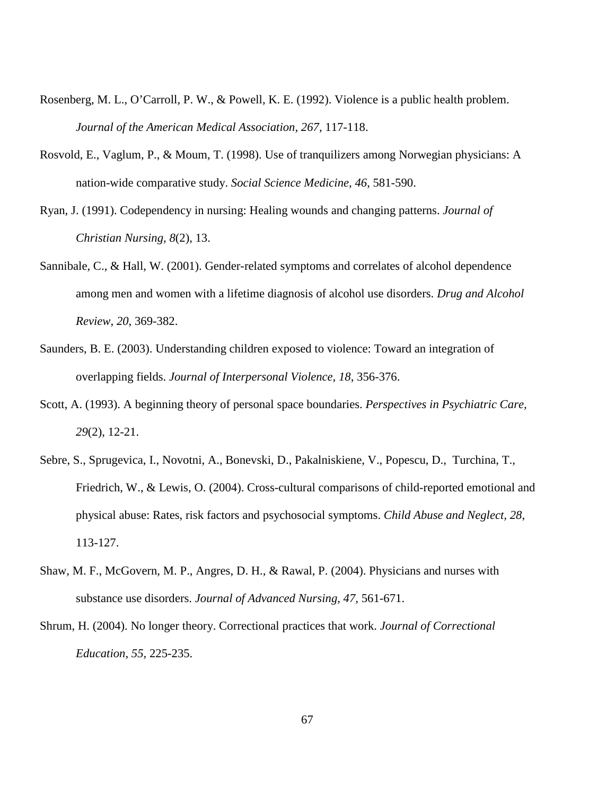- Rosenberg, M. L., O'Carroll, P. W., & Powell, K. E. (1992). Violence is a public health problem. *Journal of the American Medical Association, 267,* 117-118.
- Rosvold, E., Vaglum, P., & Moum, T. (1998). Use of tranquilizers among Norwegian physicians: A nation-wide comparative study. *Social Science Medicine, 46*, 581-590.
- Ryan, J. (1991). Codependency in nursing: Healing wounds and changing patterns. *Journal of Christian Nursing, 8*(2), 13.
- Sannibale, C., & Hall, W. (2001). Gender-related symptoms and correlates of alcohol dependence among men and women with a lifetime diagnosis of alcohol use disorders. *Drug and Alcohol Review, 20*, 369-382.
- Saunders, B. E. (2003). Understanding children exposed to violence: Toward an integration of overlapping fields. *Journal of Interpersonal Violence, 18*, 356-376.
- Scott, A. (1993). A beginning theory of personal space boundaries. *Perspectives in Psychiatric Care, 29*(2), 12-21.
- Sebre, S., Sprugevica, I., Novotni, A., Bonevski, D., Pakalniskiene, V., Popescu, D., Turchina, T., Friedrich, W., & Lewis, O. (2004). Cross-cultural comparisons of child-reported emotional and physical abuse: Rates, risk factors and psychosocial symptoms. *Child Abuse and Neglect, 28*, 113-127.
- Shaw, M. F., McGovern, M. P., Angres, D. H., & Rawal, P. (2004). Physicians and nurses with substance use disorders. *Journal of Advanced Nursing, 47,* 561-671.
- Shrum, H. (2004). No longer theory. Correctional practices that work. *Journal of Correctional Education, 55,* 225-235.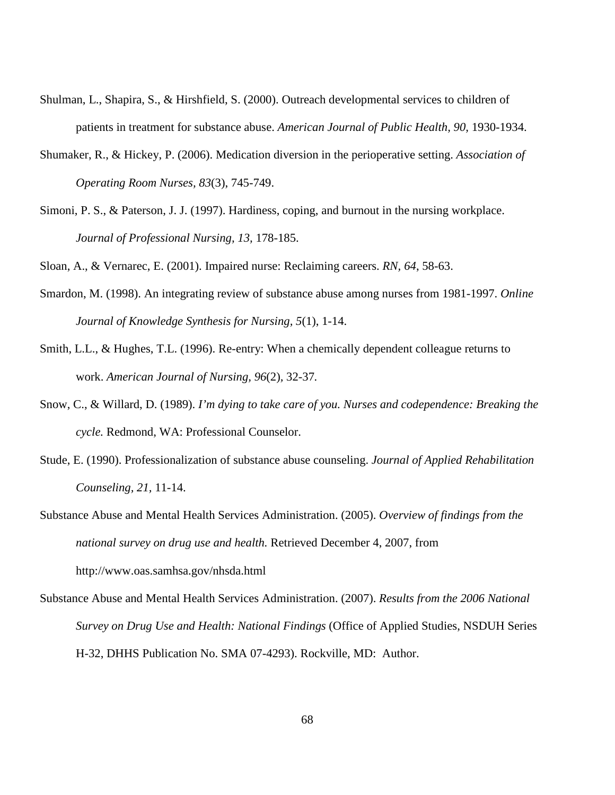- Shulman, L., Shapira, S., & Hirshfield, S. (2000). Outreach developmental services to children of patients in treatment for substance abuse. *American Journal of Public Health, 90,* 1930-1934.
- Shumaker, R., & Hickey, P. (2006). Medication diversion in the perioperative setting. *Association of Operating Room Nurses, 83*(3), 745-749.
- Simoni, P. S., & Paterson, J. J. (1997). Hardiness, coping, and burnout in the nursing workplace. *Journal of Professional Nursing, 13,* 178-185.

Sloan, A., & Vernarec, E. (2001). Impaired nurse: Reclaiming careers. *RN, 64*, 58-63.

- Smardon, M. (1998). An integrating review of substance abuse among nurses from 1981-1997. *Online Journal of Knowledge Synthesis for Nursing, 5*(1), 1-14.
- Smith, L.L., & Hughes, T.L. (1996). Re-entry: When a chemically dependent colleague returns to work. *American Journal of Nursing, 96*(2)*,* 32-37*.*
- Snow, C., & Willard, D. (1989). *I'm dying to take care of you. Nurses and codependence: Breaking the cycle.* Redmond, WA: Professional Counselor.
- Stude, E. (1990). Professionalization of substance abuse counseling. *Journal of Applied Rehabilitation Counseling, 21,* 11-14.
- Substance Abuse and Mental Health Services Administration. (2005). *Overview of findings from the national survey on drug use and health.* Retrieved December 4, 2007, from http://www.oas.samhsa.gov/nhsda.html
- Substance Abuse and Mental Health Services Administration. (2007). *Results from the 2006 National Survey on Drug Use and Health: National Findings* (Office of Applied Studies, NSDUH Series H-32, DHHS Publication No. SMA 07-4293). Rockville, MD: Author.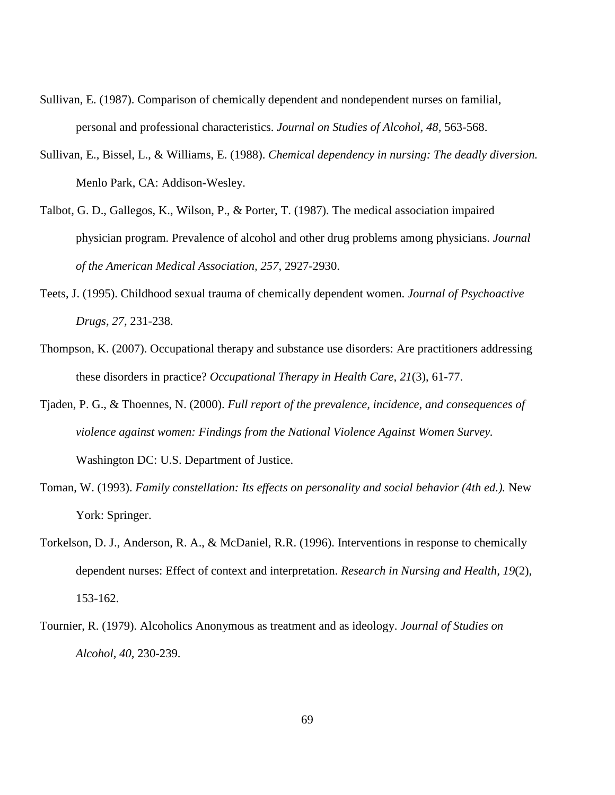- Sullivan, E. (1987). Comparison of chemically dependent and nondependent nurses on familial, personal and professional characteristics. *Journal on Studies of Alcohol, 48,* 563-568.
- Sullivan, E., Bissel, L., & Williams, E. (1988). *Chemical dependency in nursing: The deadly diversion.*  Menlo Park, CA: Addison-Wesley.
- Talbot, G. D., Gallegos, K., Wilson, P., & Porter, T. (1987). The medical association impaired physician program. Prevalence of alcohol and other drug problems among physicians. *Journal of the American Medical Association, 257*, 2927-2930.
- Teets, J. (1995). Childhood sexual trauma of chemically dependent women. *Journal of Psychoactive Drugs, 27,* 231-238.
- Thompson, K. (2007). Occupational therapy and substance use disorders: Are practitioners addressing these disorders in practice? *Occupational Therapy in Health Care, 21*(3), 61-77.
- Tjaden, P. G., & Thoennes, N. (2000). *Full report of the prevalence, incidence, and consequences of violence against women: Findings from the National Violence Against Women Survey.*  Washington DC: U.S. Department of Justice.
- Toman, W. (1993). *Family constellation: Its effects on personality and social behavior (4th ed.).* New York: Springer.
- Torkelson, D. J., Anderson, R. A., & McDaniel, R.R. (1996). Interventions in response to chemically dependent nurses: Effect of context and interpretation. *Research in Nursing and Health, 19*(2), 153-162.
- Tournier, R. (1979). Alcoholics Anonymous as treatment and as ideology. *Journal of Studies on Alcohol, 40,* 230-239.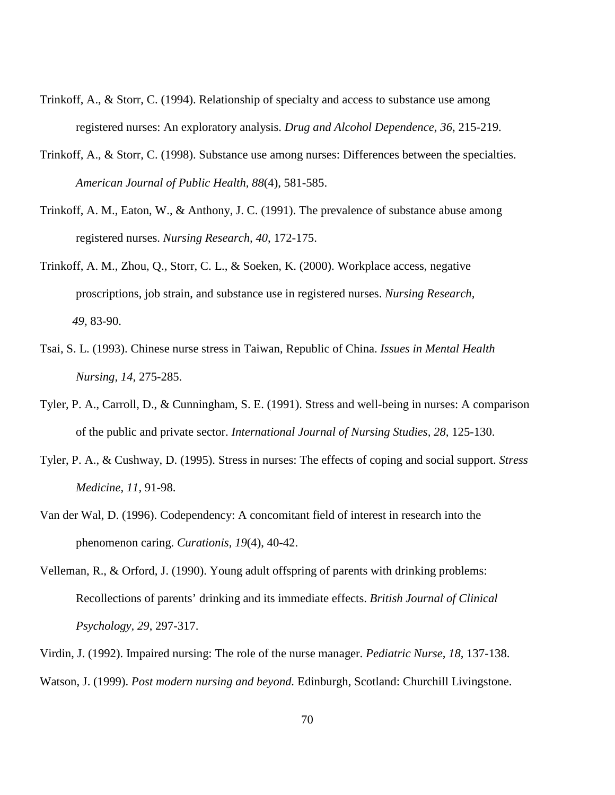- Trinkoff, A., & Storr, C. (1994). Relationship of specialty and access to substance use among registered nurses: An exploratory analysis. *Drug and Alcohol Dependence, 36*, 215-219.
- Trinkoff, A., & Storr, C. (1998). Substance use among nurses: Differences between the specialties. *American Journal of Public Health, 88*(4), 581-585.
- Trinkoff, A. M., Eaton, W., & Anthony, J. C. (1991). The prevalence of substance abuse among registered nurses. *Nursing Research, 40*, 172-175.
- Trinkoff, A. M., Zhou, Q., Storr, C. L., & Soeken, K. (2000). Workplace access, negative proscriptions, job strain, and substance use in registered nurses. *Nursing Research, 49,* 83-90.
- Tsai, S. L. (1993). Chinese nurse stress in Taiwan, Republic of China. *Issues in Mental Health Nursing, 14,* 275-285.
- Tyler, P. A., Carroll, D., & Cunningham, S. E. (1991). Stress and well-being in nurses: A comparison of the public and private sector. *International Journal of Nursing Studies, 28,* 125-130.
- Tyler, P. A., & Cushway, D. (1995). Stress in nurses: The effects of coping and social support. *Stress Medicine, 11,* 91-98.
- Van der Wal, D. (1996). Codependency: A concomitant field of interest in research into the phenomenon caring. *Curationis, 19*(4), 40-42.
- Velleman, R., & Orford, J. (1990). Young adult offspring of parents with drinking problems: Recollections of parents' drinking and its immediate effects. *British Journal of Clinical Psychology, 29*, 297-317.
- Virdin, J. (1992). Impaired nursing: The role of the nurse manager. *Pediatric Nurse, 18,* 137-138. Watson, J. (1999). *Post modern nursing and beyond.* Edinburgh, Scotland: Churchill Livingstone.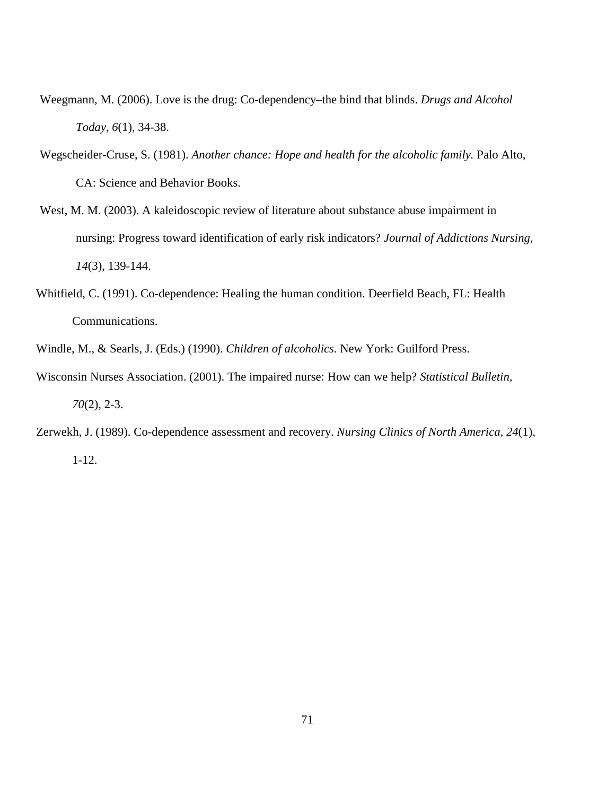- Weegmann, M. (2006). Love is the drug: Co-dependency–the bind that blinds. *Drugs and Alcohol Today, 6*(1), 34-38.
- Wegscheider-Cruse, S. (1981). *Another chance: Hope and health for the alcoholic family.* Palo Alto, CA: Science and Behavior Books.
- West, M. M. (2003). A kaleidoscopic review of literature about substance abuse impairment in nursing: Progress toward identification of early risk indicators? *Journal of Addictions Nursing, 14*(3), 139-144.
- Whitfield, C. (1991). Co-dependence: Healing the human condition. Deerfield Beach, FL: Health Communications.
- Windle, M., & Searls, J. (Eds.) (1990). *Children of alcoholics.* New York: Guilford Press.
- Wisconsin Nurses Association. (2001). The impaired nurse: How can we help? *Statistical Bulletin, 70*(2), 2-3.
- Zerwekh, J. (1989). Co-dependence assessment and recovery. *Nursing Clinics of North America, 24*(1), 1-12.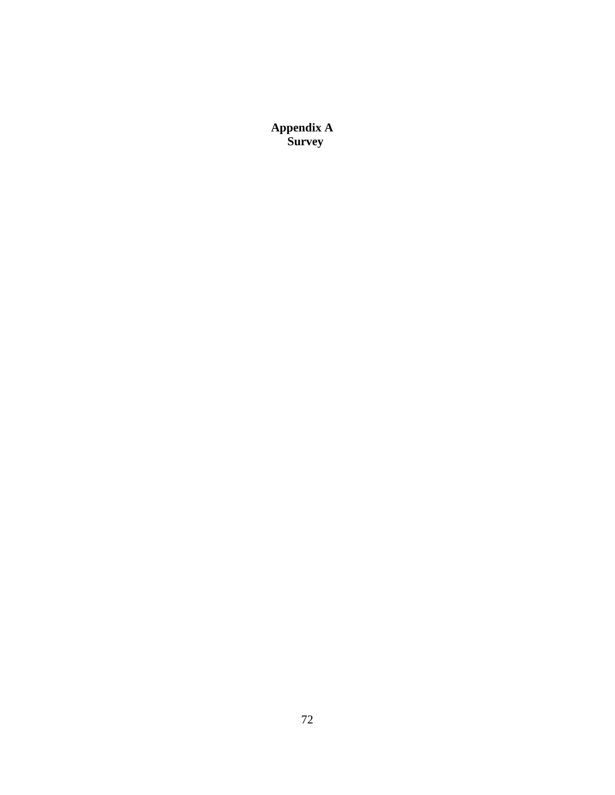**Appendix A Survey**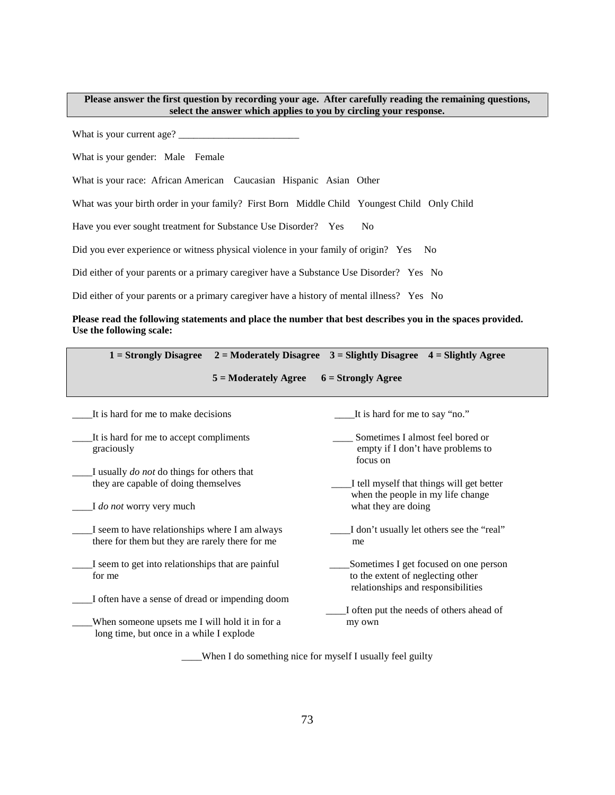## **Please answer the first question by recording your age. After carefully reading the remaining questions, select the answer which applies to you by circling your response.**

What is your current age? \_\_\_\_\_\_\_\_\_\_\_\_\_\_\_\_\_\_\_\_\_\_\_\_

What is your gender: Male Female

What is your race: African American Caucasian Hispanic Asian Other

What was your birth order in your family? First Born Middle Child Youngest Child Only Child

Have you ever sought treatment for Substance Use Disorder? Yes No

Did you ever experience or witness physical violence in your family of origin? Yes No

Did either of your parents or a primary caregiver have a Substance Use Disorder? Yes No

Did either of your parents or a primary caregiver have a history of mental illness? Yes No

## **Please read the following statements and place the number that best describes you in the spaces provided. Use the following scale:**

| $1 =$ Strongly Disagree                                                                           | $2 =$ Moderately Disagree | $3 =$ Slightly Disagree                                                                                          | $4 =$ Slightly Agree |
|---------------------------------------------------------------------------------------------------|---------------------------|------------------------------------------------------------------------------------------------------------------|----------------------|
|                                                                                                   | $5 =$ Moderately Agree    | $6 =$ Strongly Agree                                                                                             |                      |
| It is hard for me to make decisions                                                               |                           | It is hard for me to say "no."                                                                                   |                      |
| It is hard for me to accept compliments<br>graciously                                             |                           | Sometimes I almost feel bored or<br>empty if I don't have problems to<br>focus on                                |                      |
| I usually <i>do not</i> do things for others that                                                 |                           |                                                                                                                  |                      |
| they are capable of doing themselves                                                              |                           | I tell myself that things will get better                                                                        |                      |
| I do not worry very much                                                                          |                           | when the people in my life change<br>what they are doing                                                         |                      |
| I seem to have relationships where I am always<br>there for them but they are rarely there for me |                           | I don't usually let others see the "real"<br>me                                                                  |                      |
| I seem to get into relationships that are painful<br>for me                                       |                           | Sometimes I get focused on one person<br>to the extent of neglecting other<br>relationships and responsibilities |                      |
| I often have a sense of dread or impending doom                                                   |                           |                                                                                                                  |                      |
|                                                                                                   |                           | I often put the needs of others ahead of                                                                         |                      |
| When someone upsets me I will hold it in for a<br>long time, but once in a while I explode        |                           | my own                                                                                                           |                      |

\_\_\_\_When I do something nice for myself I usually feel guilty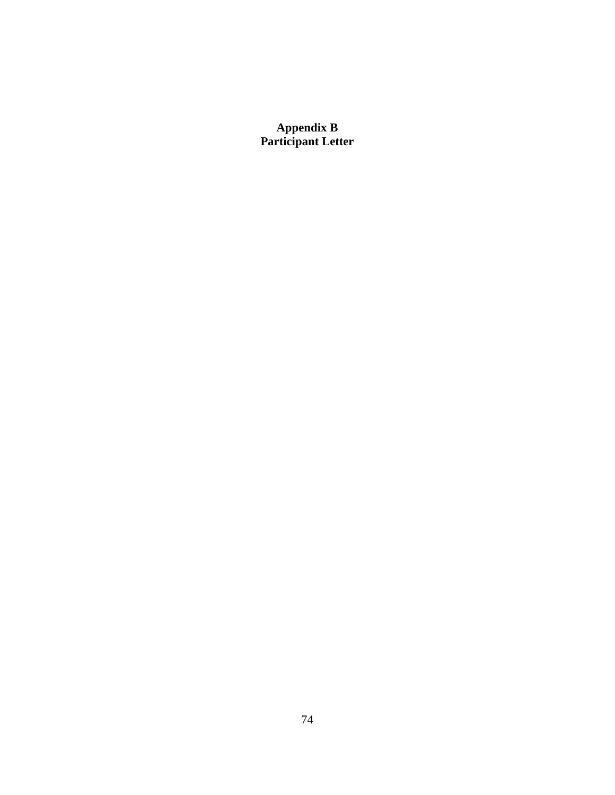**Appendix B Participant Letter**